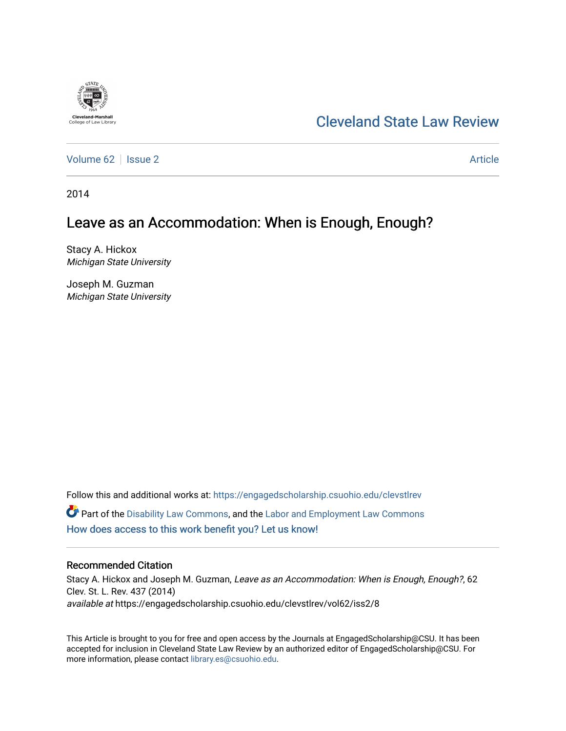

# [Cleveland State Law Review](https://engagedscholarship.csuohio.edu/clevstlrev)

[Volume 62](https://engagedscholarship.csuohio.edu/clevstlrev/vol62) | [Issue 2](https://engagedscholarship.csuohio.edu/clevstlrev/vol62/iss2) Article

2014

# Leave as an Accommodation: When is Enough, Enough?

Stacy A. Hickox Michigan State University

Joseph M. Guzman Michigan State University

Follow this and additional works at: [https://engagedscholarship.csuohio.edu/clevstlrev](https://engagedscholarship.csuohio.edu/clevstlrev?utm_source=engagedscholarship.csuohio.edu%2Fclevstlrev%2Fvol62%2Fiss2%2F8&utm_medium=PDF&utm_campaign=PDFCoverPages) Part of the [Disability Law Commons](http://network.bepress.com/hgg/discipline/1074?utm_source=engagedscholarship.csuohio.edu%2Fclevstlrev%2Fvol62%2Fiss2%2F8&utm_medium=PDF&utm_campaign=PDFCoverPages), and the [Labor and Employment Law Commons](http://network.bepress.com/hgg/discipline/909?utm_source=engagedscholarship.csuohio.edu%2Fclevstlrev%2Fvol62%2Fiss2%2F8&utm_medium=PDF&utm_campaign=PDFCoverPages) [How does access to this work benefit you? Let us know!](http://library.csuohio.edu/engaged/)

# Recommended Citation

Stacy A. Hickox and Joseph M. Guzman, Leave as an Accommodation: When is Enough, Enough?, 62 Clev. St. L. Rev. 437 (2014) available at https://engagedscholarship.csuohio.edu/clevstlrev/vol62/iss2/8

This Article is brought to you for free and open access by the Journals at EngagedScholarship@CSU. It has been accepted for inclusion in Cleveland State Law Review by an authorized editor of EngagedScholarship@CSU. For more information, please contact [library.es@csuohio.edu](mailto:library.es@csuohio.edu).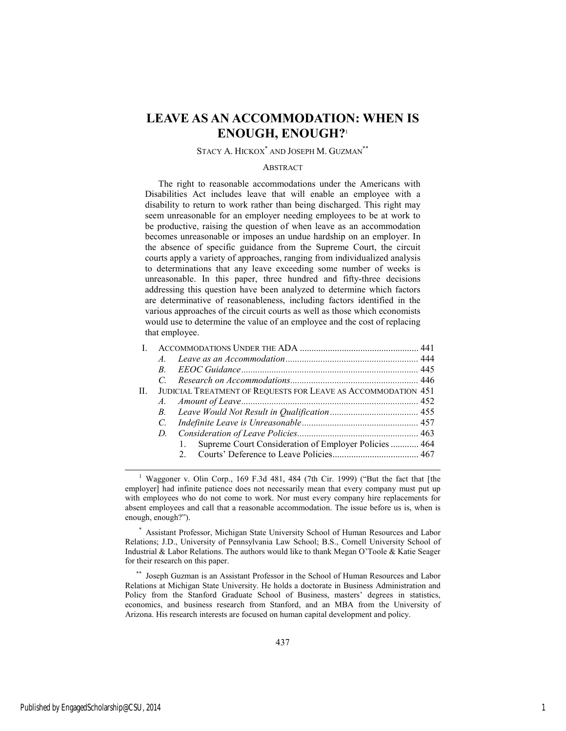# **LEAVE AS AN ACCOMMODATION: WHEN IS ENOUGH, ENOUGH?**<sup>1</sup>

# STACY A. HICKOX<sup>\*</sup> AND JOSEPH M. GUZMAN<sup>\*\*</sup>

### **ABSTRACT**

The right to reasonable accommodations under the Americans with Disabilities Act includes leave that will enable an employee with a disability to return to work rather than being discharged. This right may seem unreasonable for an employer needing employees to be at work to be productive, raising the question of when leave as an accommodation becomes unreasonable or imposes an undue hardship on an employer. In the absence of specific guidance from the Supreme Court, the circuit courts apply a variety of approaches, ranging from individualized analysis to determinations that any leave exceeding some number of weeks is unreasonable. In this paper, three hundred and fifty-three decisions addressing this question have been analyzed to determine which factors are determinative of reasonableness, including factors identified in the various approaches of the circuit courts as well as those which economists would use to determine the value of an employee and the cost of replacing that employee.

|    | $\overline{A}$ |                                                               |  |
|----|----------------|---------------------------------------------------------------|--|
|    | B.             |                                                               |  |
|    |                |                                                               |  |
| Н. |                | JUDICIAL TREATMENT OF REQUESTS FOR LEAVE AS ACCOMMODATION 451 |  |
|    |                |                                                               |  |
|    |                |                                                               |  |
|    |                |                                                               |  |
|    |                |                                                               |  |
|    |                | Supreme Court Consideration of Employer Policies  464         |  |
|    |                |                                                               |  |
|    |                |                                                               |  |

 \* Assistant Professor, Michigan State University School of Human Resources and Labor Relations; J.D., University of Pennsylvania Law School; B.S., Cornell University School of Industrial & Labor Relations. The authors would like to thank Megan O'Toole & Katie Seager for their research on this paper.

 \*\* Joseph Guzman is an Assistant Professor in the School of Human Resources and Labor Relations at Michigan State University. He holds a doctorate in Business Administration and Policy from the Stanford Graduate School of Business, masters' degrees in statistics, economics, and business research from Stanford, and an MBA from the University of Arizona. His research interests are focused on human capital development and policy.

 <sup>1</sup> <sup>1</sup> Waggoner v. Olin Corp., 169 F.3d 481, 484 (7th Cir. 1999) ("But the fact that [the employer] had infinite patience does not necessarily mean that every company must put up with employees who do not come to work. Nor must every company hire replacements for absent employees and call that a reasonable accommodation. The issue before us is, when is enough, enough?").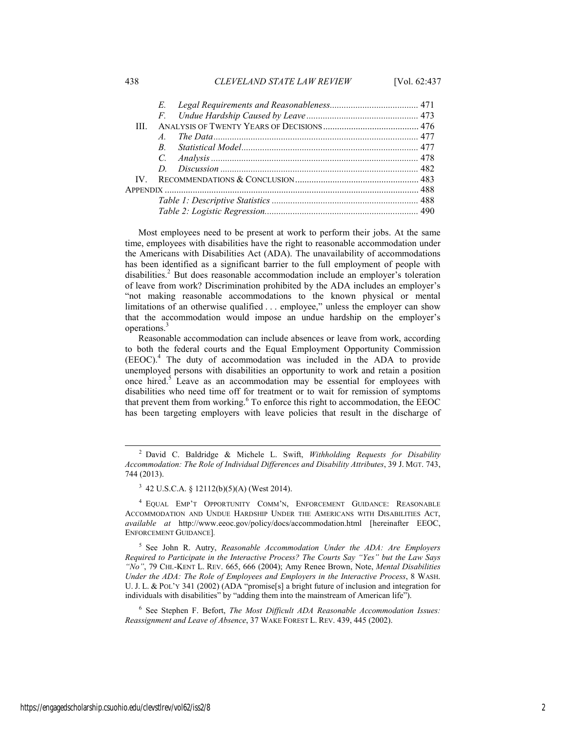### 438 *CLEVELAND STATE LAW REVIEW* [Vol. 62:437

|      | E.             |  |
|------|----------------|--|
|      |                |  |
| Ш    |                |  |
|      | $\overline{A}$ |  |
|      | $R_{\perp}$    |  |
|      |                |  |
|      | D.             |  |
| IV - |                |  |
|      |                |  |
|      |                |  |
|      |                |  |

Most employees need to be present at work to perform their jobs. At the same time, employees with disabilities have the right to reasonable accommodation under the Americans with Disabilities Act (ADA). The unavailability of accommodations has been identified as a significant barrier to the full employment of people with disabilities.<sup>2</sup> But does reasonable accommodation include an employer's toleration of leave from work? Discrimination prohibited by the ADA includes an employer's "not making reasonable accommodations to the known physical or mental limitations of an otherwise qualified . . . employee," unless the employer can show that the accommodation would impose an undue hardship on the employer's operations.<sup>3</sup>

Reasonable accommodation can include absences or leave from work, according to both the federal courts and the Equal Employment Opportunity Commission (EEOC).<sup>4</sup> The duty of accommodation was included in the ADA to provide unemployed persons with disabilities an opportunity to work and retain a position once hired.<sup>5</sup> Leave as an accommodation may be essential for employees with disabilities who need time off for treatment or to wait for remission of symptoms that prevent them from working.<sup>6</sup> To enforce this right to accommodation, the EEOC has been targeting employers with leave policies that result in the discharge of

 $3\,$  42 U.S.C.A. § 12112(b)(5)(A) (West 2014).

4 EQUAL EMP'T OPPORTUNITY COMM'N, ENFORCEMENT GUIDANCE: REASONABLE ACCOMMODATION AND UNDUE HARDSHIP UNDER THE AMERICANS WITH DISABILITIES ACT, *available at* http://www.eeoc.gov/policy/docs/accommodation.html [hereinafter EEOC, ENFORCEMENT GUIDANCE]*.*

5 See John R. Autry, *Reasonable Accommodation Under the ADA: Are Employers Required to Participate in the Interactive Process? The Courts Say "Yes" but the Law Says "No"*, 79 CHI.-KENT L. REV. 665, 666 (2004); Amy Renee Brown, Note, *Mental Disabilities Under the ADA: The Role of Employees and Employers in the Interactive Process*, 8 WASH. U. J. L. & POL'Y 341 (2002) (ADA "promise[s] a bright future of inclusion and integration for individuals with disabilities" by "adding them into the mainstream of American life").

6 See Stephen F. Befort, *The Most Difficult ADA Reasonable Accommodation Issues: Reassignment and Leave of Absence*, 37 WAKE FOREST L. REV. 439, 445 (2002).

 <sup>2</sup> David C. Baldridge & Michele L. Swift, *Withholding Requests for Disability Accommodation: The Role of Individual Differences and Disability Attributes*, 39 J. MGT. 743, 744 (2013).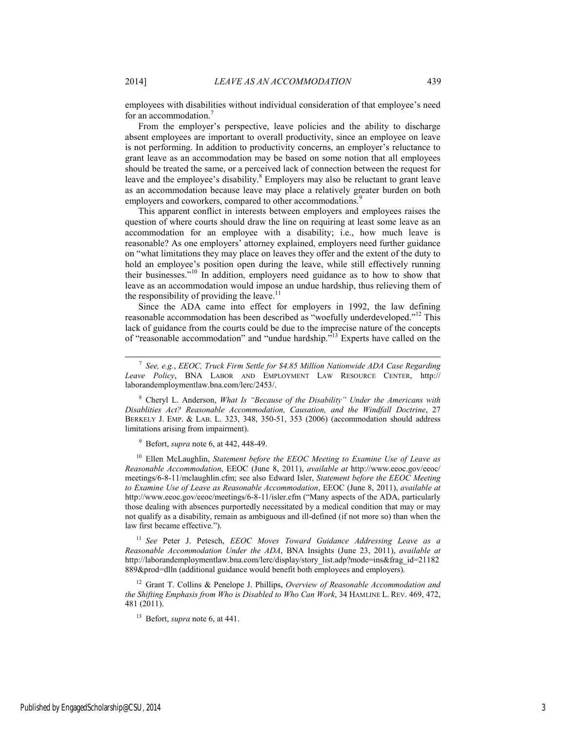employees with disabilities without individual consideration of that employee's need for an accommodation.<sup>7</sup>

From the employer's perspective, leave policies and the ability to discharge absent employees are important to overall productivity, since an employee on leave is not performing. In addition to productivity concerns, an employer's reluctance to grant leave as an accommodation may be based on some notion that all employees should be treated the same, or a perceived lack of connection between the request for leave and the employee's disability. $8$  Employers may also be reluctant to grant leave as an accommodation because leave may place a relatively greater burden on both employers and coworkers, compared to other accommodations.<sup>9</sup>

This apparent conflict in interests between employers and employees raises the question of where courts should draw the line on requiring at least some leave as an accommodation for an employee with a disability; i.e., how much leave is reasonable? As one employers' attorney explained, employers need further guidance on "what limitations they may place on leaves they offer and the extent of the duty to hold an employee's position open during the leave, while still effectively running their businesses."10 In addition, employers need guidance as to how to show that leave as an accommodation would impose an undue hardship, thus relieving them of the responsibility of providing the leave.<sup>11</sup>

Since the ADA came into effect for employers in 1992, the law defining reasonable accommodation has been described as "woefully underdeveloped."<sup>12</sup> This lack of guidance from the courts could be due to the imprecise nature of the concepts of "reasonable accommodation" and "undue hardship."13 Experts have called on the

8 Cheryl L. Anderson, *What Is "Because of the Disability" Under the Americans with Disablities Act? Reasonable Accommodation, Causation, and the Windfall Doctrine*, 27 BERKELY J. EMP. & LAB. L. 323, 348, 350-51, 353 (2006) (accommodation should address limitations arising from impairment).

9 Befort, *supra* note 6, at 442, 448-49.

10 Ellen McLaughlin, *Statement before the EEOC Meeting to Examine Use of Leave as Reasonable Accommodation*, EEOC (June 8, 2011), *available at* http://www.eeoc.gov/eeoc/ meetings/6-8-11/mclaughlin.cfm; see also Edward Isler, *Statement before the EEOC Meeting to Examine Use of Leave as Reasonable Accommodation*, EEOC (June 8, 2011), *available at* http://www.eeoc.gov/eeoc/meetings/6-8-11/isler.cfm ("Many aspects of the ADA, particularly those dealing with absences purportedly necessitated by a medical condition that may or may not qualify as a disability, remain as ambiguous and ill-defined (if not more so) than when the law first became effective.").

<sup>11</sup> *See* Peter J. Petesch, *EEOC Moves Toward Guidance Addressing Leave as a Reasonable Accommodation Under the ADA*, BNA Insights (June 23, 2011), *available at*  http://laborandemploymentlaw.bna.com/lerc/display/story\_list.adp?mode=ins&frag\_id=21182 889&prod=dlln (additional guidance would benefit both employees and employers).

12 Grant T. Collins & Penelope J. Phillips, *Overview of Reasonable Accommodation and the Shifting Emphasis from Who is Disabled to Who Can Work*, 34 HAMLINE L. REV. 469, 472, 481 (2011).

13 Befort, *supra* note 6, at 441.

 <sup>7</sup> *See, e.g.*, *EEOC, Truck Firm Settle for \$4.85 Million Nationwide ADA Case Regarding Leave Policy*, BNA LABOR AND EMPLOYMENT LAW RESOURCE CENTER, http:// laborandemploymentlaw.bna.com/lerc/2453/.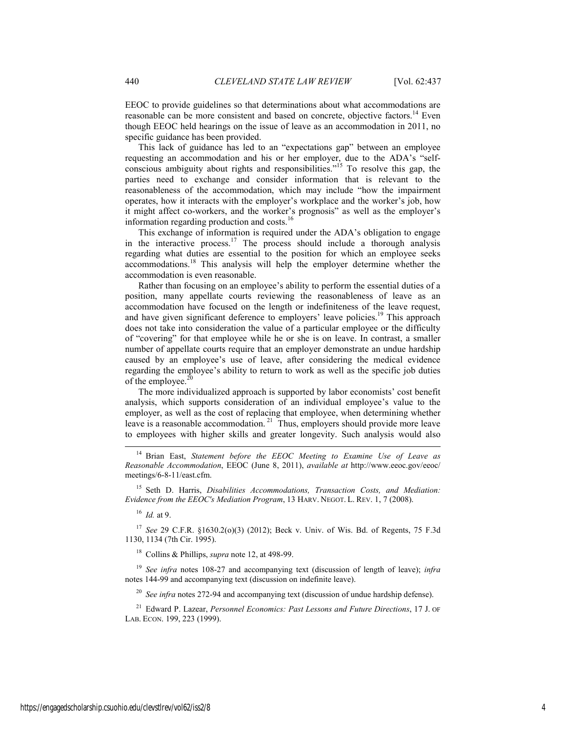EEOC to provide guidelines so that determinations about what accommodations are reasonable can be more consistent and based on concrete, objective factors.<sup>14</sup> Even though EEOC held hearings on the issue of leave as an accommodation in 2011, no specific guidance has been provided.

This lack of guidance has led to an "expectations gap" between an employee requesting an accommodation and his or her employer, due to the ADA's "selfconscious ambiguity about rights and responsibilities."15 To resolve this gap, the parties need to exchange and consider information that is relevant to the reasonableness of the accommodation, which may include "how the impairment operates, how it interacts with the employer's workplace and the worker's job, how it might affect co-workers, and the worker's prognosis" as well as the employer's information regarding production and costs.<sup>16</sup>

This exchange of information is required under the ADA's obligation to engage in the interactive process.17 The process should include a thorough analysis regarding what duties are essential to the position for which an employee seeks accommodations.18 This analysis will help the employer determine whether the accommodation is even reasonable.

Rather than focusing on an employee's ability to perform the essential duties of a position, many appellate courts reviewing the reasonableness of leave as an accommodation have focused on the length or indefiniteness of the leave request, and have given significant deference to employers' leave policies.<sup>19</sup> This approach does not take into consideration the value of a particular employee or the difficulty of "covering" for that employee while he or she is on leave. In contrast, a smaller number of appellate courts require that an employer demonstrate an undue hardship caused by an employee's use of leave, after considering the medical evidence regarding the employee's ability to return to work as well as the specific job duties of the employee. $2$ 

The more individualized approach is supported by labor economists' cost benefit analysis, which supports consideration of an individual employee's value to the employer, as well as the cost of replacing that employee, when determining whether leave is a reasonable accommodation.<sup>21</sup> Thus, employers should provide more leave to employees with higher skills and greater longevity. Such analysis would also

15 Seth D. Harris, *Disabilities Accommodations, Transaction Costs, and Mediation: Evidence from the EEOC's Mediation Program*, 13 HARV. NEGOT. L. REV. 1, 7 (2008).

<sup>16</sup> *Id.* at 9.

<sup>17</sup> *See* 29 C.F.R. §1630.2(o)(3) (2012); Beck v. Univ. of Wis. Bd. of Regents, 75 F.3d 1130, 1134 (7th Cir. 1995).

18 Collins & Phillips, *supra* note 12, at 498-99.

<sup>19</sup> *See infra* notes 108-27 and accompanying text (discussion of length of leave); *infra*  notes 144-99 and accompanying text (discussion on indefinite leave).

<sup>20</sup> *See infra* notes 272-94 and accompanying text (discussion of undue hardship defense).

21 Edward P. Lazear, *Personnel Economics: Past Lessons and Future Directions*, 17 J. OF LAB. ECON. 199, 223 (1999).

 <sup>14</sup> Brian East, *Statement before the EEOC Meeting to Examine Use of Leave as Reasonable Accommodation*, EEOC (June 8, 2011), *available at* http://www.eeoc.gov/eeoc/ meetings/6-8-11/east.cfm.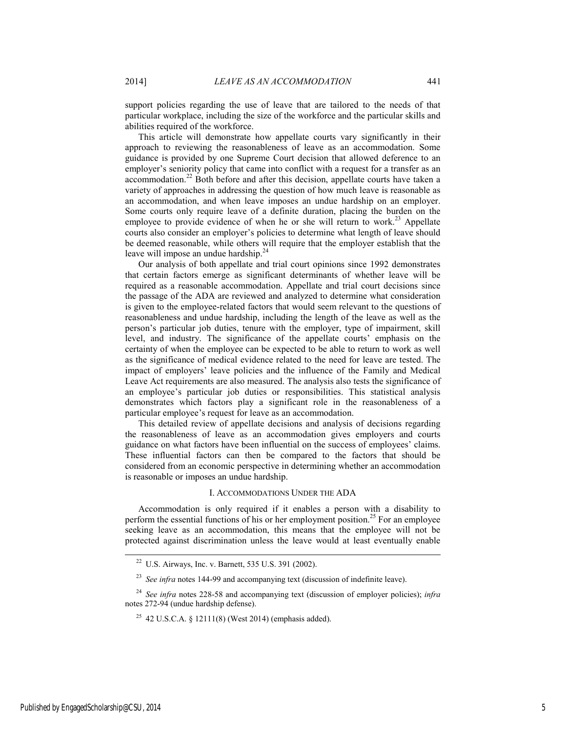support policies regarding the use of leave that are tailored to the needs of that particular workplace, including the size of the workforce and the particular skills and abilities required of the workforce.

This article will demonstrate how appellate courts vary significantly in their approach to reviewing the reasonableness of leave as an accommodation. Some guidance is provided by one Supreme Court decision that allowed deference to an employer's seniority policy that came into conflict with a request for a transfer as an accommodation.<sup>22</sup> Both before and after this decision, appellate courts have taken a variety of approaches in addressing the question of how much leave is reasonable as an accommodation, and when leave imposes an undue hardship on an employer. Some courts only require leave of a definite duration, placing the burden on the employee to provide evidence of when he or she will return to work.<sup>23</sup> Appellate courts also consider an employer's policies to determine what length of leave should be deemed reasonable, while others will require that the employer establish that the leave will impose an undue hardship.<sup>24</sup>

Our analysis of both appellate and trial court opinions since 1992 demonstrates that certain factors emerge as significant determinants of whether leave will be required as a reasonable accommodation. Appellate and trial court decisions since the passage of the ADA are reviewed and analyzed to determine what consideration is given to the employee-related factors that would seem relevant to the questions of reasonableness and undue hardship, including the length of the leave as well as the person's particular job duties, tenure with the employer, type of impairment, skill level, and industry. The significance of the appellate courts' emphasis on the certainty of when the employee can be expected to be able to return to work as well as the significance of medical evidence related to the need for leave are tested. The impact of employers' leave policies and the influence of the Family and Medical Leave Act requirements are also measured. The analysis also tests the significance of an employee's particular job duties or responsibilities. This statistical analysis demonstrates which factors play a significant role in the reasonableness of a particular employee's request for leave as an accommodation.

This detailed review of appellate decisions and analysis of decisions regarding the reasonableness of leave as an accommodation gives employers and courts guidance on what factors have been influential on the success of employees' claims. These influential factors can then be compared to the factors that should be considered from an economic perspective in determining whether an accommodation is reasonable or imposes an undue hardship.

### I. ACCOMMODATIONS UNDER THE ADA

Accommodation is only required if it enables a person with a disability to perform the essential functions of his or her employment position.<sup>25</sup> For an employee seeking leave as an accommodation, this means that the employee will not be protected against discrimination unless the leave would at least eventually enable

 <sup>22</sup> U.S. Airways, Inc. v. Barnett, 535 U.S. 391 (2002).

<sup>&</sup>lt;sup>23</sup> *See infra* notes 144-99 and accompanying text (discussion of indefinite leave).

<sup>24</sup> *See infra* notes 228-58 and accompanying text (discussion of employer policies); *infra*  notes 272-94 (undue hardship defense).

<sup>&</sup>lt;sup>25</sup> 42 U.S.C.A. § 12111(8) (West 2014) (emphasis added).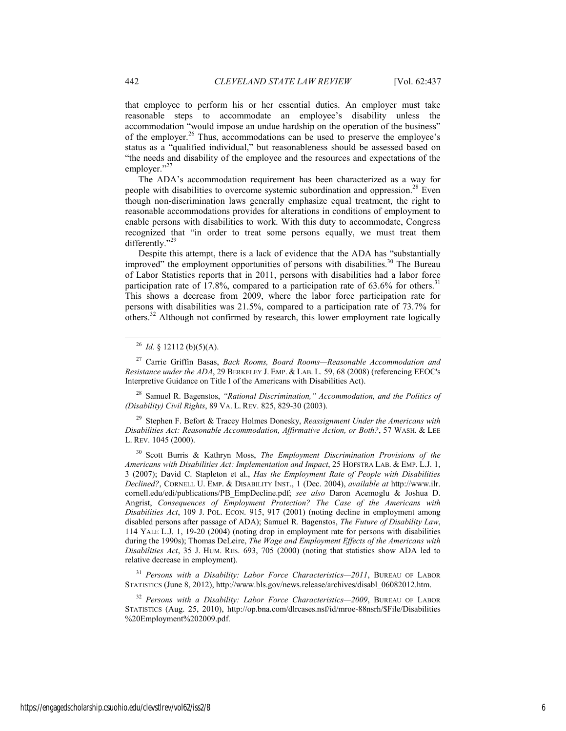that employee to perform his or her essential duties. An employer must take reasonable steps to accommodate an employee's disability unless the accommodation "would impose an undue hardship on the operation of the business" of the employer.<sup>26</sup> Thus, accommodations can be used to preserve the employee's status as a "qualified individual," but reasonableness should be assessed based on "the needs and disability of the employee and the resources and expectations of the employer."<sup>27</sup>

The ADA's accommodation requirement has been characterized as a way for people with disabilities to overcome systemic subordination and oppression.<sup>28</sup> Even though non-discrimination laws generally emphasize equal treatment, the right to reasonable accommodations provides for alterations in conditions of employment to enable persons with disabilities to work. With this duty to accommodate, Congress recognized that "in order to treat some persons equally, we must treat them differently."<sup>29</sup>

Despite this attempt, there is a lack of evidence that the ADA has "substantially improved" the employment opportunities of persons with disabilities.<sup>30</sup> The Bureau of Labor Statistics reports that in 2011, persons with disabilities had a labor force participation rate of 17.8%, compared to a participation rate of  $63.6\%$  for others.<sup>31</sup> This shows a decrease from 2009, where the labor force participation rate for persons with disabilities was 21.5%, compared to a participation rate of 73.7% for others.32 Although not confirmed by research, this lower employment rate logically

27 Carrie Griffin Basas, *Back Rooms, Board Rooms—Reasonable Accommodation and Resistance under the ADA*, 29 BERKELEY J. EMP. & LAB. L. 59, 68 (2008) (referencing EEOC's Interpretive Guidance on Title I of the Americans with Disabilities Act).

28 Samuel R. Bagenstos, *"Rational Discrimination," Accommodation, and the Politics of (Disability) Civil Rights*, 89 VA. L. REV. 825, 829-30 (2003).

29 Stephen F. Befort & Tracey Holmes Donesky, *Reassignment Under the Americans with Disabilities Act: Reasonable Accommodation, Affirmative Action, or Both?*, 57 WASH. & LEE L. REV. 1045 (2000).

30 Scott Burris & Kathryn Moss, *The Employment Discrimination Provisions of the Americans with Disabilities Act: Implementation and Impact*, 25 HOFSTRA LAB. & EMP. L.J. 1, 3 (2007); David C. Stapleton et al., *Has the Employment Rate of People with Disabilities Declined?*, CORNELL U. EMP. & DISABILITY INST., 1 (Dec. 2004), *available at* http://www.ilr. cornell.edu/edi/publications/PB\_EmpDecline.pdf; *see also* Daron Acemoglu & Joshua D. Angrist, *Consequences of Employment Protection? The Case of the Americans with Disabilities Act*, 109 J. POL. ECON. 915, 917 (2001) (noting decline in employment among disabled persons after passage of ADA); Samuel R. Bagenstos, *The Future of Disability Law*, 114 YALE L.J. 1, 19-20 (2004) (noting drop in employment rate for persons with disabilities during the 1990s); Thomas DeLeire, *The Wage and Employment Effects of the Americans with Disabilities Act*, 35 J. HUM. RES. 693, 705 (2000) (noting that statistics show ADA led to relative decrease in employment).

<sup>31</sup> *Persons with a Disability: Labor Force Characteristics—2011*, BUREAU OF LABOR STATISTICS (June 8, 2012), http://www.bls.gov/news.release/archives/disabl\_06082012.htm.

<sup>32</sup> *Persons with a Disability: Labor Force Characteristics—2009*, BUREAU OF LABOR STATISTICS (Aug. 25, 2010), http://op.bna.com/dlrcases.nsf/id/mroe-88nsrh/\$File/Disabilities %20Employment%202009.pdf.

 $^{26}$  *Id.* § 12112 (b)(5)(A).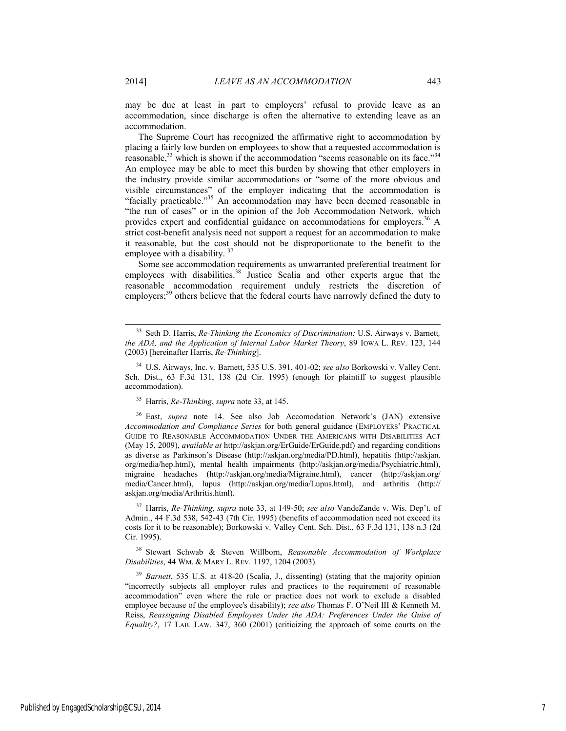may be due at least in part to employers' refusal to provide leave as an accommodation, since discharge is often the alternative to extending leave as an accommodation.

The Supreme Court has recognized the affirmative right to accommodation by placing a fairly low burden on employees to show that a requested accommodation is reasonable, $33$  which is shown if the accommodation "seems reasonable on its face." $34$ An employee may be able to meet this burden by showing that other employers in the industry provide similar accommodations or "some of the more obvious and visible circumstances" of the employer indicating that the accommodation is "facially practicable."<sup>35</sup> An accommodation may have been deemed reasonable in "the run of cases" or in the opinion of the Job Accommodation Network, which provides expert and confidential guidance on accommodations for employers.<sup>36</sup> A strict cost-benefit analysis need not support a request for an accommodation to make it reasonable, but the cost should not be disproportionate to the benefit to the employee with a disability.  $3$ 

Some see accommodation requirements as unwarranted preferential treatment for employees with disabilities.<sup>38</sup> Justice Scalia and other experts argue that the reasonable accommodation requirement unduly restricts the discretion of employers;<sup>39</sup> others believe that the federal courts have narrowly defined the duty to

35 Harris, *Re-Thinking*, *supra* note 33, at 145.

36 East, *supra* note 14. See also Job Accomodation Network's (JAN) extensive *Accommodation and Compliance Series* for both general guidance (EMPLOYERS' PRACTICAL GUIDE TO REASONABLE ACCOMMODATION UNDER THE AMERICANS WITH DISABILITIES ACT (May 15, 2009), *available at* http://askjan.org/ErGuide/ErGuide.pdf) and regarding conditions as diverse as Parkinson's Disease (http://askjan.org/media/PD.html), hepatitis (http://askjan. org/media/hep.html), mental health impairments (http://askjan.org/media/Psychiatric.html), migraine headaches (http://askjan.org/media/Migraine.html), cancer (http://askjan.org/ media/Cancer.html), lupus (http://askjan.org/media/Lupus.html), and arthritis (http:// askjan.org/media/Arthritis.html).

37 Harris, *Re-Thinking*, *supra* note 33, at 149-50; *see also* VandeZande v. Wis. Dep't. of Admin., 44 F.3d 538, 542-43 (7th Cir. 1995) (benefits of accommodation need not exceed its costs for it to be reasonable); Borkowski v. Valley Cent. Sch. Dist., 63 F.3d 131, 138 n.3 (2d Cir. 1995).

38 Stewart Schwab & Steven Willborn, *Reasonable Accommodation of Workplace Disabilities*, 44 WM. & MARY L. REV. 1197, 1204 (2003).

<sup>39</sup> *Barnett*, 535 U.S. at 418-20 (Scalia, J., dissenting) (stating that the majority opinion "incorrectly subjects all employer rules and practices to the requirement of reasonable accommodation" even where the rule or practice does not work to exclude a disabled employee because of the employee's disability); *see also* Thomas F. O'Neil III & Kenneth M. Reiss, *Reassigning Disabled Employees Under the ADA: Preferences Under the Guise of Equality?*, 17 LAB. LAW. 347, 360 (2001) (criticizing the approach of some courts on the

 <sup>33</sup> Seth D. Harris, *Re-Thinking the Economics of Discrimination:* U.S. Airways v. Barnett*, the ADA, and the Application of Internal Labor Market Theory*, 89 IOWA L. REV. 123, 144 (2003) [hereinafter Harris, *Re-Thinking*].

<sup>34</sup> U.S. Airways, Inc. v. Barnett, 535 U.S. 391, 401-02; *see also* Borkowski v. Valley Cent. Sch. Dist., 63 F.3d 131, 138 (2d Cir. 1995) (enough for plaintiff to suggest plausible accommodation).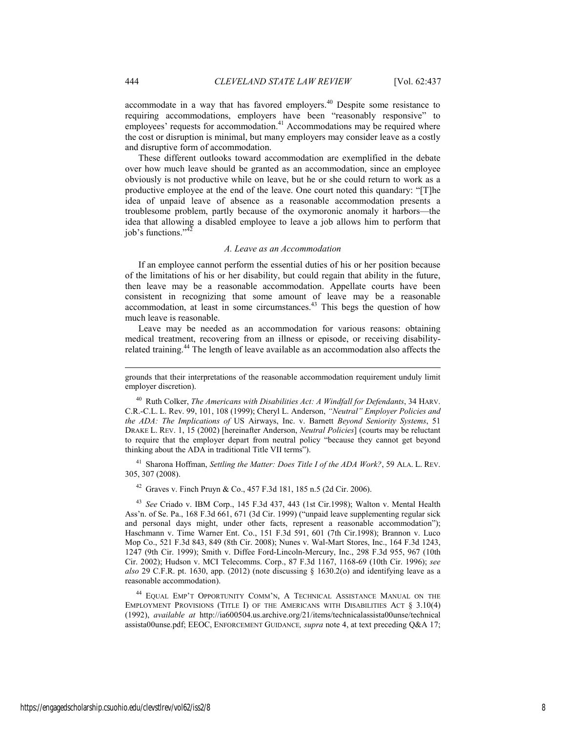accommodate in a way that has favored employers. $40$  Despite some resistance to requiring accommodations, employers have been "reasonably responsive" to employees' requests for accommodation.<sup>41</sup> Accommodations may be required where the cost or disruption is minimal, but many employers may consider leave as a costly and disruptive form of accommodation.

These different outlooks toward accommodation are exemplified in the debate over how much leave should be granted as an accommodation, since an employee obviously is not productive while on leave, but he or she could return to work as a productive employee at the end of the leave. One court noted this quandary: "[T]he idea of unpaid leave of absence as a reasonable accommodation presents a troublesome problem, partly because of the oxymoronic anomaly it harbors—the idea that allowing a disabled employee to leave a job allows him to perform that iob's functions." $4$ 

### *A. Leave as an Accommodation*

If an employee cannot perform the essential duties of his or her position because of the limitations of his or her disability, but could regain that ability in the future, then leave may be a reasonable accommodation. Appellate courts have been consistent in recognizing that some amount of leave may be a reasonable accommodation, at least in some circumstances.<sup>43</sup> This begs the question of how much leave is reasonable.

Leave may be needed as an accommodation for various reasons: obtaining medical treatment, recovering from an illness or episode, or receiving disabilityrelated training.<sup>44</sup> The length of leave available as an accommodation also affects the

40 Ruth Colker, *The Americans with Disabilities Act: A Windfall for Defendants*, 34 HARV. C.R.-C.L. L. Rev. 99, 101, 108 (1999); Cheryl L. Anderson, *"Neutral" Employer Policies and the ADA: The Implications of* US Airways, Inc. v. Barnett *Beyond Seniority Systems*, 51 DRAKE L. REV. 1, 15 (2002) [hereinafter Anderson, *Neutral Policies*] (courts may be reluctant to require that the employer depart from neutral policy "because they cannot get beyond thinking about the ADA in traditional Title VII terms").

41 Sharona Hoffman, *Settling the Matter: Does Title I of the ADA Work?*, 59 ALA. L. REV. 305, 307 (2008).

42 Graves v. Finch Pruyn & Co., 457 F.3d 181, 185 n.5 (2d Cir. 2006).

<sup>43</sup> *See* Criado v. IBM Corp., 145 F.3d 437, 443 (1st Cir.1998); Walton v. Mental Health Ass'n. of Se. Pa., 168 F.3d 661, 671 (3d Cir. 1999) ("unpaid leave supplementing regular sick and personal days might, under other facts, represent a reasonable accommodation"); Haschmann v. Time Warner Ent. Co., 151 F.3d 591, 601 (7th Cir.1998); Brannon v. Luco Mop Co., 521 F.3d 843, 849 (8th Cir. 2008); Nunes v. Wal-Mart Stores, Inc., 164 F.3d 1243, 1247 (9th Cir. 1999); Smith v. Diffee Ford-Lincoln-Mercury, Inc., 298 F.3d 955, 967 (10th Cir. 2002); Hudson v. MCI Telecomms. Corp., 87 F.3d 1167, 1168-69 (10th Cir. 1996); *see also* 29 C.F.R. pt. 1630, app. (2012) (note discussing  $\S$  1630.2(o) and identifying leave as a reasonable accommodation).

44 EQUAL EMP'T OPPORTUNITY COMM'N, A TECHNICAL ASSISTANCE MANUAL ON THE EMPLOYMENT PROVISIONS (TITLE I) OF THE AMERICANS WITH DISABILITIES ACT § 3.10(4) (1992), *available at* http://ia600504.us.archive.org/21/items/technicalassista00unse/technical assista00unse.pdf; EEOC, ENFORCEMENT GUIDANCE*, supra* note 4, at text preceding Q&A 17;

l

grounds that their interpretations of the reasonable accommodation requirement unduly limit employer discretion).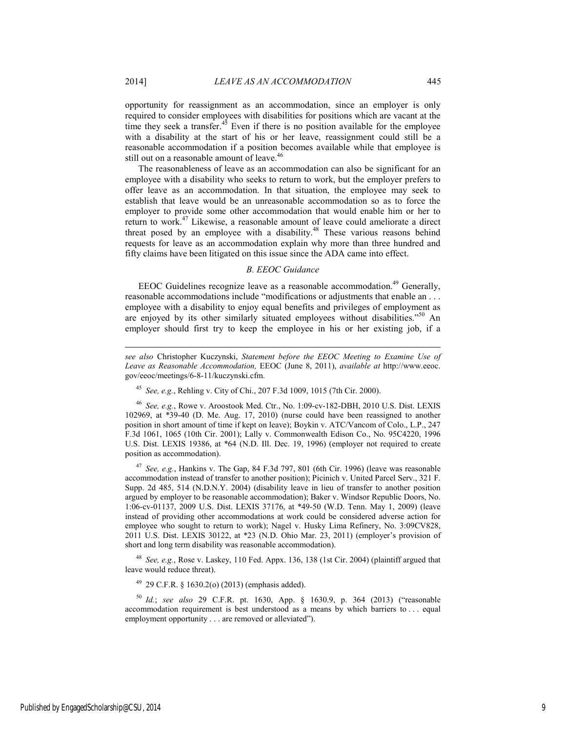opportunity for reassignment as an accommodation, since an employer is only required to consider employees with disabilities for positions which are vacant at the time they seek a transfer. $45$  Even if there is no position available for the employee with a disability at the start of his or her leave, reassignment could still be a reasonable accommodation if a position becomes available while that employee is still out on a reasonable amount of leave.<sup>46</sup>

The reasonableness of leave as an accommodation can also be significant for an employee with a disability who seeks to return to work, but the employer prefers to offer leave as an accommodation. In that situation, the employee may seek to establish that leave would be an unreasonable accommodation so as to force the employer to provide some other accommodation that would enable him or her to return to work.47 Likewise, a reasonable amount of leave could ameliorate a direct threat posed by an employee with a disability.<sup>48</sup> These various reasons behind requests for leave as an accommodation explain why more than three hundred and fifty claims have been litigated on this issue since the ADA came into effect.

### *B. EEOC Guidance*

EEOC Guidelines recognize leave as a reasonable accommodation.<sup>49</sup> Generally, reasonable accommodations include "modifications or adjustments that enable an . . . employee with a disability to enjoy equal benefits and privileges of employment as are enjoyed by its other similarly situated employees without disabilities."<sup>50</sup> An employer should first try to keep the employee in his or her existing job, if a

<sup>45</sup> *See, e.g.*, Rehling v. City of Chi., 207 F.3d 1009, 1015 (7th Cir. 2000).

<sup>46</sup> *See, e.g.*, Rowe v. Aroostook Med. Ctr., No. 1:09-cv-182-DBH, 2010 U.S. Dist. LEXIS 102969, at \*39-40 (D. Me. Aug. 17, 2010) (nurse could have been reassigned to another position in short amount of time if kept on leave); Boykin v. ATC/Vancom of Colo., L.P., 247 F.3d 1061, 1065 (10th Cir. 2001); Lally v. Commonwealth Edison Co., No. 95C4220, 1996 U.S. Dist. LEXIS 19386, at \*64 (N.D. Ill. Dec. 19, 1996) (employer not required to create position as accommodation).

<sup>47</sup> *See, e.g.*, Hankins v. The Gap, 84 F.3d 797, 801 (6th Cir. 1996) (leave was reasonable accommodation instead of transfer to another position); Picinich v. United Parcel Serv., 321 F. Supp. 2d 485, 514 (N.D.N.Y. 2004) (disability leave in lieu of transfer to another position argued by employer to be reasonable accommodation); Baker v. Windsor Republic Doors, No. 1:06-cv-01137, 2009 U.S. Dist. LEXIS 37176, at \*49-50 (W.D. Tenn. May 1, 2009) (leave instead of providing other accommodations at work could be considered adverse action for employee who sought to return to work); Nagel v. Husky Lima Refinery, No. 3:09CV828, 2011 U.S. Dist. LEXIS 30122, at \*23 (N.D. Ohio Mar. 23, 2011) (employer's provision of short and long term disability was reasonable accommodation).

<sup>48</sup> *See, e.g.*, Rose v. Laskey, 110 Fed. Appx. 136, 138 (1st Cir. 2004) (plaintiff argued that leave would reduce threat).

 $49$  29 C.F.R. § 1630.2(o) (2013) (emphasis added).

<sup>50</sup> *Id.*; *see also* 29 C.F.R. pt. 1630, App. § 1630.9, p. 364 (2013) ("reasonable accommodation requirement is best understood as a means by which barriers to . . . equal employment opportunity . . . are removed or alleviated").

l

*see also* Christopher Kuczynski, *Statement before the EEOC Meeting to Examine Use of Leave as Reasonable Accommodation,* EEOC (June 8, 2011), *available at* http://www.eeoc. gov/eeoc/meetings/6-8-11/kuczynski.cfm.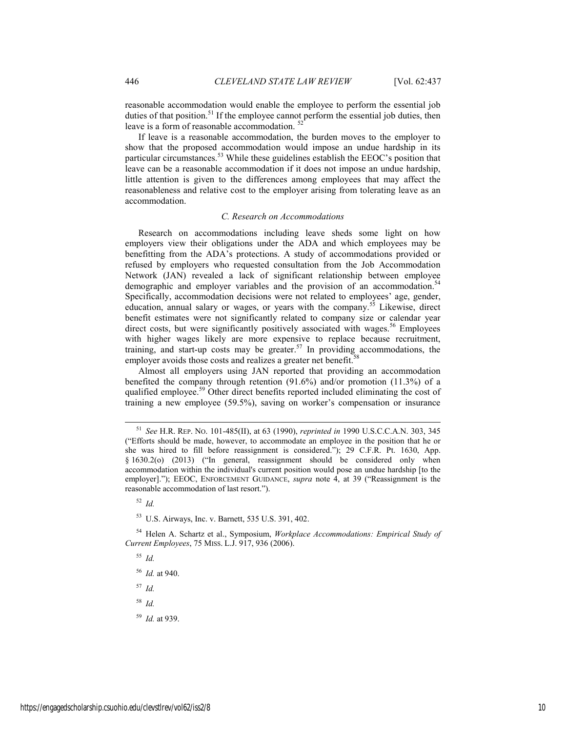reasonable accommodation would enable the employee to perform the essential job duties of that position.<sup>51</sup> If the employee cannot perform the essential job duties, then leave is a form of reasonable accommodation.  $5$ 

If leave is a reasonable accommodation, the burden moves to the employer to show that the proposed accommodation would impose an undue hardship in its particular circumstances.<sup>53</sup> While these guidelines establish the EEOC's position that leave can be a reasonable accommodation if it does not impose an undue hardship, little attention is given to the differences among employees that may affect the reasonableness and relative cost to the employer arising from tolerating leave as an accommodation.

#### *C. Research on Accommodations*

Research on accommodations including leave sheds some light on how employers view their obligations under the ADA and which employees may be benefitting from the ADA's protections. A study of accommodations provided or refused by employers who requested consultation from the Job Accommodation Network (JAN) revealed a lack of significant relationship between employee demographic and employer variables and the provision of an accommodation.<sup>54</sup> Specifically, accommodation decisions were not related to employees' age, gender, education, annual salary or wages, or years with the company.<sup>55</sup> Likewise, direct benefit estimates were not significantly related to company size or calendar year direct costs, but were significantly positively associated with wages.<sup>56</sup> Employees with higher wages likely are more expensive to replace because recruitment, training, and start-up costs may be greater.<sup>57</sup> In providing accommodations, the employer avoids those costs and realizes a greater net benefit.<sup>58</sup>

Almost all employers using JAN reported that providing an accommodation benefited the company through retention (91.6%) and/or promotion (11.3%) of a qualified employee.<sup>59</sup> Other direct benefits reported included eliminating the cost of training a new employee (59.5%), saving on worker's compensation or insurance

<sup>52</sup> *Id.*

53 U.S. Airways, Inc. v. Barnett, 535 U.S. 391, 402.

54 Helen A. Schartz et al., Symposium, *Workplace Accommodations: Empirical Study of Current Employees*, 75 MISS. L.J. 917, 936 (2006).

<sup>55</sup> *Id.*

<sup>56</sup> *Id.* at 940.

<sup>57</sup> *Id.*

<sup>58</sup> *Id.*

<sup>59</sup> *Id.* at 939.

 <sup>51</sup> *See* H.R. REP. NO. 101-485(II), at 63 (1990), *reprinted in* 1990 U.S.C.C.A.N. 303, 345 ("Efforts should be made, however, to accommodate an employee in the position that he or she was hired to fill before reassignment is considered."); 29 C.F.R. Pt. 1630, App. § 1630.2(o) (2013) ("In general, reassignment should be considered only when accommodation within the individual's current position would pose an undue hardship [to the employer]."); EEOC, ENFORCEMENT GUIDANCE, *supra* note 4, at 39 ("Reassignment is the reasonable accommodation of last resort.").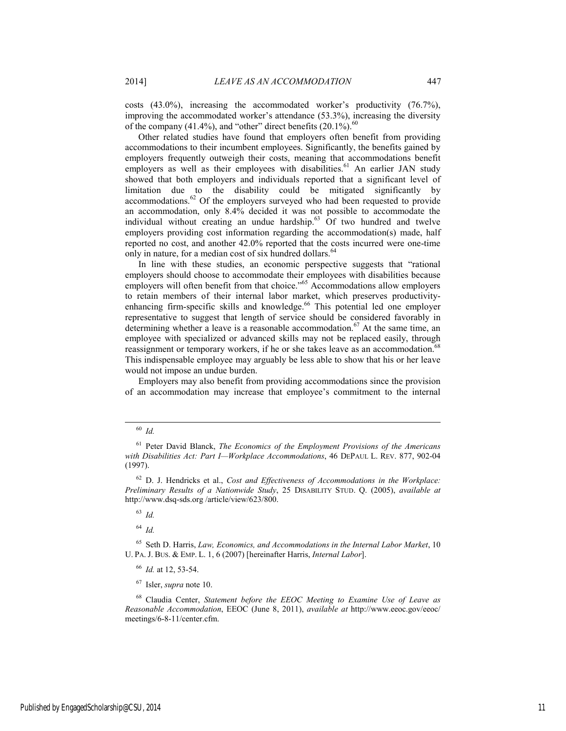costs (43.0%), increasing the accommodated worker's productivity (76.7%), improving the accommodated worker's attendance (53.3%), increasing the diversity of the company (41.4%), and "other" direct benefits  $(20.1\%)$ .<sup>60</sup>

Other related studies have found that employers often benefit from providing accommodations to their incumbent employees. Significantly, the benefits gained by employers frequently outweigh their costs, meaning that accommodations benefit employers as well as their employees with disabilities.<sup>61</sup> An earlier JAN study showed that both employers and individuals reported that a significant level of limitation due to the disability could be mitigated significantly by  $\alpha$  accommodations.<sup>62</sup> Of the employers surveyed who had been requested to provide an accommodation, only 8.4% decided it was not possible to accommodate the individual without creating an undue hardship. $63 \text{ Of two hundred and twelve}$ employers providing cost information regarding the accommodation(s) made, half reported no cost, and another 42.0% reported that the costs incurred were one-time only in nature, for a median cost of six hundred dollars.<sup>64</sup>

In line with these studies, an economic perspective suggests that "rational employers should choose to accommodate their employees with disabilities because employers will often benefit from that choice."<sup>65</sup> Accommodations allow employers to retain members of their internal labor market, which preserves productivityenhancing firm-specific skills and knowledge.<sup>66</sup> This potential led one employer representative to suggest that length of service should be considered favorably in determining whether a leave is a reasonable accommodation.<sup>67</sup> At the same time, an employee with specialized or advanced skills may not be replaced easily, through reassignment or temporary workers, if he or she takes leave as an accommodation.<sup>68</sup> This indispensable employee may arguably be less able to show that his or her leave would not impose an undue burden.

Employers may also benefit from providing accommodations since the provision of an accommodation may increase that employee's commitment to the internal

<sup>64</sup> *Id.*

65 Seth D. Harris, *Law, Economics, and Accommodations in the Internal Labor Market*, 10 U. PA. J. BUS. & EMP. L. 1, 6 (2007) [hereinafter Harris, *Internal Labor*].

<sup>66</sup> *Id.* at 12, 53-54.

67 Isler, *supra* note 10.

68 Claudia Center, *Statement before the EEOC Meeting to Examine Use of Leave as Reasonable Accommodation*, EEOC (June 8, 2011), *available at* http://www.eeoc.gov/eeoc/ meetings/6-8-11/center.cfm.

 <sup>60</sup> *Id.*

<sup>61</sup> Peter David Blanck, *The Economics of the Employment Provisions of the Americans with Disabilities Act: Part I—Workplace Accommodations*, 46 DEPAUL L. REV. 877, 902-04 (1997).

<sup>62</sup> D. J. Hendricks et al., *Cost and Effectiveness of Accommodations in the Workplace: Preliminary Results of a Nationwide Study*, 25 DISABILITY STUD. Q. (2005), *available at*  http://www.dsq-sds.org /article/view/623/800.

<sup>63</sup> *Id.*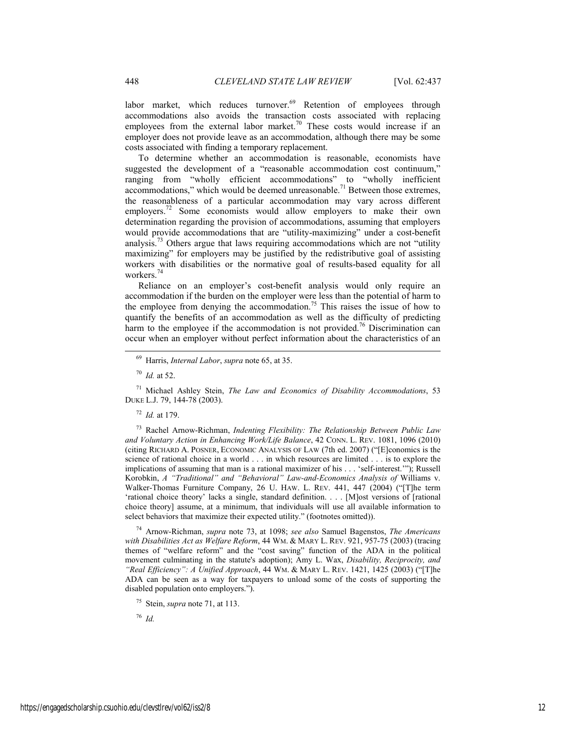labor market, which reduces turnover.<sup>69</sup> Retention of employees through accommodations also avoids the transaction costs associated with replacing employees from the external labor market.<sup>70</sup> These costs would increase if an employer does not provide leave as an accommodation, although there may be some costs associated with finding a temporary replacement.

To determine whether an accommodation is reasonable, economists have suggested the development of a "reasonable accommodation cost continuum," ranging from "wholly efficient accommodations" to "wholly inefficient accommodations," which would be deemed unreasonable.<sup>71</sup> Between those extremes, the reasonableness of a particular accommodation may vary across different employers.<sup>72</sup> Some economists would allow employers to make their own determination regarding the provision of accommodations, assuming that employers would provide accommodations that are "utility-maximizing" under a cost-benefit analysis.73 Others argue that laws requiring accommodations which are not "utility maximizing" for employers may be justified by the redistributive goal of assisting workers with disabilities or the normative goal of results-based equality for all workers.<sup>74</sup>

Reliance on an employer's cost-benefit analysis would only require an accommodation if the burden on the employer were less than the potential of harm to the employee from denying the accommodation.<sup>75</sup> This raises the issue of how to quantify the benefits of an accommodation as well as the difficulty of predicting harm to the employee if the accommodation is not provided.<sup>76</sup> Discrimination can occur when an employer without perfect information about the characteristics of an

71 Michael Ashley Stein, *The Law and Economics of Disability Accommodations*, 53 DUKE L.J. 79, 144-78 (2003).

<sup>72</sup> *Id.* at 179.

73 Rachel Arnow-Richman, *Indenting Flexibility: The Relationship Between Public Law and Voluntary Action in Enhancing Work/Life Balance*, 42 CONN. L. REV. 1081, 1096 (2010) (citing RICHARD A. POSNER, ECONOMIC ANALYSIS OF LAW (7th ed. 2007) ("[E]conomics is the science of rational choice in a world . . . in which resources are limited . . . is to explore the implications of assuming that man is a rational maximizer of his . . . 'self-interest.'"); Russell Korobkin, *A "Traditional" and "Behavioral" Law-and-Economics Analysis of* Williams v. Walker-Thomas Furniture Company, 26 U. HAW. L. REV. 441, 447 (2004) ("[T]he term 'rational choice theory' lacks a single, standard definition. . . . [M]ost versions of [rational choice theory] assume, at a minimum, that individuals will use all available information to select behaviors that maximize their expected utility." (footnotes omitted)).

74 Arnow-Richman, *supra* note 73, at 1098; *see also* Samuel Bagenstos, *The Americans with Disabilities Act as Welfare Reform*, 44 WM. & MARY L. REV. 921, 957-75 (2003) (tracing themes of "welfare reform" and the "cost saving" function of the ADA in the political movement culminating in the statute's adoption); Amy L. Wax, *Disability, Reciprocity, and "Real Efficiency": A Unified Approach*, 44 WM. & MARY L. REV. 1421, 1425 (2003) ("[T]he ADA can be seen as a way for taxpayers to unload some of the costs of supporting the disabled population onto employers.").

<sup>76</sup> *Id.*

 <sup>69</sup> Harris, *Internal Labor*, *supra* note 65, at 35.

<sup>70</sup> *Id.* at 52.

<sup>75</sup> Stein, *supra* note 71, at 113.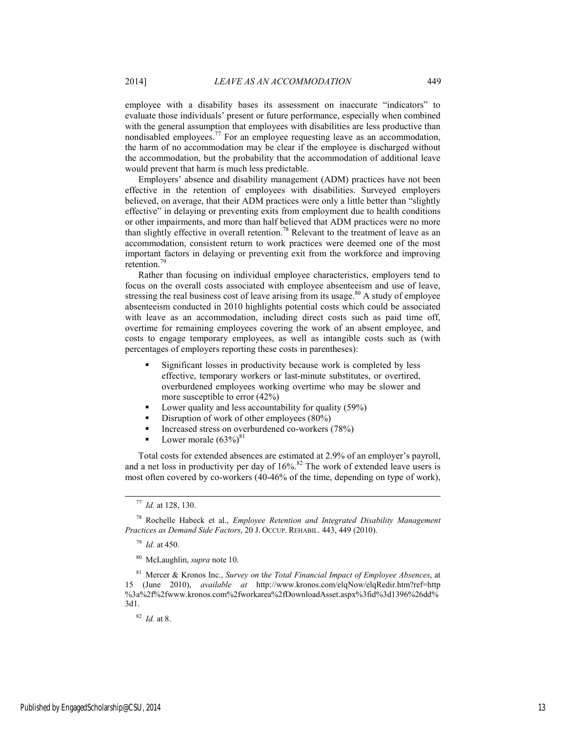employee with a disability bases its assessment on inaccurate "indicators" to evaluate those individuals' present or future performance, especially when combined with the general assumption that employees with disabilities are less productive than nondisabled employees.<sup>77</sup> For an employee requesting leave as an accommodation, the harm of no accommodation may be clear if the employee is discharged without the accommodation, but the probability that the accommodation of additional leave would prevent that harm is much less predictable.

Employers' absence and disability management (ADM) practices have not been effective in the retention of employees with disabilities. Surveyed employers believed, on average, that their ADM practices were only a little better than "slightly effective" in delaying or preventing exits from employment due to health conditions or other impairments, and more than half believed that ADM practices were no more than slightly effective in overall retention.<sup>78</sup> Relevant to the treatment of leave as an accommodation, consistent return to work practices were deemed one of the most important factors in delaying or preventing exit from the workforce and improving retention.<sup>79</sup>

Rather than focusing on individual employee characteristics, employers tend to focus on the overall costs associated with employee absenteeism and use of leave, stressing the real business cost of leave arising from its usage.<sup>80</sup> A study of employee absenteeism conducted in 2010 highlights potential costs which could be associated with leave as an accommodation, including direct costs such as paid time off, overtime for remaining employees covering the work of an absent employee, and costs to engage temporary employees, as well as intangible costs such as (with percentages of employers reporting these costs in parentheses):

- Significant losses in productivity because work is completed by less effective, temporary workers or last-minute substitutes, or overtired, overburdened employees working overtime who may be slower and more susceptible to error (42%)
- **Lower quality and less accountability for quality (59%)**
- Disruption of work of other employees  $(80\%)$
- Increased stress on overburdened co-workers (78%)
- Lower morale  $(63\%)^{81}$

Total costs for extended absences are estimated at 2.9% of an employer's payroll, and a net loss in productivity per day of  $16\%$ .<sup>82</sup> The work of extended leave users is most often covered by co-workers (40-46% of the time, depending on type of work),

<sup>79</sup> *Id.* at 450.

<sup>82</sup> *Id.* at 8.

 <sup>77</sup> *Id.* at 128, 130.

<sup>78</sup> Rochelle Habeck et al., *Employee Retention and Integrated Disability Management Practices as Demand Side Factors*, 20 J. OCCUP. REHABIL. 443, 449 (2010).

<sup>80</sup> McLaughlin, *supra* note 10.

<sup>81</sup> Mercer & Kronos Inc., *Survey on* t*he Total Financial Impact of Employee Absences*, at 15 (June 2010), *available at* http://www.kronos.com/elqNow/elqRedir.htm?ref=http %3a%2f%2fwww.kronos.com%2fworkarea%2fDownloadAsset.aspx%3fid%3d1396%26dd% 3d1.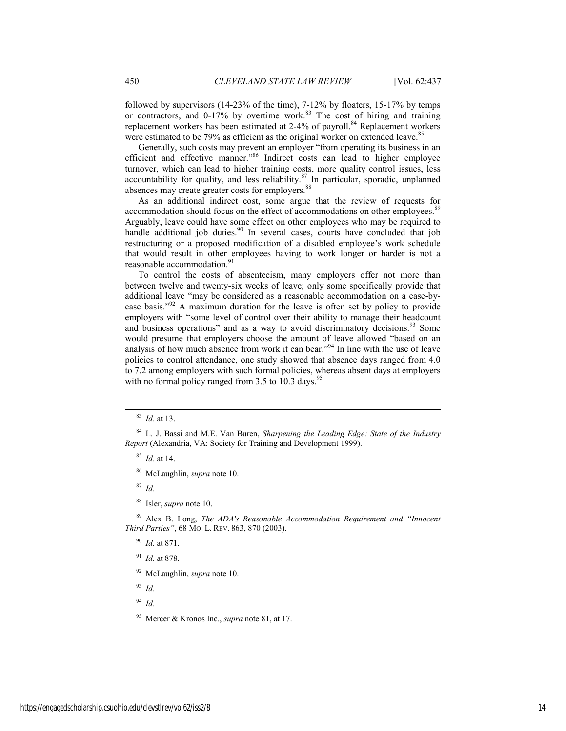followed by supervisors (14-23% of the time), 7-12% by floaters, 15-17% by temps or contractors, and  $0-17\%$  by overtime work.<sup>83</sup> The cost of hiring and training replacement workers has been estimated at 2-4% of payroll.<sup>84</sup> Replacement workers were estimated to be 79% as efficient as the original worker on extended leave.<sup>85</sup>

Generally, such costs may prevent an employer "from operating its business in an efficient and effective manner."86 Indirect costs can lead to higher employee turnover, which can lead to higher training costs, more quality control issues, less accountability for quality, and less reliability. $87$  In particular, sporadic, unplanned absences may create greater costs for employers.<sup>88</sup>

As an additional indirect cost, some argue that the review of requests for accommodation should focus on the effect of accommodations on other employees.<sup>89</sup> Arguably, leave could have some effect on other employees who may be required to handle additional job duties.<sup>90</sup> In several cases, courts have concluded that job restructuring or a proposed modification of a disabled employee's work schedule that would result in other employees having to work longer or harder is not a reasonable accommodation.<sup>9</sup>

To control the costs of absenteeism, many employers offer not more than between twelve and twenty-six weeks of leave; only some specifically provide that additional leave "may be considered as a reasonable accommodation on a case-bycase basis."92 A maximum duration for the leave is often set by policy to provide employers with "some level of control over their ability to manage their headcount and business operations" and as a way to avoid discriminatory decisions.<sup>93</sup> Some would presume that employers choose the amount of leave allowed "based on an analysis of how much absence from work it can bear."94 In line with the use of leave policies to control attendance, one study showed that absence days ranged from 4.0 to 7.2 among employers with such formal policies, whereas absent days at employers with no formal policy ranged from  $3.5$  to  $10.3$  days.<sup>9</sup>

<sup>85</sup> *Id.* at 14.

86 McLaughlin, *supra* note 10.

<sup>87</sup> *Id.*

88 Isler, *supra* note 10.

89 Alex B. Long, *The ADA's Reasonable Accommodation Requirement and "Innocent Third Parties"*, 68 MO. L. REV. 863, 870 (2003).

<sup>90</sup> *Id.* at 871.

<sup>91</sup> *Id.* at 878.

92 McLaughlin, *supra* note 10.

<sup>93</sup> *Id.* 

<sup>94</sup> *Id.*

95 Mercer & Kronos Inc., *supra* note 81, at 17.

 <sup>83</sup> *Id.* at 13.

<sup>84</sup> L. J. Bassi and M.E. Van Buren, *Sharpening the Leading Edge: State of the Industry Report* (Alexandria, VA: Society for Training and Development 1999).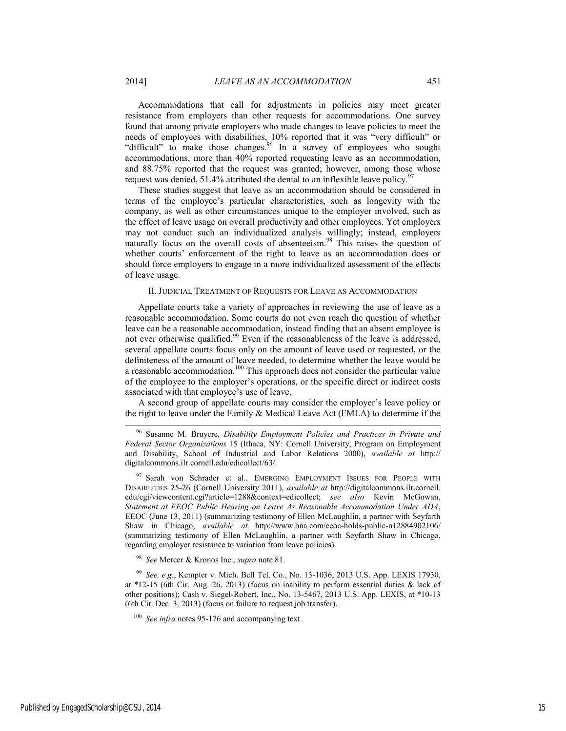Accommodations that call for adjustments in policies may meet greater resistance from employers than other requests for accommodations. One survey found that among private employers who made changes to leave policies to meet the needs of employees with disabilities, 10% reported that it was "very difficult" or "difficult" to make those changes.<sup>96</sup> In a survey of employees who sought accommodations, more than 40% reported requesting leave as an accommodation, and 88.75% reported that the request was granted; however, among those whose request was denied, 51.4% attributed the denial to an inflexible leave policy.<sup>9</sup>

These studies suggest that leave as an accommodation should be considered in terms of the employee's particular characteristics, such as longevity with the company, as well as other circumstances unique to the employer involved, such as the effect of leave usage on overall productivity and other employees. Yet employers may not conduct such an individualized analysis willingly; instead, employers naturally focus on the overall costs of absenteeism.<sup>98</sup> This raises the question of whether courts' enforcement of the right to leave as an accommodation does or should force employers to engage in a more individualized assessment of the effects of leave usage.

#### II. JUDICIAL TREATMENT OF REQUESTS FOR LEAVE AS ACCOMMODATION

Appellate courts take a variety of approaches in reviewing the use of leave as a reasonable accommodation. Some courts do not even reach the question of whether leave can be a reasonable accommodation, instead finding that an absent employee is not ever otherwise qualified.<sup>99</sup> Even if the reasonableness of the leave is addressed, several appellate courts focus only on the amount of leave used or requested, or the definiteness of the amount of leave needed, to determine whether the leave would be a reasonable accommodation.<sup>100</sup> This approach does not consider the particular value of the employee to the employer's operations, or the specific direct or indirect costs associated with that employee's use of leave.

A second group of appellate courts may consider the employer's leave policy or the right to leave under the Family & Medical Leave Act (FMLA) to determine if the

<sup>98</sup> *See* Mercer & Kronos Inc., *supra* note 81.

<sup>99</sup> *See, e.g.*, Kempter v. Mich. Bell Tel. Co., No. 13-1036, 2013 U.S. App. LEXIS 17930, at \*12-15 (6th Cir. Aug. 26, 2013) (focus on inability to perform essential duties & lack of other positions); Cash v. Siegel-Robert, Inc., No. 13-5467, 2013 U.S. App. LEXIS, at \*10-13 (6th Cir. Dec. 3, 2013) (focus on failure to request job transfer).

<sup>100</sup> See infra notes 95-176 and accompanying text.

 <sup>96</sup> Susanne M. Bruyere, *Disability Employment Policies and Practices in Private and Federal Sector Organizations* 15 (Ithaca, NY: Cornell University, Program on Employment and Disability, School of Industrial and Labor Relations 2000), *available at* http:// digitalcommons.ilr.cornell.edu/edicollect/63/.

Sarah von Schrader et al., EMERGING EMPLOYMENT ISSUES FOR PEOPLE WITH DISABILITIES 25-26 (Cornell University 2011), *available at* http://digitalcommons.ilr.cornell. edu/cgi/viewcontent.cgi?article=1288&context=edicollect; *see also* Kevin McGowan, *Statement at EEOC Public Hearing on Leave As Reasonable Accommodation Under ADA*, EEOC (June 13, 2011) (summarizing testimony of Ellen McLaughlin, a partner with Seyfarth Shaw in Chicago, *available at* http://www.bna.com/eeoc-holds-public-n12884902106/ (summarizing testimony of Ellen McLaughlin, a partner with Seyfarth Shaw in Chicago, regarding employer resistance to variation from leave policies).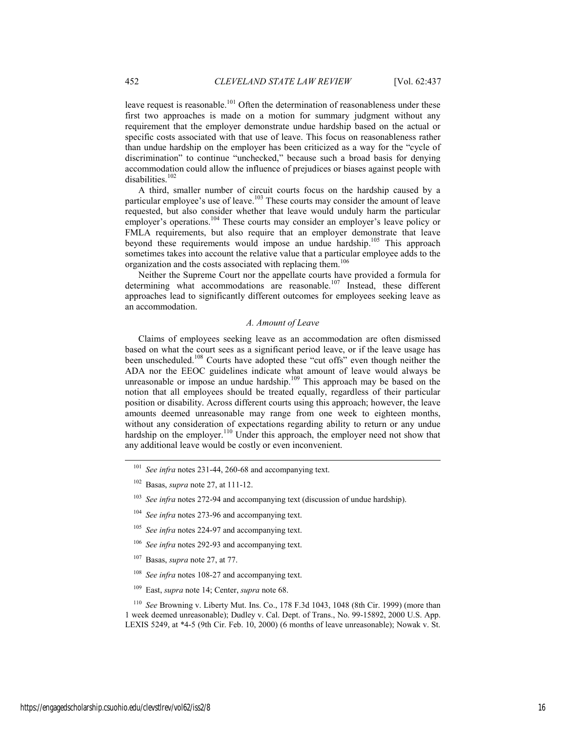leave request is reasonable.<sup>101</sup> Often the determination of reasonableness under these first two approaches is made on a motion for summary judgment without any requirement that the employer demonstrate undue hardship based on the actual or specific costs associated with that use of leave. This focus on reasonableness rather than undue hardship on the employer has been criticized as a way for the "cycle of discrimination" to continue "unchecked," because such a broad basis for denying accommodation could allow the influence of prejudices or biases against people with disabilities.<sup>102</sup>

A third, smaller number of circuit courts focus on the hardship caused by a particular employee's use of leave.<sup>103</sup> These courts may consider the amount of leave requested, but also consider whether that leave would unduly harm the particular employer's operations.<sup>104</sup> These courts may consider an employer's leave policy or FMLA requirements, but also require that an employer demonstrate that leave beyond these requirements would impose an undue hardship.<sup>105</sup> This approach sometimes takes into account the relative value that a particular employee adds to the organization and the costs associated with replacing them.<sup>106</sup>

Neither the Supreme Court nor the appellate courts have provided a formula for determining what accommodations are reasonable.<sup>107</sup> Instead, these different approaches lead to significantly different outcomes for employees seeking leave as an accommodation.

#### *A. Amount of Leave*

Claims of employees seeking leave as an accommodation are often dismissed based on what the court sees as a significant period leave, or if the leave usage has been unscheduled.108 Courts have adopted these "cut offs" even though neither the ADA nor the EEOC guidelines indicate what amount of leave would always be unreasonable or impose an undue hardship.<sup>109</sup> This approach may be based on the notion that all employees should be treated equally, regardless of their particular position or disability. Across different courts using this approach; however, the leave amounts deemed unreasonable may range from one week to eighteen months, without any consideration of expectations regarding ability to return or any undue hardship on the employer.<sup>110</sup> Under this approach, the employer need not show that any additional leave would be costly or even inconvenient.

- <sup>104</sup> *See infra* notes 273-96 and accompanying text.
- <sup>105</sup> *See infra* notes 224-97 and accompanying text.
- <sup>106</sup> *See infra* notes 292-93 and accompanying text.
- 107 Basas, *supra* note 27, at 77.
- <sup>108</sup> *See infra* notes 108-27 and accompanying text.
- 109 East, *supra* note 14; Center, *supra* note 68.

<sup>110</sup> *See* Browning v. Liberty Mut. Ins. Co., 178 F.3d 1043, 1048 (8th Cir. 1999) (more than 1 week deemed unreasonable); Dudley v. Cal. Dept. of Trans., No. 99-15892, 2000 U.S. App. LEXIS 5249, at \*4-5 (9th Cir. Feb. 10, 2000) (6 months of leave unreasonable); Nowak v. St.

 <sup>101</sup> *See infra* notes 231-44, 260-68 and accompanying text.

<sup>102</sup> Basas, *supra* note 27, at 111-12.

<sup>&</sup>lt;sup>103</sup> *See infra* notes 272-94 and accompanying text (discussion of undue hardship).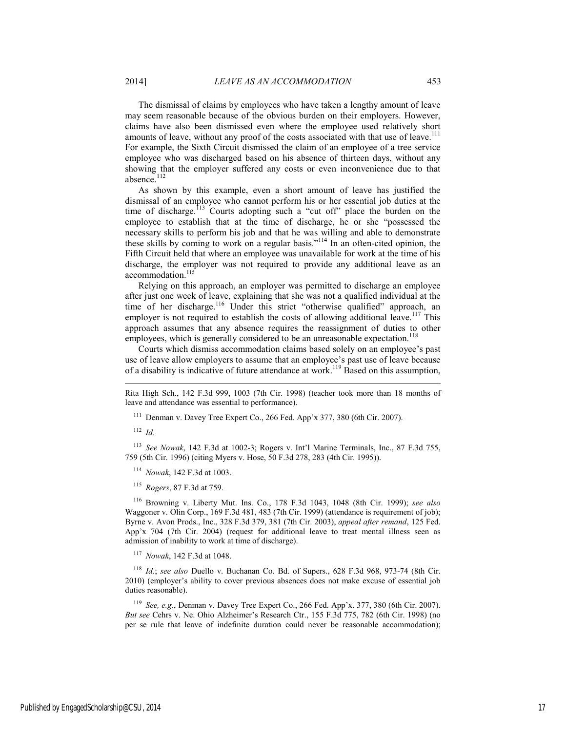The dismissal of claims by employees who have taken a lengthy amount of leave may seem reasonable because of the obvious burden on their employers. However, claims have also been dismissed even where the employee used relatively short amounts of leave, without any proof of the costs associated with that use of leave.<sup>111</sup> For example, the Sixth Circuit dismissed the claim of an employee of a tree service employee who was discharged based on his absence of thirteen days, without any showing that the employer suffered any costs or even inconvenience due to that absence.<sup>112</sup>

As shown by this example, even a short amount of leave has justified the dismissal of an employee who cannot perform his or her essential job duties at the time of discharge.<sup>113</sup> Courts adopting such a "cut off" place the burden on the employee to establish that at the time of discharge, he or she "possessed the necessary skills to perform his job and that he was willing and able to demonstrate these skills by coming to work on a regular basis."114 In an often-cited opinion, the Fifth Circuit held that where an employee was unavailable for work at the time of his discharge, the employer was not required to provide any additional leave as an accommodation.<sup>115</sup>

Relying on this approach, an employer was permitted to discharge an employee after just one week of leave, explaining that she was not a qualified individual at the time of her discharge.<sup>116</sup> Under this strict "otherwise qualified" approach, an employer is not required to establish the costs of allowing additional leave.<sup>117</sup> This approach assumes that any absence requires the reassignment of duties to other employees, which is generally considered to be an unreasonable expectation.<sup>118</sup>

Courts which dismiss accommodation claims based solely on an employee's past use of leave allow employers to assume that an employee's past use of leave because of a disability is indicative of future attendance at work.<sup>119</sup> Based on this assumption,

<sup>111</sup> Denman v. Davey Tree Expert Co., 266 Fed. App'x 377, 380 (6th Cir. 2007).

<sup>112</sup> *Id.*

l

<sup>113</sup> *See Nowak*, 142 F.3d at 1002-3; Rogers v. Int'l Marine Terminals, Inc., 87 F.3d 755, 759 (5th Cir. 1996) (citing Myers v. Hose, 50 F.3d 278, 283 (4th Cir. 1995)).

<sup>114</sup> *Nowak*, 142 F.3d at 1003.

<sup>115</sup> *Rogers*, 87 F.3d at 759.

116 Browning v. Liberty Mut. Ins. Co., 178 F.3d 1043, 1048 (8th Cir. 1999); *see also* Waggoner v. Olin Corp., 169 F.3d 481, 483 (7th Cir. 1999) (attendance is requirement of job); Byrne v. Avon Prods., Inc., 328 F.3d 379, 381 (7th Cir. 2003), *appeal after remand*, 125 Fed. App'x 704 (7th Cir. 2004) (request for additional leave to treat mental illness seen as admission of inability to work at time of discharge).

<sup>117</sup> *Nowak*, 142 F.3d at 1048.

*Id.*; see also Duello v. Buchanan Co. Bd. of Supers., 628 F.3d 968, 973-74 (8th Cir. 2010) (employer's ability to cover previous absences does not make excuse of essential job duties reasonable).

<sup>119</sup> *See, e.g.*, Denman v. Davey Tree Expert Co., 266 Fed. App'x. 377, 380 (6th Cir. 2007). *But see* Cehrs v. Ne. Ohio Alzheimer's Research Ctr., 155 F.3d 775, 782 (6th Cir. 1998) (no per se rule that leave of indefinite duration could never be reasonable accommodation);

Rita High Sch., 142 F.3d 999, 1003 (7th Cir. 1998) (teacher took more than 18 months of leave and attendance was essential to performance).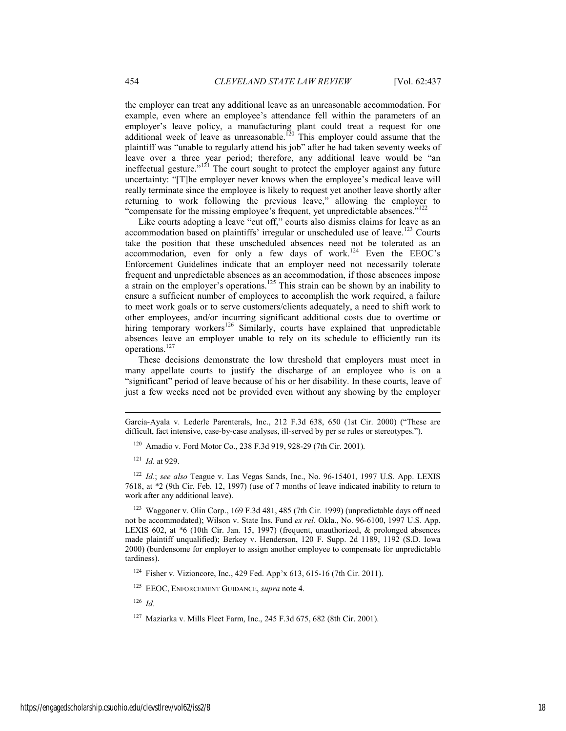the employer can treat any additional leave as an unreasonable accommodation. For example, even where an employee's attendance fell within the parameters of an employer's leave policy, a manufacturing plant could treat a request for one additional week of leave as unreasonable.<sup>120</sup> This employer could assume that the plaintiff was "unable to regularly attend his job" after he had taken seventy weeks of leave over a three year period; therefore, any additional leave would be "an ineffectual gesture."<sup>121</sup> The court sought to protect the employer against any future uncertainty: "[T]he employer never knows when the employee's medical leave will really terminate since the employee is likely to request yet another leave shortly after returning to work following the previous leave," allowing the employer to "compensate for the missing employee's frequent, yet unpredictable absences."<sup>122</sup>

Like courts adopting a leave "cut off," courts also dismiss claims for leave as an accommodation based on plaintiffs' irregular or unscheduled use of leave.<sup>123</sup> Courts take the position that these unscheduled absences need not be tolerated as an accommodation, even for only a few days of work.124 Even the EEOC's Enforcement Guidelines indicate that an employer need not necessarily tolerate frequent and unpredictable absences as an accommodation, if those absences impose a strain on the employer's operations.<sup>125</sup> This strain can be shown by an inability to ensure a sufficient number of employees to accomplish the work required, a failure to meet work goals or to serve customers/clients adequately, a need to shift work to other employees, and/or incurring significant additional costs due to overtime or hiring temporary workers<sup>126</sup> Similarly, courts have explained that unpredictable absences leave an employer unable to rely on its schedule to efficiently run its operations.<sup>127</sup>

These decisions demonstrate the low threshold that employers must meet in many appellate courts to justify the discharge of an employee who is on a "significant" period of leave because of his or her disability. In these courts, leave of just a few weeks need not be provided even without any showing by the employer

l

<sup>122</sup> *Id.*; *see also* Teague v. Las Vegas Sands, Inc., No. 96-15401, 1997 U.S. App. LEXIS 7618, at \*2 (9th Cir. Feb. 12, 1997) (use of 7 months of leave indicated inability to return to work after any additional leave).

<sup>123</sup> Waggoner v. Olin Corp., 169 F.3d 481, 485 (7th Cir. 1999) (unpredictable days off need not be accommodated); Wilson v. State Ins. Fund *ex rel.* Okla., No. 96-6100, 1997 U.S. App. LEXIS 602, at \*6 (10th Cir. Jan. 15, 1997) (frequent, unauthorized, & prolonged absences made plaintiff unqualified); Berkey v. Henderson, 120 F. Supp. 2d 1189, 1192 (S.D. Iowa 2000) (burdensome for employer to assign another employee to compensate for unpredictable tardiness).

124 Fisher v. Vizioncore, Inc., 429 Fed. App'x 613, 615-16 (7th Cir. 2011).

125 EEOC, ENFORCEMENT GUIDANCE, *supra* note 4.

<sup>126</sup> *Id.*

Garcia-Ayala v. Lederle Parenterals, Inc., 212 F.3d 638, 650 (1st Cir. 2000) ("These are difficult, fact intensive, case-by-case analyses, ill-served by per se rules or stereotypes.").

<sup>120</sup> Amadio v. Ford Motor Co., 238 F.3d 919, 928-29 (7th Cir. 2001).

<sup>121</sup> *Id.* at 929.

<sup>127</sup> Maziarka v. Mills Fleet Farm, Inc., 245 F.3d 675, 682 (8th Cir. 2001).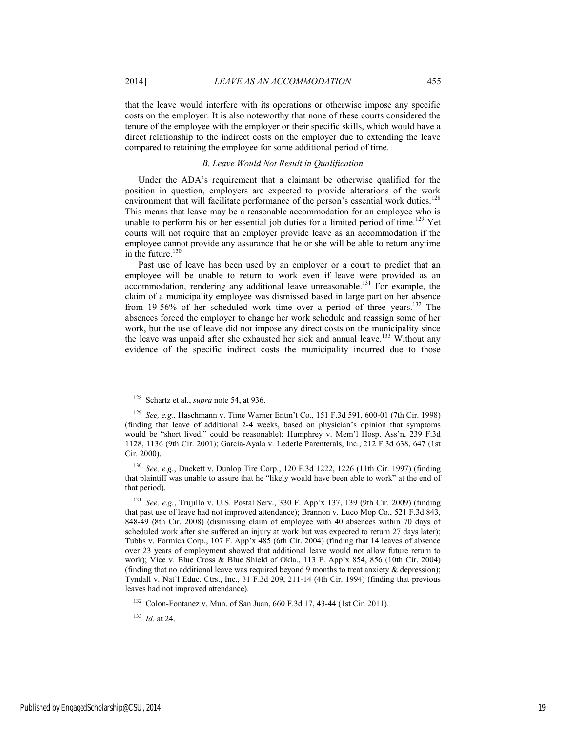that the leave would interfere with its operations or otherwise impose any specific costs on the employer. It is also noteworthy that none of these courts considered the tenure of the employee with the employer or their specific skills, which would have a direct relationship to the indirect costs on the employer due to extending the leave compared to retaining the employee for some additional period of time.

# *B. Leave Would Not Result in Qualification*

Under the ADA's requirement that a claimant be otherwise qualified for the position in question, employers are expected to provide alterations of the work environment that will facilitate performance of the person's essential work duties.<sup>128</sup> This means that leave may be a reasonable accommodation for an employee who is unable to perform his or her essential job duties for a limited period of time.<sup>129</sup> Yet courts will not require that an employer provide leave as an accommodation if the employee cannot provide any assurance that he or she will be able to return anytime in the future.<sup>130</sup>

Past use of leave has been used by an employer or a court to predict that an employee will be unable to return to work even if leave were provided as an accommodation, rendering any additional leave unreasonable.<sup>131</sup> For example, the claim of a municipality employee was dismissed based in large part on her absence from 19-56% of her scheduled work time over a period of three years.<sup>132</sup> The absences forced the employer to change her work schedule and reassign some of her work, but the use of leave did not impose any direct costs on the municipality since the leave was unpaid after she exhausted her sick and annual leave.<sup>133</sup> Without any evidence of the specific indirect costs the municipality incurred due to those

 <sup>128</sup> Schartz et al., *supra* note 54, at 936.

<sup>129</sup> *See, e.g.*, Haschmann v. Time Warner Entm't Co.*,* 151 F.3d 591, 600-01 (7th Cir. 1998) (finding that leave of additional 2-4 weeks, based on physician's opinion that symptoms would be "short lived," could be reasonable); Humphrey v. Mem'l Hosp. Ass'n, 239 F.3d 1128, 1136 (9th Cir. 2001); Garcia-Ayala v. Lederle Parenterals, Inc., 212 F.3d 638, 647 (1st Cir. 2000).

<sup>130</sup> *See, e.g.*, Duckett v. Dunlop Tire Corp., 120 F.3d 1222, 1226 (11th Cir. 1997) (finding that plaintiff was unable to assure that he "likely would have been able to work" at the end of that period).

<sup>131</sup> *See, e.g.*, Trujillo v. U.S. Postal Serv., 330 F. App'x 137, 139 (9th Cir. 2009) (finding that past use of leave had not improved attendance); Brannon v. Luco Mop Co., 521 F.3d 843, 848-49 (8th Cir. 2008) (dismissing claim of employee with 40 absences within 70 days of scheduled work after she suffered an injury at work but was expected to return 27 days later); Tubbs v. Formica Corp., 107 F. App'x 485 (6th Cir. 2004) (finding that 14 leaves of absence over 23 years of employment showed that additional leave would not allow future return to work); Vice v. Blue Cross & Blue Shield of Okla., 113 F. App'x 854, 856 (10th Cir. 2004) (finding that no additional leave was required beyond 9 months to treat anxiety  $\&$  depression); Tyndall v. Nat'l Educ. Ctrs., Inc., 31 F.3d 209, 211-14 (4th Cir. 1994) (finding that previous leaves had not improved attendance).

<sup>132</sup> Colon-Fontanez v. Mun. of San Juan, 660 F.3d 17, 43-44 (1st Cir. 2011).

<sup>133</sup> *Id.* at 24.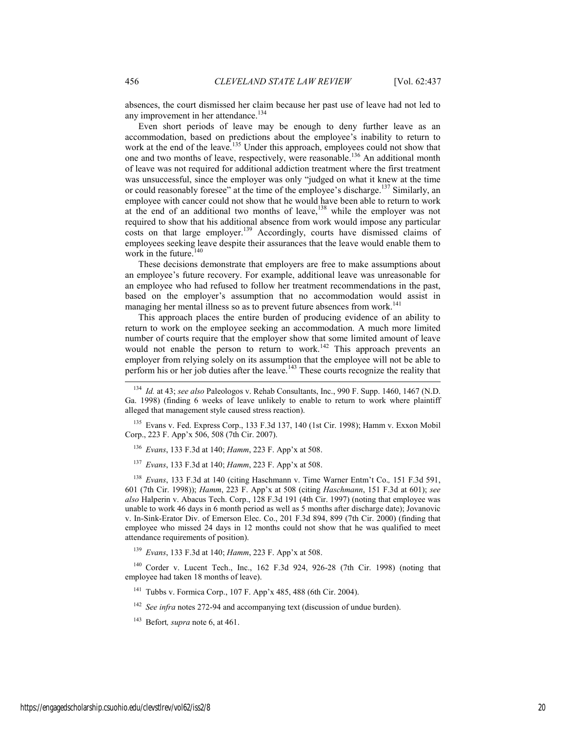absences, the court dismissed her claim because her past use of leave had not led to any improvement in her attendance.<sup>134</sup>

Even short periods of leave may be enough to deny further leave as an accommodation, based on predictions about the employee's inability to return to work at the end of the leave.<sup>135</sup> Under this approach, employees could not show that one and two months of leave, respectively, were reasonable.136 An additional month of leave was not required for additional addiction treatment where the first treatment was unsuccessful, since the employer was only "judged on what it knew at the time or could reasonably foresee" at the time of the employee's discharge.137 Similarly, an employee with cancer could not show that he would have been able to return to work at the end of an additional two months of leave, $138$  while the employer was not required to show that his additional absence from work would impose any particular costs on that large employer.<sup>139</sup> Accordingly, courts have dismissed claims of employees seeking leave despite their assurances that the leave would enable them to work in the future.<sup>140</sup>

These decisions demonstrate that employers are free to make assumptions about an employee's future recovery. For example, additional leave was unreasonable for an employee who had refused to follow her treatment recommendations in the past, based on the employer's assumption that no accommodation would assist in managing her mental illness so as to prevent future absences from work.<sup>141</sup>

This approach places the entire burden of producing evidence of an ability to return to work on the employee seeking an accommodation. A much more limited number of courts require that the employer show that some limited amount of leave would not enable the person to return to work.<sup>142</sup> This approach prevents an employer from relying solely on its assumption that the employee will not be able to perform his or her job duties after the leave.<sup>143</sup> These courts recognize the reality that

- <sup>136</sup> *Evans*, 133 F.3d at 140; *Hamm*, 223 F. App'x at 508.
- <sup>137</sup> *Evans*, 133 F.3d at 140; *Hamm*, 223 F. App'x at 508.

<sup>138</sup> *Evans*, 133 F.3d at 140 (citing Haschmann v. Time Warner Entm't Co.*,* 151 F.3d 591, 601 (7th Cir. 1998)); *Hamm*, 223 F. App'x at 508 (citing *Haschmann*, 151 F.3d at 601); *see also* Halperin v. Abacus Tech. Corp., 128 F.3d 191 (4th Cir. 1997) (noting that employee was unable to work 46 days in 6 month period as well as 5 months after discharge date); Jovanovic v. In-Sink-Erator Div. of Emerson Elec. Co., 201 F.3d 894, 899 (7th Cir. 2000) (finding that employee who missed 24 days in 12 months could not show that he was qualified to meet attendance requirements of position).

<sup>139</sup> *Evans*, 133 F.3d at 140; *Hamm*, 223 F. App'x at 508.

140 Corder v. Lucent Tech., Inc., 162 F.3d 924, 926-28 (7th Cir. 1998) (noting that employee had taken 18 months of leave).

141 Tubbs v. Formica Corp., 107 F. App'x 485, 488 (6th Cir. 2004).

<sup>142</sup> *See infra* notes 272-94 and accompanying text (discussion of undue burden).

143 Befort*, supra* note 6, at 461.

 <sup>134</sup> *Id.* at 43; *see also* Paleologos v. Rehab Consultants, Inc., 990 F. Supp. 1460, 1467 (N.D. Ga. 1998) (finding 6 weeks of leave unlikely to enable to return to work where plaintiff alleged that management style caused stress reaction).

<sup>135</sup> Evans v. Fed. Express Corp., 133 F.3d 137, 140 (1st Cir. 1998); Hamm v. Exxon Mobil Corp., 223 F. App'x 506, 508 (7th Cir. 2007).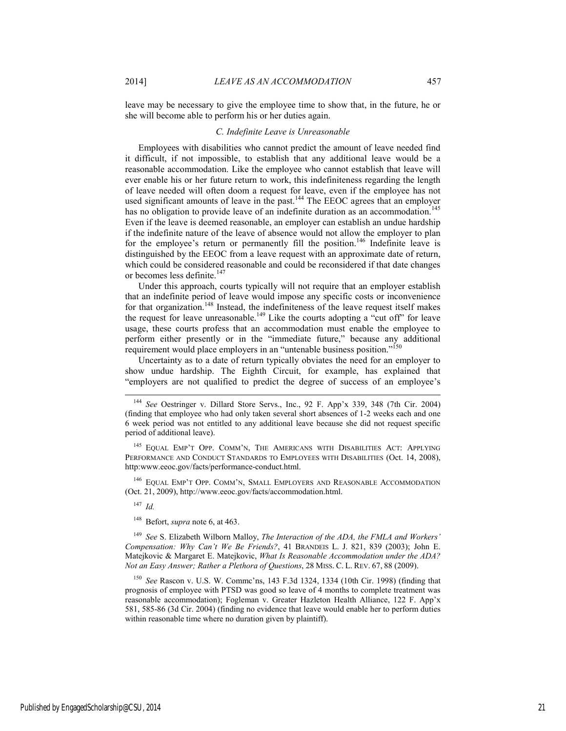leave may be necessary to give the employee time to show that, in the future, he or she will become able to perform his or her duties again.

### *C. Indefinite Leave is Unreasonable*

Employees with disabilities who cannot predict the amount of leave needed find it difficult, if not impossible, to establish that any additional leave would be a reasonable accommodation. Like the employee who cannot establish that leave will ever enable his or her future return to work, this indefiniteness regarding the length of leave needed will often doom a request for leave, even if the employee has not used significant amounts of leave in the past.<sup>144</sup> The EEOC agrees that an employer has no obligation to provide leave of an indefinite duration as an accommodation.<sup>145</sup> Even if the leave is deemed reasonable, an employer can establish an undue hardship if the indefinite nature of the leave of absence would not allow the employer to plan for the employee's return or permanently fill the position.<sup>146</sup> Indefinite leave is distinguished by the EEOC from a leave request with an approximate date of return, which could be considered reasonable and could be reconsidered if that date changes or becomes less definite.<sup>147</sup>

Under this approach, courts typically will not require that an employer establish that an indefinite period of leave would impose any specific costs or inconvenience for that organization.<sup>148</sup> Instead, the indefiniteness of the leave request itself makes the request for leave unreasonable.<sup>149</sup> Like the courts adopting a "cut off" for leave usage, these courts profess that an accommodation must enable the employee to perform either presently or in the "immediate future," because any additional requirement would place employers in an "untenable business position."<sup>150</sup>

Uncertainty as to a date of return typically obviates the need for an employer to show undue hardship. The Eighth Circuit, for example, has explained that "employers are not qualified to predict the degree of success of an employee's

145 EQUAL EMP'T OPP. COMM'N, THE AMERICANS WITH DISABILITIES ACT: APPLYING PERFORMANCE AND CONDUCT STANDARDS TO EMPLOYEES WITH DISABILITIES (Oct. 14, 2008), http:www.eeoc.gov/facts/performance-conduct.html.

146 EQUAL EMP'T OPP. COMM'N, SMALL EMPLOYERS AND REASONABLE ACCOMMODATION (Oct. 21, 2009), http://www.eeoc.gov/facts/accommodation.html.

<sup>147</sup> *Id.*

148 Befort, *supra* note 6, at 463.

<sup>149</sup> *See* S. Elizabeth Wilborn Malloy, *The Interaction of the ADA, the FMLA and Workers' Compensation: Why Can't We Be Friends?*, 41 BRANDEIS L. J. 821, 839 (2003); John E. Matejkovic & Margaret E. Matejkovic, *What Is Reasonable Accommodation under the ADA? Not an Easy Answer; Rather a Plethora of Questions*, 28 MISS. C. L. REV. 67, 88 (2009).

<sup>150</sup> *See* Rascon v. U.S. W. Commc'ns, 143 F.3d 1324, 1334 (10th Cir. 1998) (finding that prognosis of employee with PTSD was good so leave of 4 months to complete treatment was reasonable accommodation); Fogleman v. Greater Hazleton Health Alliance, 122 F. App'x 581, 585-86 (3d Cir. 2004) (finding no evidence that leave would enable her to perform duties within reasonable time where no duration given by plaintiff).

 <sup>144</sup> *See* Oestringer v. Dillard Store Servs., Inc., 92 F. App'x 339, 348 (7th Cir. 2004) (finding that employee who had only taken several short absences of 1-2 weeks each and one 6 week period was not entitled to any additional leave because she did not request specific period of additional leave).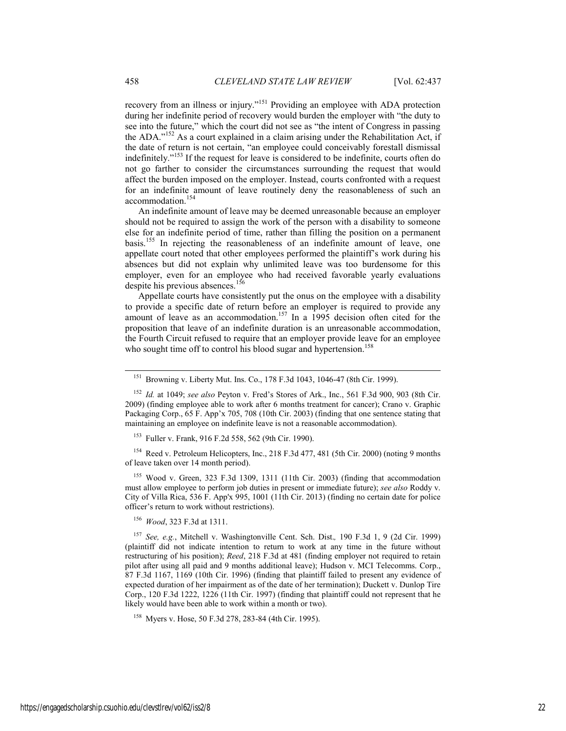recovery from an illness or injury."151 Providing an employee with ADA protection during her indefinite period of recovery would burden the employer with "the duty to see into the future," which the court did not see as "the intent of Congress in passing the ADA."152 As a court explained in a claim arising under the Rehabilitation Act, if the date of return is not certain, "an employee could conceivably forestall dismissal indefinitely."153 If the request for leave is considered to be indefinite, courts often do not go farther to consider the circumstances surrounding the request that would affect the burden imposed on the employer. Instead, courts confronted with a request for an indefinite amount of leave routinely deny the reasonableness of such an accommodation.<sup>154</sup>

An indefinite amount of leave may be deemed unreasonable because an employer should not be required to assign the work of the person with a disability to someone else for an indefinite period of time, rather than filling the position on a permanent basis.155 In rejecting the reasonableness of an indefinite amount of leave, one appellate court noted that other employees performed the plaintiff's work during his absences but did not explain why unlimited leave was too burdensome for this employer, even for an employee who had received favorable yearly evaluations despite his previous absences.<sup>156</sup>

Appellate courts have consistently put the onus on the employee with a disability to provide a specific date of return before an employer is required to provide any amount of leave as an accommodation.<sup>157</sup> In a 1995 decision often cited for the proposition that leave of an indefinite duration is an unreasonable accommodation, the Fourth Circuit refused to require that an employer provide leave for an employee who sought time off to control his blood sugar and hypertension.<sup>158</sup>

153 Fuller v. Frank, 916 F.2d 558, 562 (9th Cir. 1990).

<sup>154</sup> Reed v. Petroleum Helicopters, Inc., 218 F.3d 477, 481 (5th Cir. 2000) (noting 9 months of leave taken over 14 month period).

155 Wood v. Green, 323 F.3d 1309, 1311 (11th Cir. 2003) (finding that accommodation must allow employee to perform job duties in present or immediate future); *see also* Roddy v. City of Villa Rica, 536 F. App'x 995, 1001 (11th Cir. 2013) (finding no certain date for police officer's return to work without restrictions).

<sup>156</sup> *Wood*, 323 F.3d at 1311.

<sup>157</sup> *See, e.g.*, Mitchell v. Washingtonville Cent. Sch. Dist.*,* 190 F.3d 1, 9 (2d Cir. 1999) (plaintiff did not indicate intention to return to work at any time in the future without restructuring of his position); *Reed*, 218 F.3d at 481 (finding employer not required to retain pilot after using all paid and 9 months additional leave); Hudson v. MCI Telecomms. Corp., 87 F.3d 1167, 1169 (10th Cir. 1996) (finding that plaintiff failed to present any evidence of expected duration of her impairment as of the date of her termination); Duckett v. Dunlop Tire Corp., 120 F.3d 1222, 1226 (11th Cir. 1997) (finding that plaintiff could not represent that he likely would have been able to work within a month or two).

158 Myers v. Hose, 50 F.3d 278, 283-84 (4th Cir. 1995).

 <sup>151</sup> Browning v. Liberty Mut. Ins. Co., 178 F.3d 1043, 1046-47 (8th Cir. 1999).

<sup>152</sup> *Id.* at 1049; *see also* Peyton v. Fred's Stores of Ark., Inc., 561 F.3d 900, 903 (8th Cir. 2009) (finding employee able to work after 6 months treatment for cancer); Crano v. Graphic Packaging Corp., 65 F. App'x 705, 708 (10th Cir. 2003) (finding that one sentence stating that maintaining an employee on indefinite leave is not a reasonable accommodation).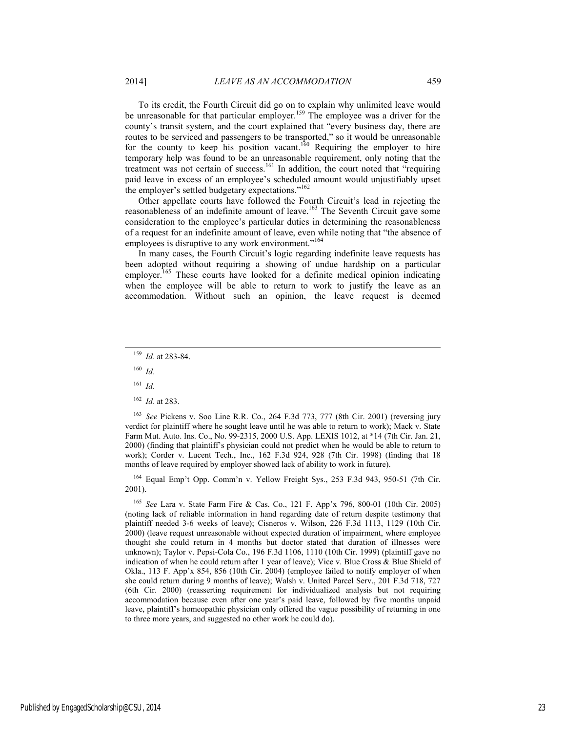To its credit, the Fourth Circuit did go on to explain why unlimited leave would be unreasonable for that particular employer.<sup>159</sup> The employee was a driver for the county's transit system, and the court explained that "every business day, there are routes to be serviced and passengers to be transported," so it would be unreasonable for the county to keep his position vacant.<sup>160</sup> Requiring the employer to hire temporary help was found to be an unreasonable requirement, only noting that the treatment was not certain of success.<sup>161</sup> In addition, the court noted that "requiring paid leave in excess of an employee's scheduled amount would unjustifiably upset the employer's settled budgetary expectations."<sup>162</sup>

Other appellate courts have followed the Fourth Circuit's lead in rejecting the reasonableness of an indefinite amount of leave.<sup>163</sup> The Seventh Circuit gave some consideration to the employee's particular duties in determining the reasonableness of a request for an indefinite amount of leave, even while noting that "the absence of employees is disruptive to any work environment."<sup>164</sup>

In many cases, the Fourth Circuit's logic regarding indefinite leave requests has been adopted without requiring a showing of undue hardship on a particular employer.<sup>165</sup> These courts have looked for a definite medical opinion indicating when the employee will be able to return to work to justify the leave as an accommodation. Without such an opinion, the leave request is deemed

- <sup>160</sup> *Id.*
- <sup>161</sup> *Id.*
- <sup>162</sup> *Id.* at 283.

<sup>163</sup> *See* Pickens v. Soo Line R.R. Co., 264 F.3d 773, 777 (8th Cir. 2001) (reversing jury verdict for plaintiff where he sought leave until he was able to return to work); Mack v. State Farm Mut. Auto. Ins. Co., No. 99-2315, 2000 U.S. App. LEXIS 1012, at \*14 (7th Cir. Jan. 21, 2000) (finding that plaintiff's physician could not predict when he would be able to return to work); Corder v. Lucent Tech., Inc., 162 F.3d 924, 928 (7th Cir. 1998) (finding that 18 months of leave required by employer showed lack of ability to work in future).

164 Equal Emp't Opp. Comm'n v. Yellow Freight Sys., 253 F.3d 943, 950-51 (7th Cir. 2001).

<sup>165</sup> *See* Lara v. State Farm Fire & Cas. Co., 121 F. App'x 796, 800-01 (10th Cir. 2005) (noting lack of reliable information in hand regarding date of return despite testimony that plaintiff needed 3-6 weeks of leave); Cisneros v. Wilson, 226 F.3d 1113, 1129 (10th Cir. 2000) (leave request unreasonable without expected duration of impairment, where employee thought she could return in 4 months but doctor stated that duration of illnesses were unknown); Taylor v. Pepsi-Cola Co., 196 F.3d 1106, 1110 (10th Cir. 1999) (plaintiff gave no indication of when he could return after 1 year of leave); Vice v. Blue Cross & Blue Shield of Okla., 113 F. App'x 854, 856 (10th Cir. 2004) (employee failed to notify employer of when she could return during 9 months of leave); Walsh v. United Parcel Serv., 201 F.3d 718, 727 (6th Cir. 2000) (reasserting requirement for individualized analysis but not requiring accommodation because even after one year's paid leave, followed by five months unpaid leave, plaintiff's homeopathic physician only offered the vague possibility of returning in one to three more years, and suggested no other work he could do).

 <sup>159</sup> *Id.* at 283-84.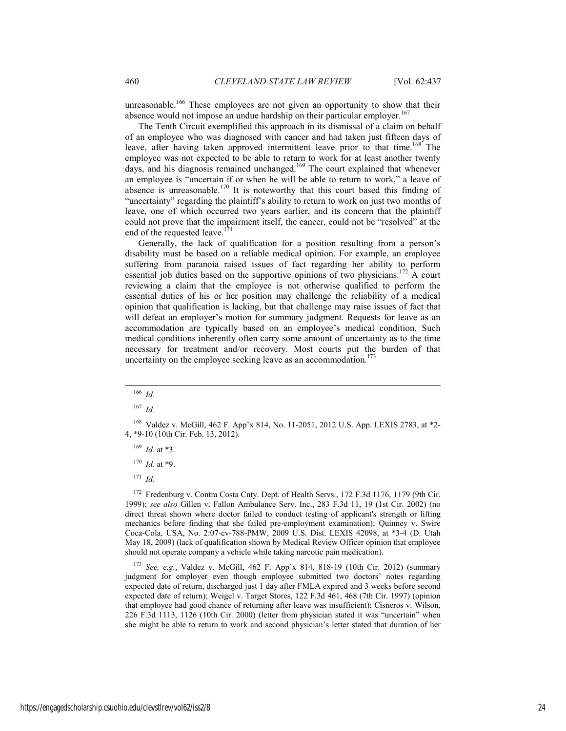unreasonable.<sup>166</sup> These employees are not given an opportunity to show that their absence would not impose an undue hardship on their particular employer.<sup>167</sup>

The Tenth Circuit exemplified this approach in its dismissal of a claim on behalf of an employee who was diagnosed with cancer and had taken just fifteen days of leave, after having taken approved intermittent leave prior to that time.<sup>168</sup> The employee was not expected to be able to return to work for at least another twenty days, and his diagnosis remained unchanged.<sup>169</sup> The court explained that whenever an employee is "uncertain if or when he will be able to return to work," a leave of absence is unreasonable.<sup>170</sup> It is noteworthy that this court based this finding of "uncertainty" regarding the plaintiff's ability to return to work on just two months of leave, one of which occurred two years earlier, and its concern that the plaintiff could not prove that the impairment itself, the cancer, could not be "resolved" at the end of the requested leave. $171$ 

Generally, the lack of qualification for a position resulting from a person's disability must be based on a reliable medical opinion. For example, an employee suffering from paranoia raised issues of fact regarding her ability to perform essential job duties based on the supportive opinions of two physicians.172 A court reviewing a claim that the employee is not otherwise qualified to perform the essential duties of his or her position may challenge the reliability of a medical opinion that qualification is lacking, but that challenge may raise issues of fact that will defeat an employer's motion for summary judgment. Requests for leave as an accommodation are typically based on an employee's medical condition. Such medical conditions inherently often carry some amount of uncertainty as to the time necessary for treatment and/or recovery. Most courts put the burden of that uncertainty on the employee seeking leave as an accommodation.<sup>173</sup>

- $169$  *Id.* at \*3.
- <sup>170</sup> *Id.* at \*9.

<sup>171</sup> *Id.*

<sup>172</sup> Fredenburg v. Contra Costa Cnty. Dept. of Health Servs., 172 F.3d 1176, 1179 (9th Cir. 1999); *see also* Gillen v. Fallon Ambulance Serv. Inc., 283 F.3d 11, 19 (1st Cir. 2002) (no direct threat shown where doctor failed to conduct testing of applicant's strength or lifting mechanics before finding that she failed pre-employment examination); Quinney v. Swire Coca-Cola, USA, No. 2:07-cv-788-PMW, 2009 U.S. Dist. LEXIS 42098, at \*3-4 (D. Utah May 18, 2009) (lack of qualification shown by Medical Review Officer opinion that employee should not operate company a vehicle while taking narcotic pain medication).

<sup>173</sup> *See, e.g.*, Valdez v. McGill, 462 F. App'x 814, 818-19 (10th Cir. 2012) (summary judgment for employer even though employee submitted two doctors' notes regarding expected date of return, discharged just 1 day after FMLA expired and 3 weeks before second expected date of return); Weigel v. Target Stores, 122 F.3d 461, 468 (7th Cir. 1997) (opinion that employee had good chance of returning after leave was insufficient); Cisneros v. Wilson, 226 F.3d 1113, 1126 (10th Cir. 2000) (letter from physician stated it was "uncertain" when she might be able to return to work and second physician's letter stated that duration of her

 <sup>166</sup> *Id.*

<sup>167</sup> *Id.*

<sup>168</sup> Valdez v. McGill, 462 F. App'x 814, No. 11-2051, 2012 U.S. App. LEXIS 2783, at \*2- 4, \*9-10 (10th Cir. Feb. 13, 2012).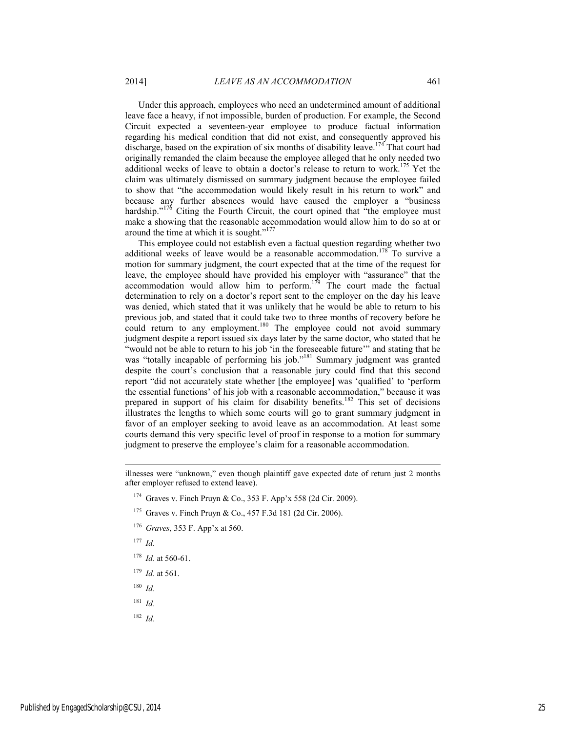Under this approach, employees who need an undetermined amount of additional leave face a heavy, if not impossible, burden of production. For example, the Second Circuit expected a seventeen-year employee to produce factual information regarding his medical condition that did not exist, and consequently approved his discharge, based on the expiration of six months of disability leave.<sup>174</sup> That court had originally remanded the claim because the employee alleged that he only needed two additional weeks of leave to obtain a doctor's release to return to work.<sup>175</sup> Yet the claim was ultimately dismissed on summary judgment because the employee failed to show that "the accommodation would likely result in his return to work" and because any further absences would have caused the employer a "business hardship."<sup>176</sup> Citing the Fourth Circuit, the court opined that "the employee must make a showing that the reasonable accommodation would allow him to do so at or around the time at which it is sought."<sup>177</sup>

This employee could not establish even a factual question regarding whether two additional weeks of leave would be a reasonable accommodation.<sup>178</sup> To survive a motion for summary judgment, the court expected that at the time of the request for leave, the employee should have provided his employer with "assurance" that the accommodation would allow him to perform.<sup>179</sup> The court made the factual determination to rely on a doctor's report sent to the employer on the day his leave was denied, which stated that it was unlikely that he would be able to return to his previous job, and stated that it could take two to three months of recovery before he could return to any employment.<sup>180</sup> The employee could not avoid summary judgment despite a report issued six days later by the same doctor, who stated that he "would not be able to return to his job 'in the foreseeable future'" and stating that he was "totally incapable of performing his job."<sup>181</sup> Summary judgment was granted despite the court's conclusion that a reasonable jury could find that this second report "did not accurately state whether [the employee] was 'qualified' to 'perform the essential functions' of his job with a reasonable accommodation," because it was prepared in support of his claim for disability benefits.<sup>182</sup> This set of decisions illustrates the lengths to which some courts will go to grant summary judgment in favor of an employer seeking to avoid leave as an accommodation. At least some courts demand this very specific level of proof in response to a motion for summary judgment to preserve the employee's claim for a reasonable accommodation.

<sup>176</sup> *Graves*, 353 F. App'x at 560.

<sup>177</sup> *Id.*

l

- <sup>178</sup> *Id.* at 560-61.
- <sup>179</sup> *Id.* at 561.

<sup>180</sup> *Id.*

- <sup>181</sup> *Id.*
- <sup>182</sup> *Id.*

illnesses were "unknown," even though plaintiff gave expected date of return just 2 months after employer refused to extend leave).

<sup>174</sup> Graves v. Finch Pruyn & Co., 353 F. App'x 558 (2d Cir. 2009).

<sup>175</sup> Graves v. Finch Pruyn & Co., 457 F.3d 181 (2d Cir. 2006).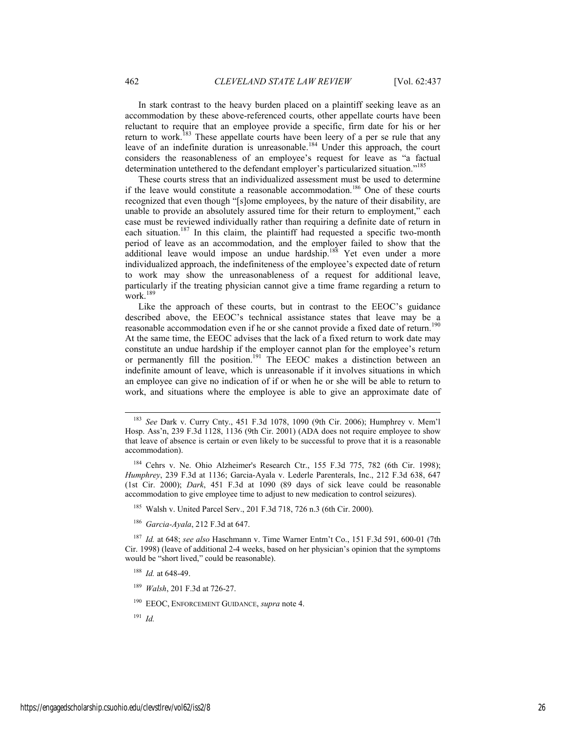In stark contrast to the heavy burden placed on a plaintiff seeking leave as an accommodation by these above-referenced courts, other appellate courts have been reluctant to require that an employee provide a specific, firm date for his or her return to work.<sup>183</sup> These appellate courts have been leery of a per se rule that any leave of an indefinite duration is unreasonable.<sup>184</sup> Under this approach, the court considers the reasonableness of an employee's request for leave as "a factual determination untethered to the defendant employer's particularized situation."<sup>185</sup>

These courts stress that an individualized assessment must be used to determine if the leave would constitute a reasonable accommodation.186 One of these courts recognized that even though "[s]ome employees, by the nature of their disability, are unable to provide an absolutely assured time for their return to employment," each case must be reviewed individually rather than requiring a definite date of return in each situation.<sup>187</sup> In this claim, the plaintiff had requested a specific two-month period of leave as an accommodation, and the employer failed to show that the additional leave would impose an undue hardship.<sup>188</sup> Yet even under a more individualized approach, the indefiniteness of the employee's expected date of return to work may show the unreasonableness of a request for additional leave, particularly if the treating physician cannot give a time frame regarding a return to work. $189$ 

Like the approach of these courts, but in contrast to the EEOC's guidance described above, the EEOC's technical assistance states that leave may be a reasonable accommodation even if he or she cannot provide a fixed date of return.<sup>190</sup> At the same time, the EEOC advises that the lack of a fixed return to work date may constitute an undue hardship if the employer cannot plan for the employee's return or permanently fill the position.<sup>191</sup> The EEOC makes a distinction between an indefinite amount of leave, which is unreasonable if it involves situations in which an employee can give no indication of if or when he or she will be able to return to work, and situations where the employee is able to give an approximate date of

<sup>184</sup> Cehrs v. Ne. Ohio Alzheimer's Research Ctr., 155 F.3d 775, 782 (6th Cir. 1998); *Humphrey*, 239 F.3d at 1136; Garcia-Ayala v. Lederle Parenterals, Inc., 212 F.3d 638, 647 (1st Cir. 2000); *Dark*, 451 F.3d at 1090 (89 days of sick leave could be reasonable accommodation to give employee time to adjust to new medication to control seizures).

185 Walsh v. United Parcel Serv., 201 F.3d 718, 726 n.3 (6th Cir. 2000).

<sup>186</sup> *Garcia-Ayala*, 212 F.3d at 647.

<sup>187</sup> *Id.* at 648; *see also* Haschmann v. Time Warner Entm't Co., 151 F.3d 591, 600-01 (7th Cir. 1998) (leave of additional 2-4 weeks, based on her physician's opinion that the symptoms would be "short lived," could be reasonable).

<sup>188</sup> *Id.* at 648-49.

<sup>189</sup> *Walsh*, 201 F.3d at 726-27.

190 EEOC, ENFORCEMENT GUIDANCE, *supra* note 4.

<sup>191</sup> *Id.*

 <sup>183</sup> *See* Dark v. Curry Cnty., 451 F.3d 1078, 1090 (9th Cir. 2006); Humphrey v. Mem'l Hosp. Ass'n, 239 F.3d 1128, 1136 (9th Cir. 2001) (ADA does not require employee to show that leave of absence is certain or even likely to be successful to prove that it is a reasonable accommodation).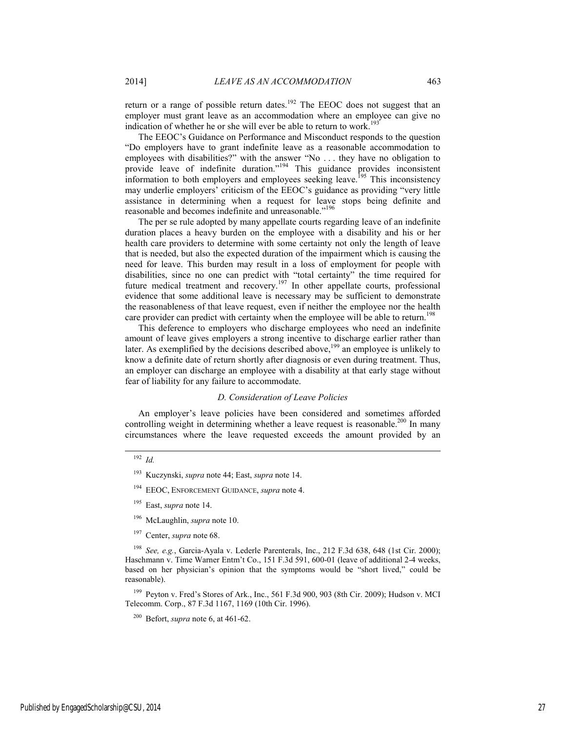return or a range of possible return dates.<sup>192</sup> The EEOC does not suggest that an employer must grant leave as an accommodation where an employee can give no indication of whether he or she will ever be able to return to work.<sup>193</sup>

The EEOC's Guidance on Performance and Misconduct responds to the question "Do employers have to grant indefinite leave as a reasonable accommodation to employees with disabilities?" with the answer "No . . . they have no obligation to provide leave of indefinite duration."<sup>194</sup> This guidance provides inconsistent information to both employers and employees seeking leave.<sup>195</sup> This inconsistency may underlie employers' criticism of the EEOC's guidance as providing "very little assistance in determining when a request for leave stops being definite and reasonable and becomes indefinite and unreasonable."<sup>196</sup>

The per se rule adopted by many appellate courts regarding leave of an indefinite duration places a heavy burden on the employee with a disability and his or her health care providers to determine with some certainty not only the length of leave that is needed, but also the expected duration of the impairment which is causing the need for leave. This burden may result in a loss of employment for people with disabilities, since no one can predict with "total certainty" the time required for future medical treatment and recovery.197 In other appellate courts, professional evidence that some additional leave is necessary may be sufficient to demonstrate the reasonableness of that leave request, even if neither the employee nor the health care provider can predict with certainty when the employee will be able to return.<sup>198</sup>

This deference to employers who discharge employees who need an indefinite amount of leave gives employers a strong incentive to discharge earlier rather than later. As exemplified by the decisions described above,<sup>199</sup> an employee is unlikely to know a definite date of return shortly after diagnosis or even during treatment. Thus, an employer can discharge an employee with a disability at that early stage without fear of liability for any failure to accommodate.

# *D. Consideration of Leave Policies*

An employer's leave policies have been considered and sometimes afforded controlling weight in determining whether a leave request is reasonable.<sup>200</sup> In many circumstances where the leave requested exceeds the amount provided by an

# 192 *Id.*

- 195 East, *supra* note 14.
- 196 McLaughlin, *supra* note 10.
- 197 Center, *supra* note 68.

<sup>198</sup> *See, e.g.*, Garcia-Ayala v. Lederle Parenterals, Inc., 212 F.3d 638, 648 (1st Cir. 2000); Haschmann v. Time Warner Entm't Co., 151 F.3d 591, 600-01 (leave of additional 2-4 weeks, based on her physician's opinion that the symptoms would be "short lived," could be reasonable).

<sup>199</sup> Peyton v. Fred's Stores of Ark., Inc., 561 F.3d 900, 903 (8th Cir. 2009); Hudson v. MCI Telecomm. Corp., 87 F.3d 1167, 1169 (10th Cir. 1996).

<sup>193</sup> Kuczynski, *supra* note 44; East, *supra* note 14.

<sup>194</sup> EEOC, ENFORCEMENT GUIDANCE, *supra* note 4.

<sup>200</sup> Befort, *supra* note 6, at 461-62.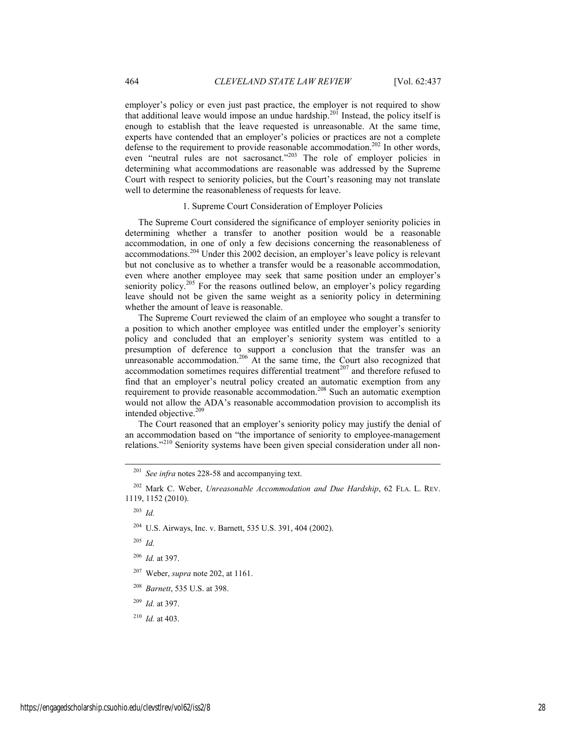employer's policy or even just past practice, the employer is not required to show that additional leave would impose an undue hardship.201 Instead, the policy itself is enough to establish that the leave requested is unreasonable. At the same time, experts have contended that an employer's policies or practices are not a complete defense to the requirement to provide reasonable accommodation.<sup>202</sup> In other words, even "neutral rules are not sacrosanct."203 The role of employer policies in determining what accommodations are reasonable was addressed by the Supreme Court with respect to seniority policies, but the Court's reasoning may not translate well to determine the reasonableness of requests for leave.

### 1. Supreme Court Consideration of Employer Policies

The Supreme Court considered the significance of employer seniority policies in determining whether a transfer to another position would be a reasonable accommodation, in one of only a few decisions concerning the reasonableness of accommodations.204 Under this 2002 decision, an employer's leave policy is relevant but not conclusive as to whether a transfer would be a reasonable accommodation, even where another employee may seek that same position under an employer's seniority policy.<sup>205</sup> For the reasons outlined below, an employer's policy regarding leave should not be given the same weight as a seniority policy in determining whether the amount of leave is reasonable.

The Supreme Court reviewed the claim of an employee who sought a transfer to a position to which another employee was entitled under the employer's seniority policy and concluded that an employer's seniority system was entitled to a presumption of deference to support a conclusion that the transfer was an unreasonable accommodation.<sup>206</sup> At the same time, the Court also recognized that accommodation sometimes requires differential treatment $^{207}$  and therefore refused to find that an employer's neutral policy created an automatic exemption from any requirement to provide reasonable accommodation.<sup>208</sup> Such an automatic exemption would not allow the ADA's reasonable accommodation provision to accomplish its intended objective.<sup>209</sup>

The Court reasoned that an employer's seniority policy may justify the denial of an accommodation based on "the importance of seniority to employee-management relations."210 Seniority systems have been given special consideration under all non-

<sup>203</sup> *Id.* 

204 U.S. Airways, Inc. v. Barnett, 535 U.S. 391, 404 (2002).

<sup>205</sup> *Id.*

<sup>206</sup> *Id.* at 397.

207 Weber, *supra* note 202, at 1161.

<sup>208</sup> *Barnett*, 535 U.S. at 398.

<sup>209</sup> *Id.* at 397.

<sup>210</sup> *Id.* at 403.

 <sup>201</sup> *See infra* notes 228-58 and accompanying text.

<sup>202</sup> Mark C. Weber, *Unreasonable Accommodation and Due Hardship*, 62 FLA. L. REV. 1119, 1152 (2010).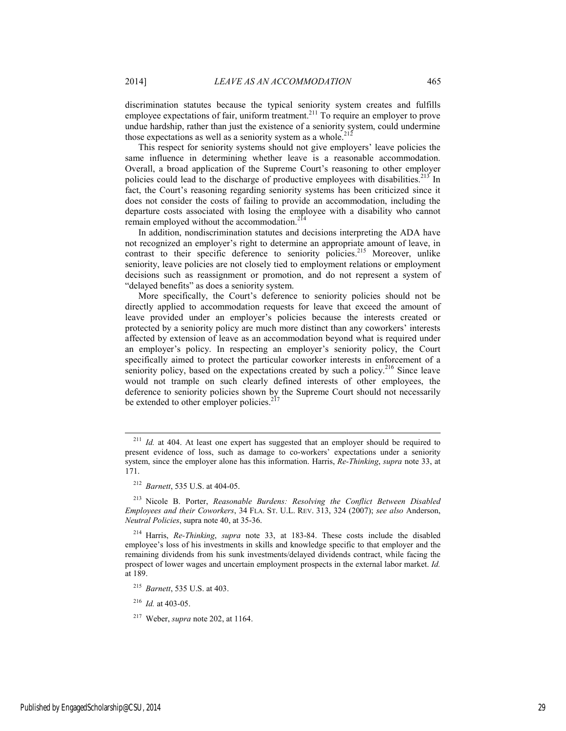discrimination statutes because the typical seniority system creates and fulfills employee expectations of fair, uniform treatment.<sup>211</sup> To require an employer to prove undue hardship, rather than just the existence of a seniority system, could undermine those expectations as well as a seniority system as a whole.<sup>212</sup>

This respect for seniority systems should not give employers' leave policies the same influence in determining whether leave is a reasonable accommodation. Overall, a broad application of the Supreme Court's reasoning to other employer policies could lead to the discharge of productive employees with disabilities.<sup>213</sup> In fact, the Court's reasoning regarding seniority systems has been criticized since it does not consider the costs of failing to provide an accommodation, including the departure costs associated with losing the employee with a disability who cannot remain employed without the accommodation.<sup>214</sup>

In addition, nondiscrimination statutes and decisions interpreting the ADA have not recognized an employer's right to determine an appropriate amount of leave, in contrast to their specific deference to seniority policies.<sup>215</sup> Moreover, unlike seniority, leave policies are not closely tied to employment relations or employment decisions such as reassignment or promotion, and do not represent a system of "delayed benefits" as does a seniority system.

More specifically, the Court's deference to seniority policies should not be directly applied to accommodation requests for leave that exceed the amount of leave provided under an employer's policies because the interests created or protected by a seniority policy are much more distinct than any coworkers' interests affected by extension of leave as an accommodation beyond what is required under an employer's policy. In respecting an employer's seniority policy, the Court specifically aimed to protect the particular coworker interests in enforcement of a seniority policy, based on the expectations created by such a policy.<sup>216</sup> Since leave would not trample on such clearly defined interests of other employees, the deference to seniority policies shown by the Supreme Court should not necessarily be extended to other employer policies. $21$ 

<sup>216</sup> *Id.* at 403-05.

<sup>&</sup>lt;sup>211</sup> *Id.* at 404. At least one expert has suggested that an employer should be required to present evidence of loss, such as damage to co-workers' expectations under a seniority system, since the employer alone has this information. Harris, *Re-Thinking*, *supra* note 33, at 171.

<sup>212</sup> *Barnett*, 535 U.S. at 404-05.

<sup>213</sup> Nicole B. Porter, *Reasonable Burdens: Resolving the Conflict Between Disabled Employees and their Coworkers*, 34 FLA. ST. U.L. REV. 313, 324 (2007); *see also* Anderson, *Neutral Policies*, supra note 40, at 35-36.

<sup>214</sup> Harris, *Re-Thinking*, *supra* note 33, at 183-84. These costs include the disabled employee's loss of his investments in skills and knowledge specific to that employer and the remaining dividends from his sunk investments/delayed dividends contract, while facing the prospect of lower wages and uncertain employment prospects in the external labor market. *Id.*  at 189.

<sup>215</sup> *Barnett*, 535 U.S. at 403.

<sup>217</sup> Weber, *supra* note 202, at 1164.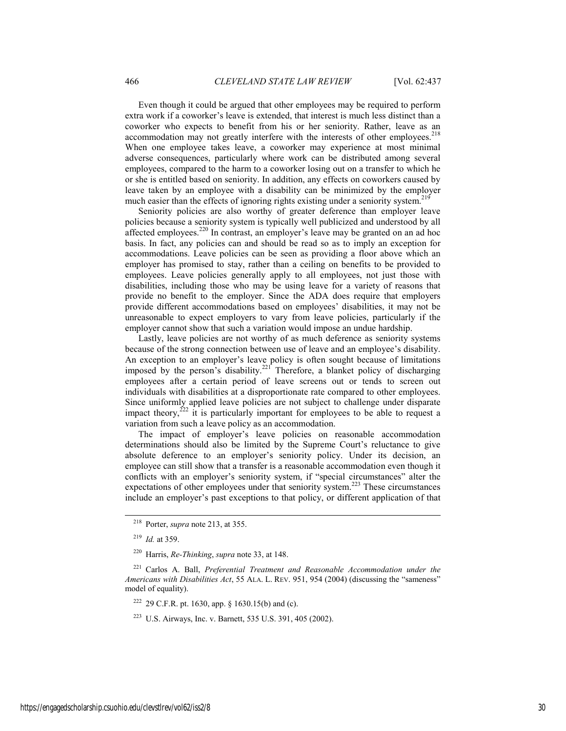Even though it could be argued that other employees may be required to perform extra work if a coworker's leave is extended, that interest is much less distinct than a coworker who expects to benefit from his or her seniority. Rather, leave as an accommodation may not greatly interfere with the interests of other employees.<sup>218</sup> When one employee takes leave, a coworker may experience at most minimal adverse consequences, particularly where work can be distributed among several employees, compared to the harm to a coworker losing out on a transfer to which he or she is entitled based on seniority. In addition, any effects on coworkers caused by leave taken by an employee with a disability can be minimized by the employer much easier than the effects of ignoring rights existing under a seniority system.<sup>219</sup>

Seniority policies are also worthy of greater deference than employer leave policies because a seniority system is typically well publicized and understood by all affected employees.<sup>220</sup> In contrast, an employer's leave may be granted on an ad hoc basis. In fact, any policies can and should be read so as to imply an exception for accommodations. Leave policies can be seen as providing a floor above which an employer has promised to stay, rather than a ceiling on benefits to be provided to employees. Leave policies generally apply to all employees, not just those with disabilities, including those who may be using leave for a variety of reasons that provide no benefit to the employer. Since the ADA does require that employers provide different accommodations based on employees' disabilities, it may not be unreasonable to expect employers to vary from leave policies, particularly if the employer cannot show that such a variation would impose an undue hardship.

Lastly, leave policies are not worthy of as much deference as seniority systems because of the strong connection between use of leave and an employee's disability. An exception to an employer's leave policy is often sought because of limitations imposed by the person's disability.<sup>221</sup> Therefore, a blanket policy of discharging employees after a certain period of leave screens out or tends to screen out individuals with disabilities at a disproportionate rate compared to other employees. Since uniformly applied leave policies are not subject to challenge under disparate impact theory, $^{222}$  it is particularly important for employees to be able to request a variation from such a leave policy as an accommodation.

The impact of employer's leave policies on reasonable accommodation determinations should also be limited by the Supreme Court's reluctance to give absolute deference to an employer's seniority policy. Under its decision, an employee can still show that a transfer is a reasonable accommodation even though it conflicts with an employer's seniority system, if "special circumstances" alter the expectations of other employees under that seniority system.<sup>223</sup> These circumstances include an employer's past exceptions to that policy, or different application of that

 <sup>218</sup> Porter, *supra* note 213, at 355.

<sup>219</sup> *Id.* at 359.

<sup>220</sup> Harris, *Re-Thinking*, *supra* note 33, at 148.

<sup>221</sup> Carlos A. Ball, *Preferential Treatment and Reasonable Accommodation under the Americans with Disabilities Act*, 55 ALA. L. REV. 951, 954 (2004) (discussing the "sameness" model of equality).

<sup>222 29</sup> C.F.R. pt. 1630, app. § 1630.15(b) and (c).

<sup>223</sup> U.S. Airways, Inc. v. Barnett, 535 U.S. 391, 405 (2002).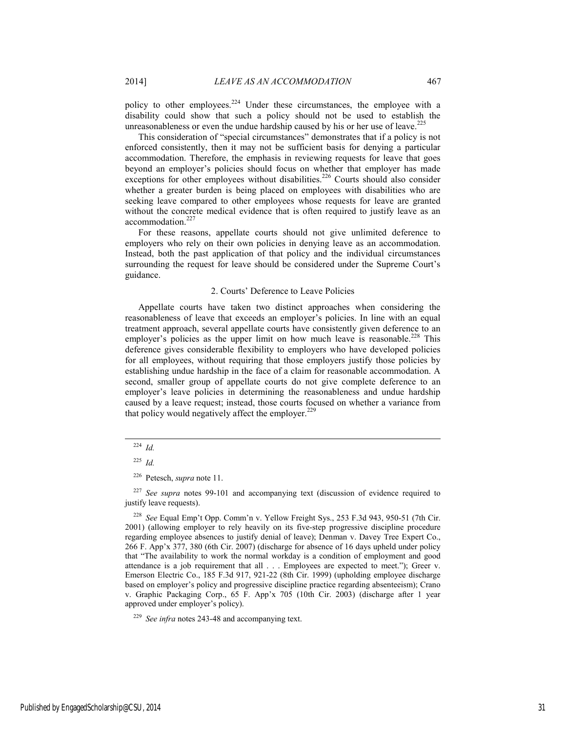policy to other employees.<sup>224</sup> Under these circumstances, the employee with a disability could show that such a policy should not be used to establish the unreasonableness or even the undue hardship caused by his or her use of leave.<sup>225</sup>

This consideration of "special circumstances" demonstrates that if a policy is not enforced consistently, then it may not be sufficient basis for denying a particular accommodation. Therefore, the emphasis in reviewing requests for leave that goes beyond an employer's policies should focus on whether that employer has made exceptions for other employees without disabilities.<sup>226</sup> Courts should also consider whether a greater burden is being placed on employees with disabilities who are seeking leave compared to other employees whose requests for leave are granted without the concrete medical evidence that is often required to justify leave as an accommodation.<sup>227</sup>

For these reasons, appellate courts should not give unlimited deference to employers who rely on their own policies in denying leave as an accommodation. Instead, both the past application of that policy and the individual circumstances surrounding the request for leave should be considered under the Supreme Court's guidance.

### 2. Courts' Deference to Leave Policies

Appellate courts have taken two distinct approaches when considering the reasonableness of leave that exceeds an employer's policies. In line with an equal treatment approach, several appellate courts have consistently given deference to an employer's policies as the upper limit on how much leave is reasonable.<sup>228</sup> This deference gives considerable flexibility to employers who have developed policies for all employees, without requiring that those employers justify those policies by establishing undue hardship in the face of a claim for reasonable accommodation. A second, smaller group of appellate courts do not give complete deference to an employer's leave policies in determining the reasonableness and undue hardship caused by a leave request; instead, those courts focused on whether a variance from that policy would negatively affect the employer.<sup>229</sup>

 <sup>224</sup> *Id.*

<sup>225</sup> *Id.*

<sup>226</sup> Petesch, *supra* note 11.

<sup>227</sup> *See supra* notes 99-101 and accompanying text (discussion of evidence required to justify leave requests).

<sup>228</sup> *See* Equal Emp't Opp. Comm'n v. Yellow Freight Sys., 253 F.3d 943, 950-51 (7th Cir. 2001) (allowing employer to rely heavily on its five-step progressive discipline procedure regarding employee absences to justify denial of leave); Denman v. Davey Tree Expert Co., 266 F. App'x 377, 380 (6th Cir. 2007) (discharge for absence of 16 days upheld under policy that "The availability to work the normal workday is a condition of employment and good attendance is a job requirement that all . . . Employees are expected to meet."); Greer v. Emerson Electric Co., 185 F.3d 917, 921-22 (8th Cir. 1999) (upholding employee discharge based on employer's policy and progressive discipline practice regarding absenteeism); Crano v. Graphic Packaging Corp., 65 F. App'x 705 (10th Cir. 2003) (discharge after 1 year approved under employer's policy).

<sup>229</sup> *See infra* notes 243-48 and accompanying text.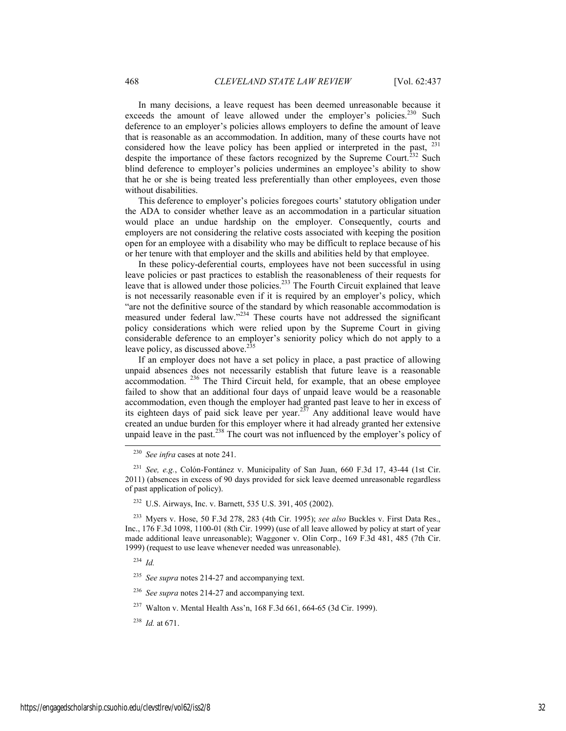In many decisions, a leave request has been deemed unreasonable because it exceeds the amount of leave allowed under the employer's policies.<sup>230</sup> Such deference to an employer's policies allows employers to define the amount of leave that is reasonable as an accommodation. In addition, many of these courts have not considered how the leave policy has been applied or interpreted in the past, <sup>231</sup> despite the importance of these factors recognized by the Supreme Court.<sup>232</sup> Such blind deference to employer's policies undermines an employee's ability to show that he or she is being treated less preferentially than other employees, even those without disabilities.

This deference to employer's policies foregoes courts' statutory obligation under the ADA to consider whether leave as an accommodation in a particular situation would place an undue hardship on the employer. Consequently, courts and employers are not considering the relative costs associated with keeping the position open for an employee with a disability who may be difficult to replace because of his or her tenure with that employer and the skills and abilities held by that employee.

In these policy-deferential courts, employees have not been successful in using leave policies or past practices to establish the reasonableness of their requests for leave that is allowed under those policies.<sup>233</sup> The Fourth Circuit explained that leave is not necessarily reasonable even if it is required by an employer's policy, which "are not the definitive source of the standard by which reasonable accommodation is measured under federal law."<sup>234</sup> These courts have not addressed the significant policy considerations which were relied upon by the Supreme Court in giving considerable deference to an employer's seniority policy which do not apply to a leave policy, as discussed above. $235$ 

If an employer does not have a set policy in place, a past practice of allowing unpaid absences does not necessarily establish that future leave is a reasonable accommodation. 236 The Third Circuit held, for example, that an obese employee failed to show that an additional four days of unpaid leave would be a reasonable accommodation, even though the employer had granted past leave to her in excess of its eighteen days of paid sick leave per year.<sup>237</sup> Any additional leave would have created an undue burden for this employer where it had already granted her extensive unpaid leave in the past.<sup>238</sup> The court was not influenced by the employer's policy of

232 U.S. Airways, Inc. v. Barnett, 535 U.S. 391, 405 (2002).

<sup>233</sup> Myers v. Hose, 50 F.3d 278, 283 (4th Cir. 1995); *see also* Buckles v. First Data Res., Inc., 176 F.3d 1098, 1100-01 (8th Cir. 1999) (use of all leave allowed by policy at start of year made additional leave unreasonable); Waggoner v. Olin Corp., 169 F.3d 481, 485 (7th Cir. 1999) (request to use leave whenever needed was unreasonable).

<sup>234</sup> *Id.*

- <sup>235</sup> *See supra* notes 214-27 and accompanying text.
- <sup>236</sup> *See supra* notes 214-27 and accompanying text.
- 237 Walton v. Mental Health Ass'n, 168 F.3d 661, 664-65 (3d Cir. 1999).
- <sup>238</sup> *Id.* at 671.

 <sup>230</sup> *See infra* cases at note 241.

<sup>231</sup> *See, e.g.*, Colón-Fontánez v. Municipality of San Juan, 660 F.3d 17, 43-44 (1st Cir. 2011) (absences in excess of 90 days provided for sick leave deemed unreasonable regardless of past application of policy).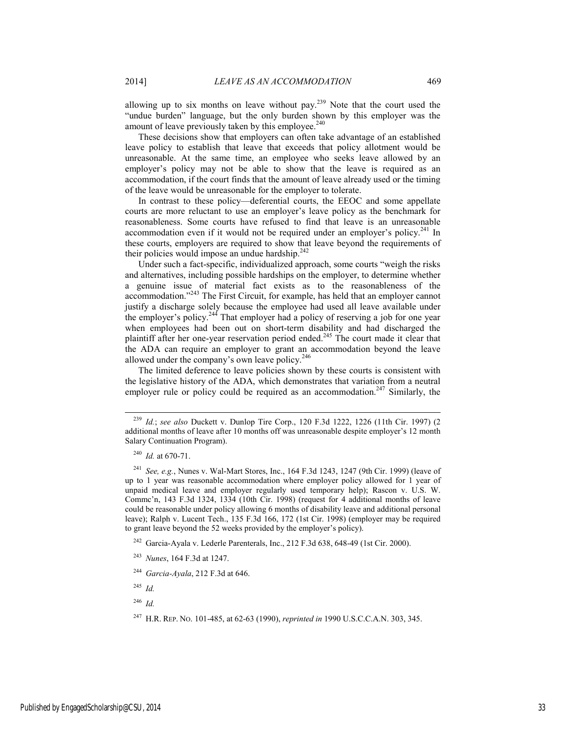allowing up to six months on leave without pay.<sup>239</sup> Note that the court used the "undue burden" language, but the only burden shown by this employer was the amount of leave previously taken by this employee. $240$ 

These decisions show that employers can often take advantage of an established leave policy to establish that leave that exceeds that policy allotment would be unreasonable. At the same time, an employee who seeks leave allowed by an employer's policy may not be able to show that the leave is required as an accommodation, if the court finds that the amount of leave already used or the timing of the leave would be unreasonable for the employer to tolerate.

In contrast to these policy—deferential courts, the EEOC and some appellate courts are more reluctant to use an employer's leave policy as the benchmark for reasonableness. Some courts have refused to find that leave is an unreasonable accommodation even if it would not be required under an employer's policy.<sup>241</sup> In these courts, employers are required to show that leave beyond the requirements of their policies would impose an undue hardship.<sup>242</sup>

Under such a fact-specific, individualized approach, some courts "weigh the risks and alternatives, including possible hardships on the employer, to determine whether a genuine issue of material fact exists as to the reasonableness of the accommodation."243 The First Circuit, for example, has held that an employer cannot justify a discharge solely because the employee had used all leave available under the employer's policy.<sup>244</sup> That employer had a policy of reserving a job for one year when employees had been out on short-term disability and had discharged the plaintiff after her one-year reservation period ended.245 The court made it clear that the ADA can require an employer to grant an accommodation beyond the leave allowed under the company's own leave policy. $246$ 

The limited deference to leave policies shown by these courts is consistent with the legislative history of the ADA, which demonstrates that variation from a neutral employer rule or policy could be required as an accommodation.<sup>247</sup> Similarly, the

<sup>242</sup> Garcia-Ayala v. Lederle Parenterals, Inc., 212 F.3d 638, 648-49 (1st Cir. 2000).

<sup>245</sup> *Id.*

<sup>246</sup> *Id.*

 <sup>239</sup> *Id.*; *see also* Duckett v. Dunlop Tire Corp., 120 F.3d 1222, 1226 (11th Cir. 1997) (2 additional months of leave after 10 months off was unreasonable despite employer's 12 month Salary Continuation Program).

<sup>240</sup> *Id.* at 670-71.

<sup>241</sup> *See, e.g.*, Nunes v. Wal-Mart Stores, Inc., 164 F.3d 1243, 1247 (9th Cir. 1999) (leave of up to 1 year was reasonable accommodation where employer policy allowed for 1 year of unpaid medical leave and employer regularly used temporary help); Rascon v. U.S. W. Commc'n, 143 F.3d 1324, 1334 (10th Cir. 1998) (request for 4 additional months of leave could be reasonable under policy allowing 6 months of disability leave and additional personal leave); Ralph v. Lucent Tech., 135 F.3d 166, 172 (1st Cir. 1998) (employer may be required to grant leave beyond the 52 weeks provided by the employer's policy).

<sup>243</sup> *Nunes*, 164 F.3d at 1247.

<sup>244</sup> *Garcia-Ayala*, 212 F.3d at 646.

<sup>247</sup> H.R. REP. NO. 101-485, at 62-63 (1990), *reprinted in* 1990 U.S.C.C.A.N. 303, 345.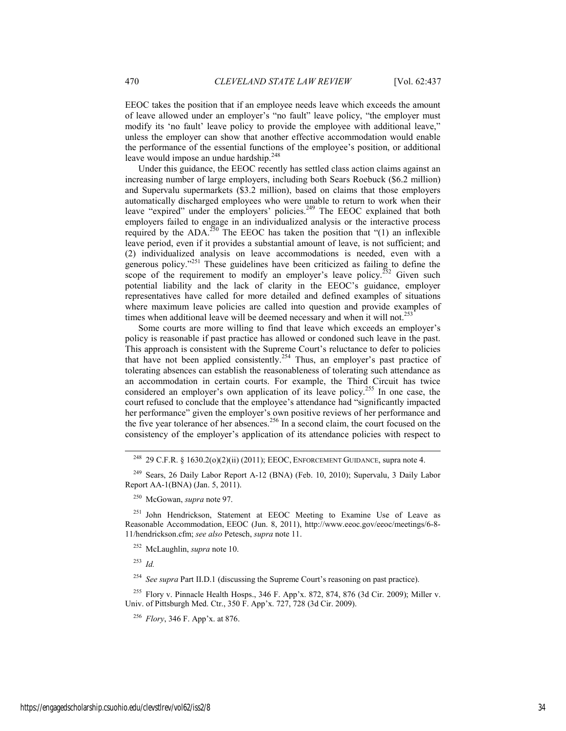EEOC takes the position that if an employee needs leave which exceeds the amount of leave allowed under an employer's "no fault" leave policy, "the employer must modify its 'no fault' leave policy to provide the employee with additional leave," unless the employer can show that another effective accommodation would enable the performance of the essential functions of the employee's position, or additional leave would impose an undue hardship.<sup>248</sup>

Under this guidance, the EEOC recently has settled class action claims against an increasing number of large employers, including both Sears Roebuck (\$6.2 million) and Supervalu supermarkets (\$3.2 million), based on claims that those employers automatically discharged employees who were unable to return to work when their leave "expired" under the employers' policies.<sup>249</sup> The EEOC explained that both employers failed to engage in an individualized analysis or the interactive process required by the ADA.<sup>250</sup> The EEOC has taken the position that " $(1)$  an inflexible leave period, even if it provides a substantial amount of leave, is not sufficient; and (2) individualized analysis on leave accommodations is needed, even with a generous policy. $251$  These guidelines have been criticized as failing to define the scope of the requirement to modify an employer's leave policy.<sup>252</sup> Given such potential liability and the lack of clarity in the EEOC's guidance, employer representatives have called for more detailed and defined examples of situations where maximum leave policies are called into question and provide examples of times when additional leave will be deemed necessary and when it will not.<sup>253</sup>

Some courts are more willing to find that leave which exceeds an employer's policy is reasonable if past practice has allowed or condoned such leave in the past. This approach is consistent with the Supreme Court's reluctance to defer to policies that have not been applied consistently.<sup>254</sup> Thus, an employer's past practice of tolerating absences can establish the reasonableness of tolerating such attendance as an accommodation in certain courts. For example, the Third Circuit has twice considered an employer's own application of its leave policy.<sup>255</sup> In one case, the court refused to conclude that the employee's attendance had "significantly impacted her performance" given the employer's own positive reviews of her performance and the five year tolerance of her absences.<sup>256</sup> In a second claim, the court focused on the consistency of the employer's application of its attendance policies with respect to

250 McGowan, *supra* note 97.

<sup>251</sup> John Hendrickson, Statement at EEOC Meeting to Examine Use of Leave as Reasonable Accommodation, EEOC (Jun. 8, 2011), http://www.eeoc.gov/eeoc/meetings/6-8- 11/hendrickson.cfm; *see also* Petesch, *supra* note 11.

252 McLaughlin, *supra* note 10.

<sup>253</sup> *Id.*

<sup>254</sup> *See supra* Part II.D.1 (discussing the Supreme Court's reasoning on past practice).

<sup>255</sup> Flory v. Pinnacle Health Hosps., 346 F. App'x. 872, 874, 876 (3d Cir. 2009); Miller v. Univ. of Pittsburgh Med. Ctr., 350 F. App'x. 727, 728 (3d Cir. 2009).

<sup>256</sup> *Flory*, 346 F. App'x. at 876.

<sup>&</sup>lt;sup>248</sup> 29 C.F.R. § 1630.2(o)(2)(ii) (2011); EEOC, ENFORCEMENT GUIDANCE, supra note 4.

<sup>249</sup> Sears, 26 Daily Labor Report A-12 (BNA) (Feb. 10, 2010); Supervalu, 3 Daily Labor Report AA-1(BNA) (Jan. 5, 2011).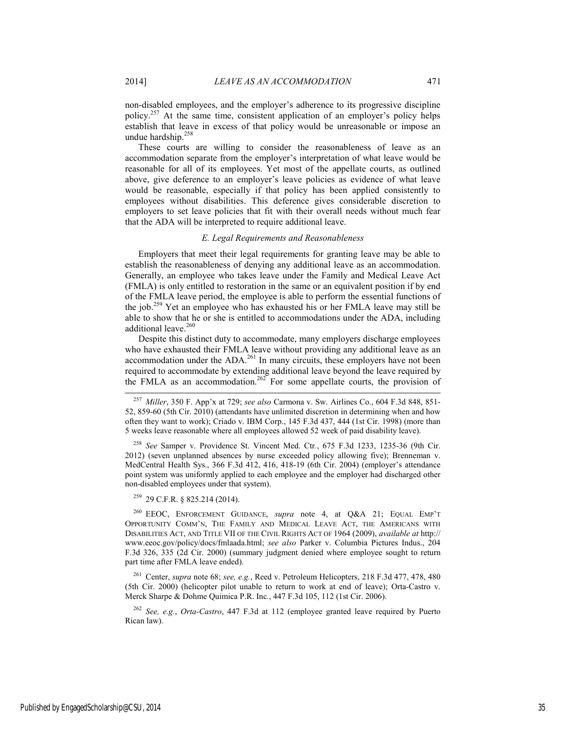non-disabled employees, and the employer's adherence to its progressive discipline policy.<sup>257</sup> At the same time, consistent application of an employer's policy helps establish that leave in excess of that policy would be unreasonable or impose an undue hardship.<sup>258</sup>

These courts are willing to consider the reasonableness of leave as an accommodation separate from the employer's interpretation of what leave would be reasonable for all of its employees. Yet most of the appellate courts, as outlined above, give deference to an employer's leave policies as evidence of what leave would be reasonable, especially if that policy has been applied consistently to employees without disabilities. This deference gives considerable discretion to employers to set leave policies that fit with their overall needs without much fear that the ADA will be interpreted to require additional leave.

### *E. Legal Requirements and Reasonableness*

Employers that meet their legal requirements for granting leave may be able to establish the reasonableness of denying any additional leave as an accommodation. Generally, an employee who takes leave under the Family and Medical Leave Act (FMLA) is only entitled to restoration in the same or an equivalent position if by end of the FMLA leave period, the employee is able to perform the essential functions of the job.259 Yet an employee who has exhausted his or her FMLA leave may still be able to show that he or she is entitled to accommodations under the ADA, including additional leave.<sup>260</sup>

Despite this distinct duty to accommodate, many employers discharge employees who have exhausted their FMLA leave without providing any additional leave as an accommodation under the ADA.<sup>261</sup> In many circuits, these employers have not been required to accommodate by extending additional leave beyond the leave required by the FMLA as an accommodation.<sup>262</sup> For some appellate courts, the provision of

<sup>258</sup> *See* Samper v. Providence St. Vincent Med. Ctr*.*, 675 F.3d 1233, 1235-36 (9th Cir. 2012) (seven unplanned absences by nurse exceeded policy allowing five); Brenneman v. MedCentral Health Sys., 366 F.3d 412, 416, 418-19 (6th Cir. 2004) (employer's attendance point system was uniformly applied to each employee and the employer had discharged other non-disabled employees under that system).

259 29 C.F.R. § 825.214 (2014).

260 EEOC, ENFORCEMENT GUIDANCE, *supra* note 4, at Q&A 21; EQUAL EMP'T OPPORTUNITY COMM'N, THE FAMILY AND MEDICAL LEAVE ACT, THE AMERICANS WITH DISABILITIES ACT, AND TITLE VII OF THE CIVIL RIGHTS ACT OF 1964 (2009), *available at* http:// www.eeoc.gov/policy/docs/fmlaada.html; *see also* Parker v. Columbia Pictures Indus., 204 F.3d 326, 335 (2d Cir. 2000) (summary judgment denied where employee sought to return part time after FMLA leave ended).

261 Center, *supra* note 68; *see, e.g.*, Reed v. Petroleum Helicopters, 218 F.3d 477, 478, 480 (5th Cir. 2000) (helicopter pilot unable to return to work at end of leave); Orta*-*Castro v. Merck Sharpe & Dohme Quimica P.R. Inc*.*, 447 F.3d 105, 112 (1st Cir. 2006).

<sup>262</sup> *See, e.g.*, *Orta-Castro*, 447 F.3d at 112 (employee granted leave required by Puerto Rican law).

 <sup>257</sup> *Miller*, 350 F. App'x at 729; *see also* Carmona v. Sw. Airlines Co., 604 F.3d 848, 851- 52, 859-60 (5th Cir. 2010) (attendants have unlimited discretion in determining when and how often they want to work); Criado v. IBM Corp., 145 F.3d 437, 444 (1st Cir. 1998) (more than 5 weeks leave reasonable where all employees allowed 52 week of paid disability leave).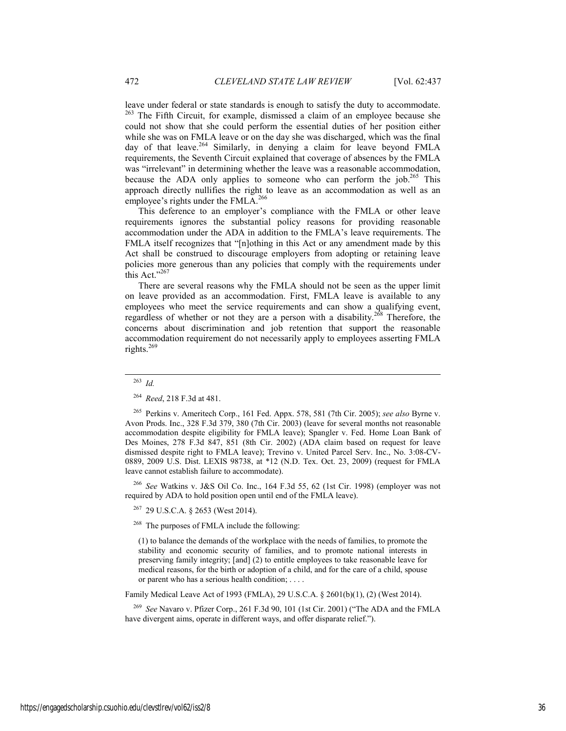leave under federal or state standards is enough to satisfy the duty to accommodate. <sup>263</sup> The Fifth Circuit, for example, dismissed a claim of an employee because she could not show that she could perform the essential duties of her position either while she was on FMLA leave or on the day she was discharged, which was the final day of that leave.<sup>264</sup> Similarly, in denying a claim for leave beyond FMLA requirements, the Seventh Circuit explained that coverage of absences by the FMLA was "irrelevant" in determining whether the leave was a reasonable accommodation, because the ADA only applies to someone who can perform the job.<sup>265</sup> This approach directly nullifies the right to leave as an accommodation as well as an employee's rights under the FMLA.<sup>266</sup>

This deference to an employer's compliance with the FMLA or other leave requirements ignores the substantial policy reasons for providing reasonable accommodation under the ADA in addition to the FMLA's leave requirements. The FMLA itself recognizes that "[n]othing in this Act or any amendment made by this Act shall be construed to discourage employers from adopting or retaining leave policies more generous than any policies that comply with the requirements under this Act."267

There are several reasons why the FMLA should not be seen as the upper limit on leave provided as an accommodation. First, FMLA leave is available to any employees who meet the service requirements and can show a qualifying event, regardless of whether or not they are a person with a disability.<sup>268</sup> Therefore, the concerns about discrimination and job retention that support the reasonable accommodation requirement do not necessarily apply to employees asserting FMLA rights. $^{269}$ 

<sup>266</sup> *See* Watkins v. J&S Oil Co. Inc., 164 F.3d 55, 62 (1st Cir. 1998) (employer was not required by ADA to hold position open until end of the FMLA leave).

267 29 U.S.C.A. § 2653 (West 2014).

<sup>268</sup> The purposes of FMLA include the following:

(1) to balance the demands of the workplace with the needs of families, to promote the stability and economic security of families, and to promote national interests in preserving family integrity; [and] (2) to entitle employees to take reasonable leave for medical reasons, for the birth or adoption of a child, and for the care of a child, spouse or parent who has a serious health condition; . . . .

Family Medical Leave Act of 1993 (FMLA), 29 U.S.C.A. § 2601(b)(1), (2) (West 2014).

<sup>269</sup> *See* Navaro v. Pfizer Corp., 261 F.3d 90, 101 (1st Cir. 2001) ("The ADA and the FMLA have divergent aims, operate in different ways, and offer disparate relief.").

 <sup>263</sup> *Id.*

<sup>264</sup> *Reed*, 218 F.3d at 481.

<sup>265</sup> Perkins v. Ameritech Corp., 161 Fed. Appx. 578, 581 (7th Cir. 2005); *see also* Byrne v. Avon Prods. Inc., 328 F.3d 379, 380 (7th Cir. 2003) (leave for several months not reasonable accommodation despite eligibility for FMLA leave); Spangler v. Fed. Home Loan Bank of Des Moines, 278 F.3d 847, 851 (8th Cir. 2002) (ADA claim based on request for leave dismissed despite right to FMLA leave); Trevino v. United Parcel Serv. Inc., No. 3:08-CV-0889, 2009 U.S. Dist. LEXIS 98738, at \*12 (N.D. Tex. Oct. 23, 2009) (request for FMLA leave cannot establish failure to accommodate).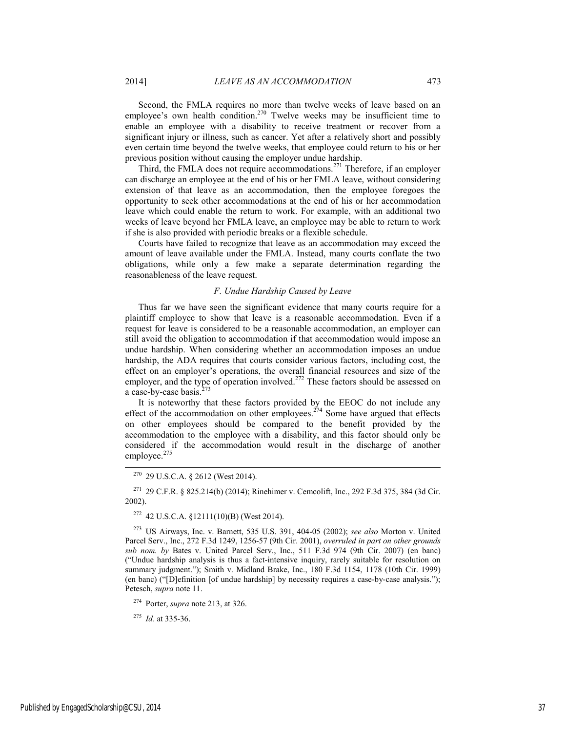Second, the FMLA requires no more than twelve weeks of leave based on an employee's own health condition.<sup>270</sup> Twelve weeks may be insufficient time to enable an employee with a disability to receive treatment or recover from a significant injury or illness, such as cancer. Yet after a relatively short and possibly even certain time beyond the twelve weeks, that employee could return to his or her previous position without causing the employer undue hardship.

Third, the FMLA does not require accommodations.<sup>271</sup> Therefore, if an employer can discharge an employee at the end of his or her FMLA leave, without considering extension of that leave as an accommodation, then the employee foregoes the opportunity to seek other accommodations at the end of his or her accommodation leave which could enable the return to work. For example, with an additional two weeks of leave beyond her FMLA leave, an employee may be able to return to work if she is also provided with periodic breaks or a flexible schedule.

Courts have failed to recognize that leave as an accommodation may exceed the amount of leave available under the FMLA. Instead, many courts conflate the two obligations, while only a few make a separate determination regarding the reasonableness of the leave request.

### *F. Undue Hardship Caused by Leave*

Thus far we have seen the significant evidence that many courts require for a plaintiff employee to show that leave is a reasonable accommodation. Even if a request for leave is considered to be a reasonable accommodation, an employer can still avoid the obligation to accommodation if that accommodation would impose an undue hardship. When considering whether an accommodation imposes an undue hardship, the ADA requires that courts consider various factors, including cost, the effect on an employer's operations, the overall financial resources and size of the employer, and the type of operation involved.<sup>272</sup> These factors should be assessed on a case-by-case basis.<sup>2</sup>

It is noteworthy that these factors provided by the EEOC do not include any effect of the accommodation on other employees.<sup> $274$ </sup> Some have argued that effects on other employees should be compared to the benefit provided by the accommodation to the employee with a disability, and this factor should only be considered if the accommodation would result in the discharge of another employee. $275$ 

270 29 U.S.C.A. § 2612 (West 2014).

271 29 C.F.R. § 825.214(b) (2014); Rinehimer v. Cemcolift, Inc., 292 F.3d 375, 384 (3d Cir. 2002).

272 42 U.S.C.A. §12111(10)(B) (West 2014).

273 US Airways, Inc. v. Barnett, 535 U.S. 391, 404-05 (2002); *see also* Morton v. United Parcel Serv., Inc., 272 F.3d 1249, 1256-57 (9th Cir. 2001), *overruled in part on other grounds sub nom. by* Bates v. United Parcel Serv., Inc., 511 F.3d 974 (9th Cir. 2007) (en banc) ("Undue hardship analysis is thus a fact-intensive inquiry, rarely suitable for resolution on summary judgment."); Smith v. Midland Brake, Inc., 180 F.3d 1154, 1178 (10th Cir. 1999) (en banc) ("[D]efinition [of undue hardship] by necessity requires a case-by-case analysis."); Petesch, *supra* note 11.

274 Porter, *supra* note 213, at 326.

<sup>275</sup> *Id.* at 335-36.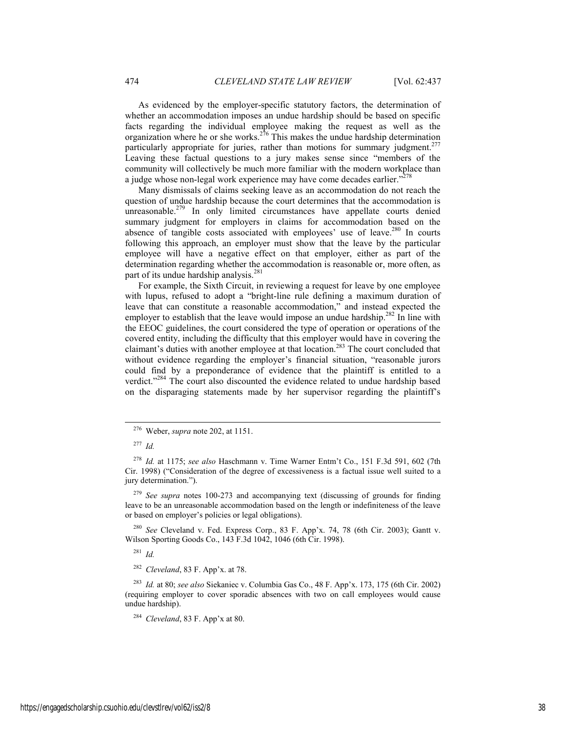As evidenced by the employer-specific statutory factors, the determination of whether an accommodation imposes an undue hardship should be based on specific facts regarding the individual employee making the request as well as the organization where he or she works.<sup>276</sup> This makes the undue hardship determination particularly appropriate for juries, rather than motions for summary judgment.<sup>277</sup> Leaving these factual questions to a jury makes sense since "members of the community will collectively be much more familiar with the modern workplace than a judge whose non-legal work experience may have come decades earlier."<sup>278</sup>

Many dismissals of claims seeking leave as an accommodation do not reach the question of undue hardship because the court determines that the accommodation is unreasonable.<sup>279</sup> In only limited circumstances have appellate courts denied summary judgment for employers in claims for accommodation based on the absence of tangible costs associated with employees' use of leave.<sup>280</sup> In courts following this approach, an employer must show that the leave by the particular employee will have a negative effect on that employer, either as part of the determination regarding whether the accommodation is reasonable or, more often, as part of its undue hardship analysis.<sup>281</sup>

For example, the Sixth Circuit, in reviewing a request for leave by one employee with lupus, refused to adopt a "bright-line rule defining a maximum duration of leave that can constitute a reasonable accommodation," and instead expected the employer to establish that the leave would impose an undue hardship.<sup>282</sup> In line with the EEOC guidelines, the court considered the type of operation or operations of the covered entity, including the difficulty that this employer would have in covering the claimant's duties with another employee at that location.283 The court concluded that without evidence regarding the employer's financial situation, "reasonable jurors could find by a preponderance of evidence that the plaintiff is entitled to a verdict."<sup>284</sup> The court also discounted the evidence related to undue hardship based on the disparaging statements made by her supervisor regarding the plaintiff's

<sup>280</sup> *See* Cleveland v. Fed. Express Corp., 83 F. App'x. 74, 78 (6th Cir. 2003); Gantt v. Wilson Sporting Goods Co., 143 F.3d 1042, 1046 (6th Cir. 1998).

<sup>281</sup> *Id.*

<sup>282</sup> *Cleveland*, 83 F. App'x. at 78.

<sup>283</sup> *Id.* at 80; *see also* Siekaniec v. Columbia Gas Co., 48 F. App'x. 173, 175 (6th Cir. 2002) (requiring employer to cover sporadic absences with two on call employees would cause undue hardship).

<sup>284</sup> *Cleveland*, 83 F. App'x at 80.

 <sup>276</sup> Weber, *supra* note 202, at 1151.

<sup>277</sup> *Id.*

<sup>278</sup> *Id.* at 1175; *see also* Haschmann v. Time Warner Entm't Co., 151 F.3d 591, 602 (7th Cir. 1998) ("Consideration of the degree of excessiveness is a factual issue well suited to a jury determination.").

<sup>279</sup> *See supra* notes 100-273 and accompanying text (discussing of grounds for finding leave to be an unreasonable accommodation based on the length or indefiniteness of the leave or based on employer's policies or legal obligations).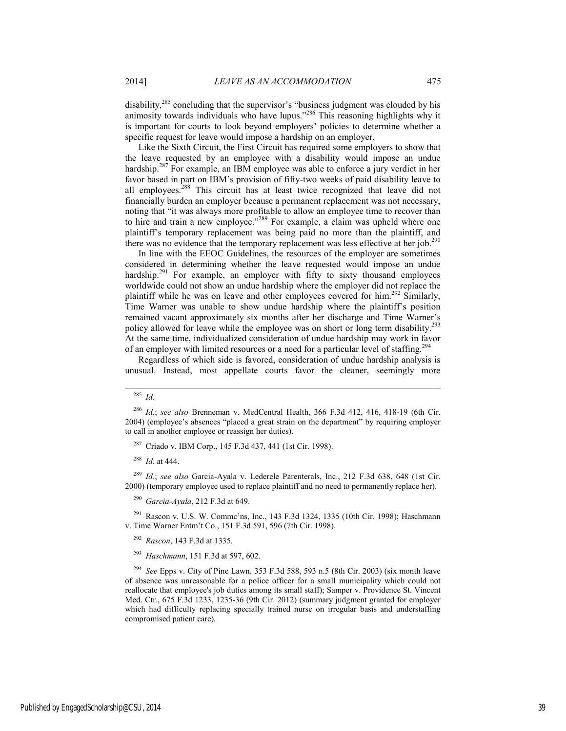disability,<sup>285</sup> concluding that the supervisor's "business judgment was clouded by his animosity towards individuals who have lupus."<sup>286</sup> This reasoning highlights why it is important for courts to look beyond employers' policies to determine whether a specific request for leave would impose a hardship on an employer.

Like the Sixth Circuit, the First Circuit has required some employers to show that the leave requested by an employee with a disability would impose an undue hardship.<sup>287</sup> For example, an IBM employee was able to enforce a jury verdict in her favor based in part on IBM's provision of fifty-two weeks of paid disability leave to all employees.<sup>288</sup> This circuit has at least twice recognized that leave did not financially burden an employer because a permanent replacement was not necessary, noting that "it was always more profitable to allow an employee time to recover than to hire and train a new employee."<sup>289</sup> For example, a claim was upheld where one plaintiff's temporary replacement was being paid no more than the plaintiff, and there was no evidence that the temporary replacement was less effective at her job.<sup>290</sup>

In line with the EEOC Guidelines, the resources of the employer are sometimes considered in determining whether the leave requested would impose an undue hardship.<sup>291</sup> For example, an employer with fifty to sixty thousand employees worldwide could not show an undue hardship where the employer did not replace the plaintiff while he was on leave and other employees covered for him.292 Similarly, Time Warner was unable to show undue hardship where the plaintiff's position remained vacant approximately six months after her discharge and Time Warner's policy allowed for leave while the employee was on short or long term disability.<sup>293</sup> At the same time, individualized consideration of undue hardship may work in favor of an employer with limited resources or a need for a particular level of staffing.<sup>294</sup>

Regardless of which side is favored, consideration of undue hardship analysis is unusual. Instead, most appellate courts favor the cleaner, seemingly more

<sup>288</sup> *Id.* at 444.

<sup>289</sup> *Id.*; *see also* Garcia-Ayala v. Lederele Parenterals, Inc., 212 F.3d 638, 648 (1st Cir. 2000) (temporary employee used to replace plaintiff and no need to permanently replace her).

<sup>290</sup> *Garcia-Ayala*, 212 F.3d at 649.

291 Rascon v. U.S. W. Commc'ns, Inc., 143 F.3d 1324, 1335 (10th Cir. 1998); Haschmann v. Time Warner Entm't Co., 151 F.3d 591, 596 (7th Cir. 1998).

<sup>292</sup> *Rascon*, 143 F.3d at 1335.

<sup>293</sup> *Haschmann*, 151 F.3d at 597, 602.

<sup>294</sup> *See* Epps v. City of Pine Lawn, 353 F.3d 588, 593 n.5 (8th Cir. 2003) (six month leave of absence was unreasonable for a police officer for a small municipality which could not reallocate that employee's job duties among its small staff); Samper v. Providence St. Vincent Med. Ctr*.*, 675 F.3d 1233, 1235-36 (9th Cir. 2012) (summary judgment granted for employer which had difficulty replacing specially trained nurse on irregular basis and understaffing compromised patient care).

 <sup>285</sup> *Id.*

<sup>286</sup> *Id.*; *see also* Brenneman v. MedCentral Health, 366 F.3d 412, 416, 418-19 (6th Cir. 2004) (employee's absences "placed a great strain on the department" by requiring employer to call in another employee or reassign her duties).

<sup>287</sup> Criado v. IBM Corp., 145 F.3d 437, 441 (1st Cir. 1998).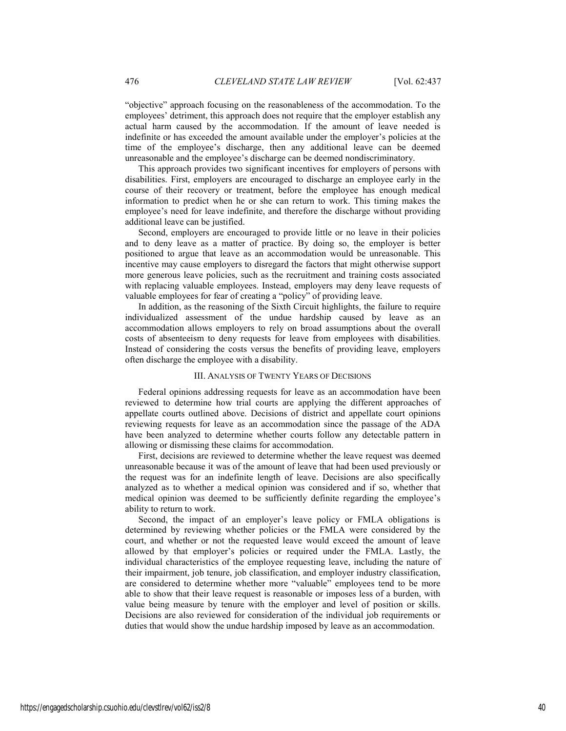"objective" approach focusing on the reasonableness of the accommodation. To the employees' detriment, this approach does not require that the employer establish any actual harm caused by the accommodation. If the amount of leave needed is indefinite or has exceeded the amount available under the employer's policies at the time of the employee's discharge, then any additional leave can be deemed unreasonable and the employee's discharge can be deemed nondiscriminatory.

This approach provides two significant incentives for employers of persons with disabilities. First, employers are encouraged to discharge an employee early in the course of their recovery or treatment, before the employee has enough medical information to predict when he or she can return to work. This timing makes the employee's need for leave indefinite, and therefore the discharge without providing additional leave can be justified.

Second, employers are encouraged to provide little or no leave in their policies and to deny leave as a matter of practice. By doing so, the employer is better positioned to argue that leave as an accommodation would be unreasonable. This incentive may cause employers to disregard the factors that might otherwise support more generous leave policies, such as the recruitment and training costs associated with replacing valuable employees. Instead, employers may deny leave requests of valuable employees for fear of creating a "policy" of providing leave.

In addition, as the reasoning of the Sixth Circuit highlights, the failure to require individualized assessment of the undue hardship caused by leave as an accommodation allows employers to rely on broad assumptions about the overall costs of absenteeism to deny requests for leave from employees with disabilities. Instead of considering the costs versus the benefits of providing leave, employers often discharge the employee with a disability.

### III. ANALYSIS OF TWENTY YEARS OF DECISIONS

Federal opinions addressing requests for leave as an accommodation have been reviewed to determine how trial courts are applying the different approaches of appellate courts outlined above. Decisions of district and appellate court opinions reviewing requests for leave as an accommodation since the passage of the ADA have been analyzed to determine whether courts follow any detectable pattern in allowing or dismissing these claims for accommodation.

First, decisions are reviewed to determine whether the leave request was deemed unreasonable because it was of the amount of leave that had been used previously or the request was for an indefinite length of leave. Decisions are also specifically analyzed as to whether a medical opinion was considered and if so, whether that medical opinion was deemed to be sufficiently definite regarding the employee's ability to return to work.

Second, the impact of an employer's leave policy or FMLA obligations is determined by reviewing whether policies or the FMLA were considered by the court, and whether or not the requested leave would exceed the amount of leave allowed by that employer's policies or required under the FMLA. Lastly, the individual characteristics of the employee requesting leave, including the nature of their impairment, job tenure, job classification, and employer industry classification, are considered to determine whether more "valuable" employees tend to be more able to show that their leave request is reasonable or imposes less of a burden, with value being measure by tenure with the employer and level of position or skills. Decisions are also reviewed for consideration of the individual job requirements or duties that would show the undue hardship imposed by leave as an accommodation.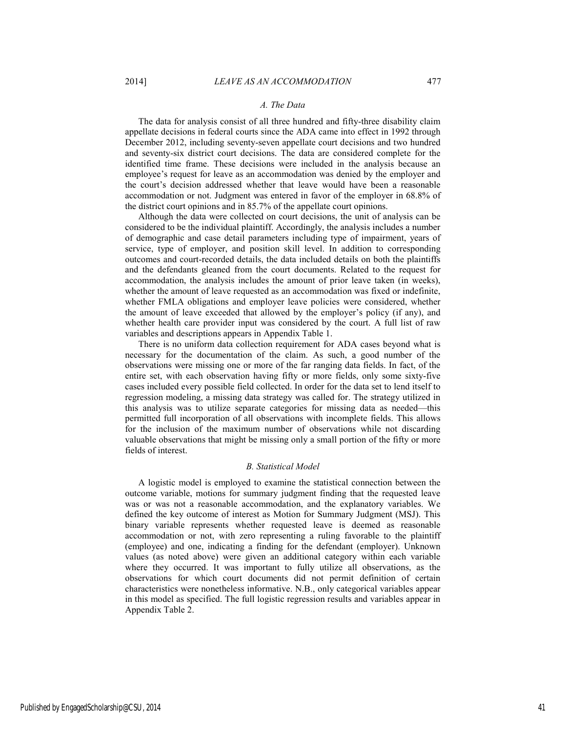### *A. The Data*

The data for analysis consist of all three hundred and fifty-three disability claim appellate decisions in federal courts since the ADA came into effect in 1992 through December 2012, including seventy-seven appellate court decisions and two hundred and seventy-six district court decisions. The data are considered complete for the identified time frame. These decisions were included in the analysis because an employee's request for leave as an accommodation was denied by the employer and the court's decision addressed whether that leave would have been a reasonable accommodation or not. Judgment was entered in favor of the employer in 68.8% of the district court opinions and in 85.7% of the appellate court opinions.

Although the data were collected on court decisions, the unit of analysis can be considered to be the individual plaintiff. Accordingly, the analysis includes a number of demographic and case detail parameters including type of impairment, years of service, type of employer, and position skill level. In addition to corresponding outcomes and court-recorded details, the data included details on both the plaintiffs and the defendants gleaned from the court documents. Related to the request for accommodation, the analysis includes the amount of prior leave taken (in weeks), whether the amount of leave requested as an accommodation was fixed or indefinite, whether FMLA obligations and employer leave policies were considered, whether the amount of leave exceeded that allowed by the employer's policy (if any), and whether health care provider input was considered by the court. A full list of raw variables and descriptions appears in Appendix Table 1.

There is no uniform data collection requirement for ADA cases beyond what is necessary for the documentation of the claim. As such, a good number of the observations were missing one or more of the far ranging data fields. In fact, of the entire set, with each observation having fifty or more fields, only some sixty-five cases included every possible field collected. In order for the data set to lend itself to regression modeling, a missing data strategy was called for. The strategy utilized in this analysis was to utilize separate categories for missing data as needed—this permitted full incorporation of all observations with incomplete fields. This allows for the inclusion of the maximum number of observations while not discarding valuable observations that might be missing only a small portion of the fifty or more fields of interest.

# *B. Statistical Model*

A logistic model is employed to examine the statistical connection between the outcome variable, motions for summary judgment finding that the requested leave was or was not a reasonable accommodation, and the explanatory variables. We defined the key outcome of interest as Motion for Summary Judgment (MSJ). This binary variable represents whether requested leave is deemed as reasonable accommodation or not, with zero representing a ruling favorable to the plaintiff (employee) and one, indicating a finding for the defendant (employer). Unknown values (as noted above) were given an additional category within each variable where they occurred. It was important to fully utilize all observations, as the observations for which court documents did not permit definition of certain characteristics were nonetheless informative. N.B., only categorical variables appear in this model as specified. The full logistic regression results and variables appear in Appendix Table 2.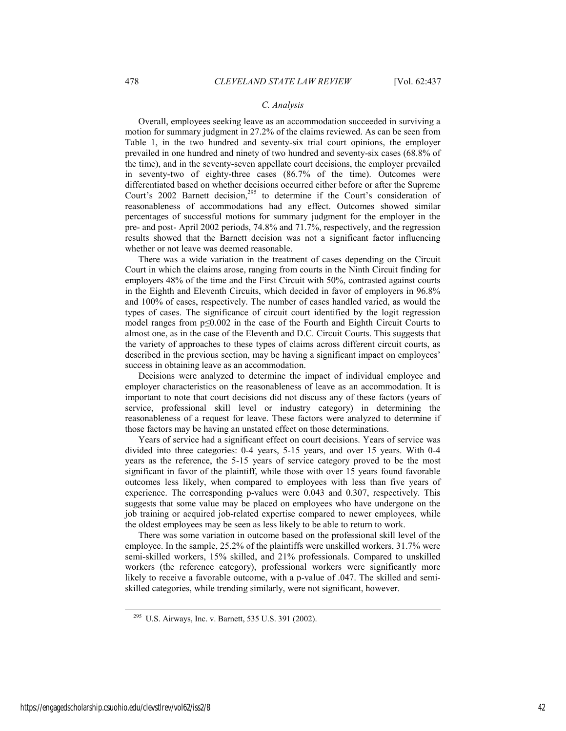### *C. Analysis*

Overall, employees seeking leave as an accommodation succeeded in surviving a motion for summary judgment in 27.2% of the claims reviewed. As can be seen from Table 1, in the two hundred and seventy-six trial court opinions, the employer prevailed in one hundred and ninety of two hundred and seventy-six cases (68.8% of the time), and in the seventy-seven appellate court decisions, the employer prevailed in seventy-two of eighty-three cases (86.7% of the time). Outcomes were differentiated based on whether decisions occurred either before or after the Supreme Court's 2002 Barnett decision,<sup>295</sup> to determine if the Court's consideration of reasonableness of accommodations had any effect. Outcomes showed similar percentages of successful motions for summary judgment for the employer in the pre- and post- April 2002 periods, 74.8% and 71.7%, respectively, and the regression results showed that the Barnett decision was not a significant factor influencing whether or not leave was deemed reasonable.

There was a wide variation in the treatment of cases depending on the Circuit Court in which the claims arose, ranging from courts in the Ninth Circuit finding for employers 48% of the time and the First Circuit with 50%, contrasted against courts in the Eighth and Eleventh Circuits, which decided in favor of employers in 96.8% and 100% of cases, respectively. The number of cases handled varied, as would the types of cases. The significance of circuit court identified by the logit regression model ranges from p≤0.002 in the case of the Fourth and Eighth Circuit Courts to almost one, as in the case of the Eleventh and D.C. Circuit Courts. This suggests that the variety of approaches to these types of claims across different circuit courts, as described in the previous section, may be having a significant impact on employees' success in obtaining leave as an accommodation.

Decisions were analyzed to determine the impact of individual employee and employer characteristics on the reasonableness of leave as an accommodation. It is important to note that court decisions did not discuss any of these factors (years of service, professional skill level or industry category) in determining the reasonableness of a request for leave. These factors were analyzed to determine if those factors may be having an unstated effect on those determinations.

Years of service had a significant effect on court decisions. Years of service was divided into three categories: 0-4 years, 5-15 years, and over 15 years. With 0-4 years as the reference, the 5-15 years of service category proved to be the most significant in favor of the plaintiff, while those with over 15 years found favorable outcomes less likely, when compared to employees with less than five years of experience. The corresponding p-values were 0.043 and 0.307, respectively. This suggests that some value may be placed on employees who have undergone on the job training or acquired job-related expertise compared to newer employees, while the oldest employees may be seen as less likely to be able to return to work.

There was some variation in outcome based on the professional skill level of the employee. In the sample, 25.2% of the plaintiffs were unskilled workers, 31.7% were semi-skilled workers, 15% skilled, and 21% professionals. Compared to unskilled workers (the reference category), professional workers were significantly more likely to receive a favorable outcome, with a p-value of .047. The skilled and semiskilled categories, while trending similarly, were not significant, however.

 <sup>295</sup> U.S. Airways, Inc. v. Barnett, 535 U.S. 391 (2002).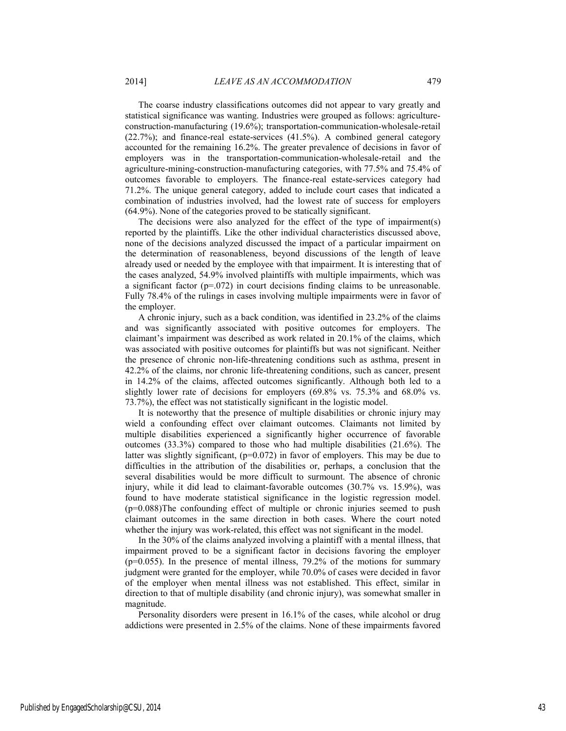The coarse industry classifications outcomes did not appear to vary greatly and statistical significance was wanting. Industries were grouped as follows: agricultureconstruction-manufacturing (19.6%); transportation-communication-wholesale-retail (22.7%); and finance-real estate-services (41.5%). A combined general category accounted for the remaining 16.2%. The greater prevalence of decisions in favor of employers was in the transportation-communication-wholesale-retail and the agriculture-mining-construction-manufacturing categories, with 77.5% and 75.4% of outcomes favorable to employers. The finance-real estate-services category had 71.2%. The unique general category, added to include court cases that indicated a combination of industries involved, had the lowest rate of success for employers (64.9%). None of the categories proved to be statically significant.

The decisions were also analyzed for the effect of the type of impairment(s) reported by the plaintiffs. Like the other individual characteristics discussed above, none of the decisions analyzed discussed the impact of a particular impairment on the determination of reasonableness, beyond discussions of the length of leave already used or needed by the employee with that impairment. It is interesting that of the cases analyzed, 54.9% involved plaintiffs with multiple impairments, which was a significant factor  $(p=0.072)$  in court decisions finding claims to be unreasonable. Fully 78.4% of the rulings in cases involving multiple impairments were in favor of the employer.

A chronic injury, such as a back condition, was identified in 23.2% of the claims and was significantly associated with positive outcomes for employers. The claimant's impairment was described as work related in 20.1% of the claims, which was associated with positive outcomes for plaintiffs but was not significant. Neither the presence of chronic non-life-threatening conditions such as asthma, present in 42.2% of the claims, nor chronic life-threatening conditions, such as cancer, present in 14.2% of the claims, affected outcomes significantly. Although both led to a slightly lower rate of decisions for employers (69.8% vs. 75.3% and 68.0% vs. 73.7%), the effect was not statistically significant in the logistic model.

It is noteworthy that the presence of multiple disabilities or chronic injury may wield a confounding effect over claimant outcomes. Claimants not limited by multiple disabilities experienced a significantly higher occurrence of favorable outcomes  $(33.3%)$  compared to those who had multiple disabilities  $(21.6%)$ . The latter was slightly significant,  $(p=0.072)$  in favor of employers. This may be due to difficulties in the attribution of the disabilities or, perhaps, a conclusion that the several disabilities would be more difficult to surmount. The absence of chronic injury, while it did lead to claimant-favorable outcomes (30.7% vs. 15.9%), was found to have moderate statistical significance in the logistic regression model. (p=0.088)The confounding effect of multiple or chronic injuries seemed to push claimant outcomes in the same direction in both cases. Where the court noted whether the injury was work-related, this effect was not significant in the model.

In the 30% of the claims analyzed involving a plaintiff with a mental illness, that impairment proved to be a significant factor in decisions favoring the employer (p=0.055). In the presence of mental illness, 79.2% of the motions for summary judgment were granted for the employer, while 70.0% of cases were decided in favor of the employer when mental illness was not established. This effect, similar in direction to that of multiple disability (and chronic injury), was somewhat smaller in magnitude.

Personality disorders were present in 16.1% of the cases, while alcohol or drug addictions were presented in 2.5% of the claims. None of these impairments favored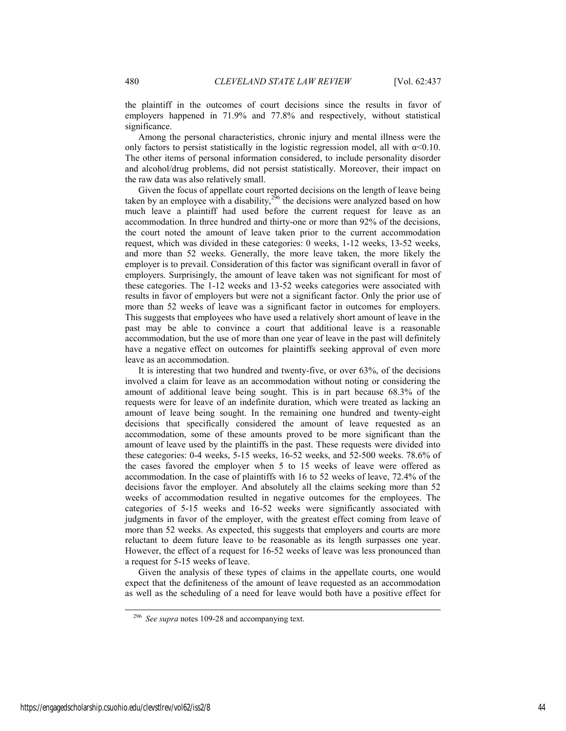the plaintiff in the outcomes of court decisions since the results in favor of employers happened in 71.9% and 77.8% and respectively, without statistical significance.

Among the personal characteristics, chronic injury and mental illness were the only factors to persist statistically in the logistic regression model, all with  $\alpha$ <0.10. The other items of personal information considered, to include personality disorder and alcohol/drug problems, did not persist statistically. Moreover, their impact on the raw data was also relatively small.

Given the focus of appellate court reported decisions on the length of leave being taken by an employee with a disability,  $2^{36}$  the decisions were analyzed based on how much leave a plaintiff had used before the current request for leave as an accommodation. In three hundred and thirty-one or more than 92% of the decisions, the court noted the amount of leave taken prior to the current accommodation request, which was divided in these categories: 0 weeks, 1-12 weeks, 13-52 weeks, and more than 52 weeks. Generally, the more leave taken, the more likely the employer is to prevail. Consideration of this factor was significant overall in favor of employers. Surprisingly, the amount of leave taken was not significant for most of these categories. The 1-12 weeks and 13-52 weeks categories were associated with results in favor of employers but were not a significant factor. Only the prior use of more than 52 weeks of leave was a significant factor in outcomes for employers. This suggests that employees who have used a relatively short amount of leave in the past may be able to convince a court that additional leave is a reasonable accommodation, but the use of more than one year of leave in the past will definitely have a negative effect on outcomes for plaintiffs seeking approval of even more leave as an accommodation.

It is interesting that two hundred and twenty-five, or over 63%, of the decisions involved a claim for leave as an accommodation without noting or considering the amount of additional leave being sought. This is in part because 68.3% of the requests were for leave of an indefinite duration, which were treated as lacking an amount of leave being sought. In the remaining one hundred and twenty-eight decisions that specifically considered the amount of leave requested as an accommodation, some of these amounts proved to be more significant than the amount of leave used by the plaintiffs in the past. These requests were divided into these categories: 0-4 weeks, 5-15 weeks, 16-52 weeks, and 52-500 weeks. 78.6% of the cases favored the employer when 5 to 15 weeks of leave were offered as accommodation. In the case of plaintiffs with 16 to 52 weeks of leave, 72.4% of the decisions favor the employer. And absolutely all the claims seeking more than 52 weeks of accommodation resulted in negative outcomes for the employees. The categories of 5-15 weeks and 16-52 weeks were significantly associated with judgments in favor of the employer, with the greatest effect coming from leave of more than 52 weeks. As expected, this suggests that employers and courts are more reluctant to deem future leave to be reasonable as its length surpasses one year. However, the effect of a request for 16-52 weeks of leave was less pronounced than a request for 5-15 weeks of leave.

Given the analysis of these types of claims in the appellate courts, one would expect that the definiteness of the amount of leave requested as an accommodation as well as the scheduling of a need for leave would both have a positive effect for

 <sup>296</sup> *See supra* notes 109-28 and accompanying text.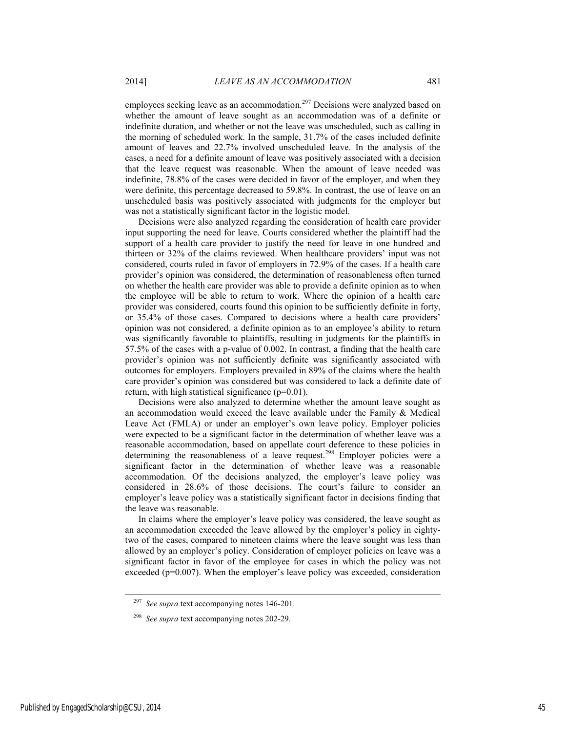employees seeking leave as an accommodation.<sup>297</sup> Decisions were analyzed based on whether the amount of leave sought as an accommodation was of a definite or indefinite duration, and whether or not the leave was unscheduled, such as calling in the morning of scheduled work. In the sample, 31.7% of the cases included definite amount of leaves and 22.7% involved unscheduled leave. In the analysis of the cases, a need for a definite amount of leave was positively associated with a decision that the leave request was reasonable. When the amount of leave needed was indefinite, 78.8% of the cases were decided in favor of the employer, and when they were definite, this percentage decreased to 59.8%. In contrast, the use of leave on an unscheduled basis was positively associated with judgments for the employer but was not a statistically significant factor in the logistic model.

Decisions were also analyzed regarding the consideration of health care provider input supporting the need for leave. Courts considered whether the plaintiff had the support of a health care provider to justify the need for leave in one hundred and thirteen or 32% of the claims reviewed. When healthcare providers' input was not considered, courts ruled in favor of employers in 72.9% of the cases. If a health care provider's opinion was considered, the determination of reasonableness often turned on whether the health care provider was able to provide a definite opinion as to when the employee will be able to return to work. Where the opinion of a health care provider was considered, courts found this opinion to be sufficiently definite in forty, or 35.4% of those cases. Compared to decisions where a health care providers' opinion was not considered, a definite opinion as to an employee's ability to return was significantly favorable to plaintiffs, resulting in judgments for the plaintiffs in 57.5% of the cases with a p-value of 0.002. In contrast, a finding that the health care provider's opinion was not sufficiently definite was significantly associated with outcomes for employers. Employers prevailed in 89% of the claims where the health care provider's opinion was considered but was considered to lack a definite date of return, with high statistical significance  $(p=0.01)$ .

Decisions were also analyzed to determine whether the amount leave sought as an accommodation would exceed the leave available under the Family & Medical Leave Act (FMLA) or under an employer's own leave policy. Employer policies were expected to be a significant factor in the determination of whether leave was a reasonable accommodation, based on appellate court deference to these policies in determining the reasonableness of a leave request.<sup>298</sup> Employer policies were a significant factor in the determination of whether leave was a reasonable accommodation. Of the decisions analyzed, the employer's leave policy was considered in 28.6% of those decisions. The court's failure to consider an employer's leave policy was a statistically significant factor in decisions finding that the leave was reasonable.

In claims where the employer's leave policy was considered, the leave sought as an accommodation exceeded the leave allowed by the employer's policy in eightytwo of the cases, compared to nineteen claims where the leave sought was less than allowed by an employer's policy. Consideration of employer policies on leave was a significant factor in favor of the employee for cases in which the policy was not exceeded  $(p=0.007)$ . When the employer's leave policy was exceeded, consideration

 <sup>297</sup> *See supra* text accompanying notes 146-201.

<sup>298</sup> *See supra* text accompanying notes 202-29.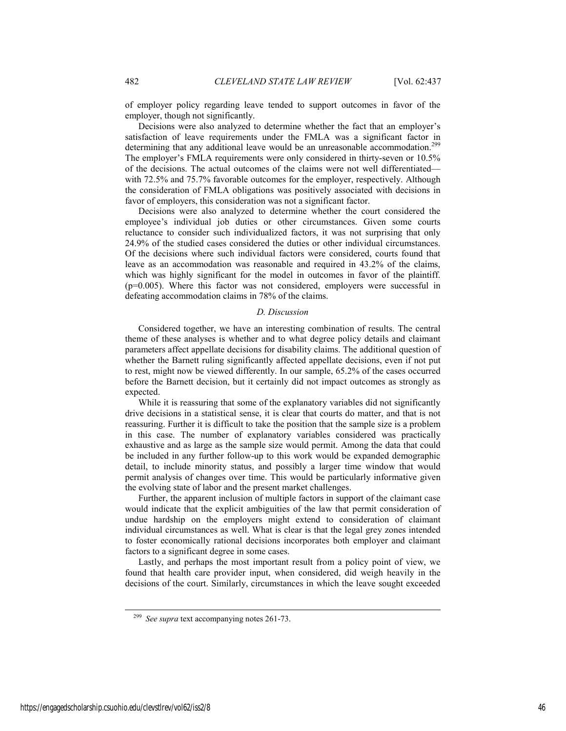of employer policy regarding leave tended to support outcomes in favor of the employer, though not significantly.

Decisions were also analyzed to determine whether the fact that an employer's satisfaction of leave requirements under the FMLA was a significant factor in determining that any additional leave would be an unreasonable accommodation.<sup>299</sup> The employer's FMLA requirements were only considered in thirty-seven or 10.5% of the decisions. The actual outcomes of the claims were not well differentiated with 72.5% and 75.7% favorable outcomes for the employer, respectively. Although the consideration of FMLA obligations was positively associated with decisions in favor of employers, this consideration was not a significant factor.

Decisions were also analyzed to determine whether the court considered the employee's individual job duties or other circumstances. Given some courts reluctance to consider such individualized factors, it was not surprising that only 24.9% of the studied cases considered the duties or other individual circumstances. Of the decisions where such individual factors were considered, courts found that leave as an accommodation was reasonable and required in 43.2% of the claims, which was highly significant for the model in outcomes in favor of the plaintiff. (p=0.005). Where this factor was not considered, employers were successful in defeating accommodation claims in 78% of the claims.

### *D. Discussion*

Considered together, we have an interesting combination of results. The central theme of these analyses is whether and to what degree policy details and claimant parameters affect appellate decisions for disability claims. The additional question of whether the Barnett ruling significantly affected appellate decisions, even if not put to rest, might now be viewed differently. In our sample, 65.2% of the cases occurred before the Barnett decision, but it certainly did not impact outcomes as strongly as expected.

While it is reassuring that some of the explanatory variables did not significantly drive decisions in a statistical sense, it is clear that courts do matter, and that is not reassuring. Further it is difficult to take the position that the sample size is a problem in this case. The number of explanatory variables considered was practically exhaustive and as large as the sample size would permit. Among the data that could be included in any further follow-up to this work would be expanded demographic detail, to include minority status, and possibly a larger time window that would permit analysis of changes over time. This would be particularly informative given the evolving state of labor and the present market challenges.

Further, the apparent inclusion of multiple factors in support of the claimant case would indicate that the explicit ambiguities of the law that permit consideration of undue hardship on the employers might extend to consideration of claimant individual circumstances as well. What is clear is that the legal grey zones intended to foster economically rational decisions incorporates both employer and claimant factors to a significant degree in some cases.

Lastly, and perhaps the most important result from a policy point of view, we found that health care provider input, when considered, did weigh heavily in the decisions of the court. Similarly, circumstances in which the leave sought exceeded

 <sup>299</sup> *See supra* text accompanying notes 261-73.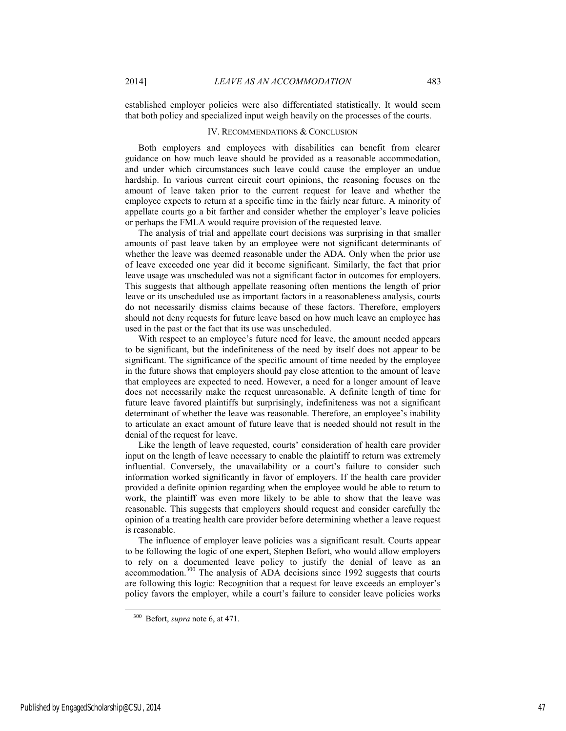established employer policies were also differentiated statistically. It would seem that both policy and specialized input weigh heavily on the processes of the courts.

### IV. RECOMMENDATIONS & CONCLUSION

Both employers and employees with disabilities can benefit from clearer guidance on how much leave should be provided as a reasonable accommodation, and under which circumstances such leave could cause the employer an undue hardship. In various current circuit court opinions, the reasoning focuses on the amount of leave taken prior to the current request for leave and whether the employee expects to return at a specific time in the fairly near future. A minority of appellate courts go a bit farther and consider whether the employer's leave policies or perhaps the FMLA would require provision of the requested leave.

The analysis of trial and appellate court decisions was surprising in that smaller amounts of past leave taken by an employee were not significant determinants of whether the leave was deemed reasonable under the ADA. Only when the prior use of leave exceeded one year did it become significant. Similarly, the fact that prior leave usage was unscheduled was not a significant factor in outcomes for employers. This suggests that although appellate reasoning often mentions the length of prior leave or its unscheduled use as important factors in a reasonableness analysis, courts do not necessarily dismiss claims because of these factors. Therefore, employers should not deny requests for future leave based on how much leave an employee has used in the past or the fact that its use was unscheduled.

With respect to an employee's future need for leave, the amount needed appears to be significant, but the indefiniteness of the need by itself does not appear to be significant. The significance of the specific amount of time needed by the employee in the future shows that employers should pay close attention to the amount of leave that employees are expected to need. However, a need for a longer amount of leave does not necessarily make the request unreasonable. A definite length of time for future leave favored plaintiffs but surprisingly, indefiniteness was not a significant determinant of whether the leave was reasonable. Therefore, an employee's inability to articulate an exact amount of future leave that is needed should not result in the denial of the request for leave.

Like the length of leave requested, courts' consideration of health care provider input on the length of leave necessary to enable the plaintiff to return was extremely influential. Conversely, the unavailability or a court's failure to consider such information worked significantly in favor of employers. If the health care provider provided a definite opinion regarding when the employee would be able to return to work, the plaintiff was even more likely to be able to show that the leave was reasonable. This suggests that employers should request and consider carefully the opinion of a treating health care provider before determining whether a leave request is reasonable.

The influence of employer leave policies was a significant result. Courts appear to be following the logic of one expert, Stephen Befort, who would allow employers to rely on a documented leave policy to justify the denial of leave as an accommodation.300 The analysis of ADA decisions since 1992 suggests that courts are following this logic: Recognition that a request for leave exceeds an employer's policy favors the employer, while a court's failure to consider leave policies works

 <sup>300</sup> Befort, *supra* note 6, at 471.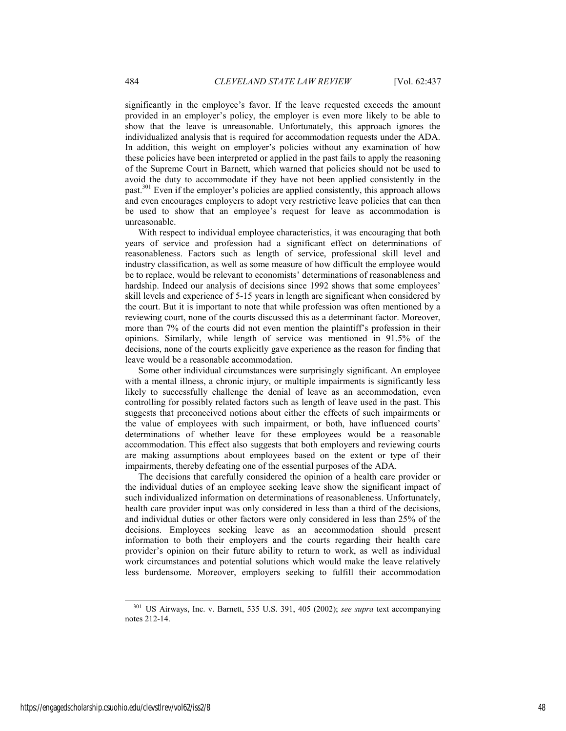significantly in the employee's favor. If the leave requested exceeds the amount provided in an employer's policy, the employer is even more likely to be able to show that the leave is unreasonable. Unfortunately, this approach ignores the individualized analysis that is required for accommodation requests under the ADA. In addition, this weight on employer's policies without any examination of how these policies have been interpreted or applied in the past fails to apply the reasoning of the Supreme Court in Barnett, which warned that policies should not be used to avoid the duty to accommodate if they have not been applied consistently in the past.301 Even if the employer's policies are applied consistently, this approach allows and even encourages employers to adopt very restrictive leave policies that can then be used to show that an employee's request for leave as accommodation is unreasonable.

With respect to individual employee characteristics, it was encouraging that both years of service and profession had a significant effect on determinations of reasonableness. Factors such as length of service, professional skill level and industry classification, as well as some measure of how difficult the employee would be to replace, would be relevant to economists' determinations of reasonableness and hardship. Indeed our analysis of decisions since 1992 shows that some employees' skill levels and experience of 5-15 years in length are significant when considered by the court. But it is important to note that while profession was often mentioned by a reviewing court, none of the courts discussed this as a determinant factor. Moreover, more than 7% of the courts did not even mention the plaintiff's profession in their opinions. Similarly, while length of service was mentioned in 91.5% of the decisions, none of the courts explicitly gave experience as the reason for finding that leave would be a reasonable accommodation.

Some other individual circumstances were surprisingly significant. An employee with a mental illness, a chronic injury, or multiple impairments is significantly less likely to successfully challenge the denial of leave as an accommodation, even controlling for possibly related factors such as length of leave used in the past. This suggests that preconceived notions about either the effects of such impairments or the value of employees with such impairment, or both, have influenced courts' determinations of whether leave for these employees would be a reasonable accommodation. This effect also suggests that both employers and reviewing courts are making assumptions about employees based on the extent or type of their impairments, thereby defeating one of the essential purposes of the ADA.

The decisions that carefully considered the opinion of a health care provider or the individual duties of an employee seeking leave show the significant impact of such individualized information on determinations of reasonableness. Unfortunately, health care provider input was only considered in less than a third of the decisions, and individual duties or other factors were only considered in less than 25% of the decisions. Employees seeking leave as an accommodation should present information to both their employers and the courts regarding their health care provider's opinion on their future ability to return to work, as well as individual work circumstances and potential solutions which would make the leave relatively less burdensome. Moreover, employers seeking to fulfill their accommodation

 <sup>301</sup> US Airways, Inc. v. Barnett, 535 U.S. 391, 405 (2002); *see supra* text accompanying notes 212-14.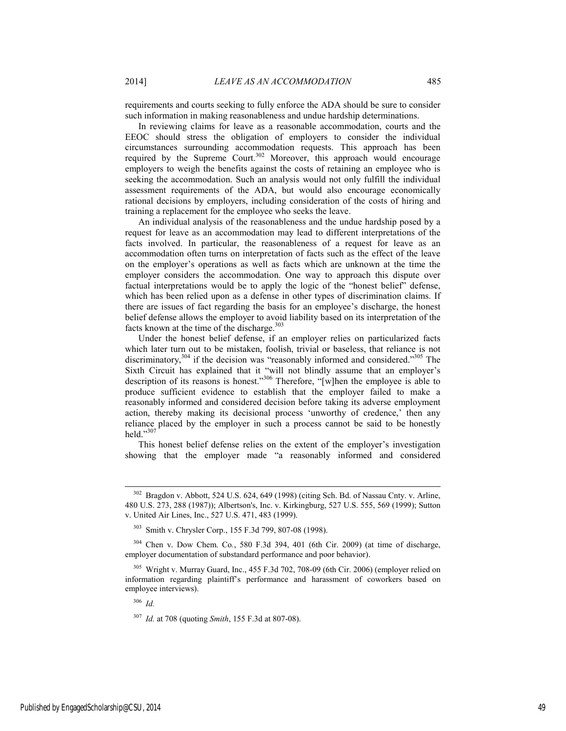requirements and courts seeking to fully enforce the ADA should be sure to consider such information in making reasonableness and undue hardship determinations.

In reviewing claims for leave as a reasonable accommodation, courts and the EEOC should stress the obligation of employers to consider the individual circumstances surrounding accommodation requests. This approach has been required by the Supreme Court.<sup>302</sup> Moreover, this approach would encourage employers to weigh the benefits against the costs of retaining an employee who is seeking the accommodation. Such an analysis would not only fulfill the individual assessment requirements of the ADA, but would also encourage economically rational decisions by employers, including consideration of the costs of hiring and training a replacement for the employee who seeks the leave.

An individual analysis of the reasonableness and the undue hardship posed by a request for leave as an accommodation may lead to different interpretations of the facts involved. In particular, the reasonableness of a request for leave as an accommodation often turns on interpretation of facts such as the effect of the leave on the employer's operations as well as facts which are unknown at the time the employer considers the accommodation. One way to approach this dispute over factual interpretations would be to apply the logic of the "honest belief" defense, which has been relied upon as a defense in other types of discrimination claims. If there are issues of fact regarding the basis for an employee's discharge, the honest belief defense allows the employer to avoid liability based on its interpretation of the facts known at the time of the discharge. $303$ 

Under the honest belief defense, if an employer relies on particularized facts which later turn out to be mistaken, foolish, trivial or baseless, that reliance is not discriminatory,<sup>304</sup> if the decision was "reasonably informed and considered."<sup>305</sup> The Sixth Circuit has explained that it "will not blindly assume that an employer's description of its reasons is honest."306 Therefore, "[w]hen the employee is able to produce sufficient evidence to establish that the employer failed to make a reasonably informed and considered decision before taking its adverse employment action, thereby making its decisional process 'unworthy of credence,' then any reliance placed by the employer in such a process cannot be said to be honestly held."<sup>307</sup>

This honest belief defense relies on the extent of the employer's investigation showing that the employer made "a reasonably informed and considered

<sup>306</sup> *Id.*

 <sup>302</sup> Bragdon v. Abbott, 524 U.S. 624, 649 (1998) (citing Sch. Bd. of Nassau Cnty. v. Arline, 480 U.S. 273, 288 (1987)); Albertson's, Inc. v. Kirkingburg, 527 U.S. 555, 569 (1999); Sutton v. United Air Lines, Inc., 527 U.S. 471, 483 (1999).

<sup>303</sup> Smith v. Chrysler Corp., 155 F.3d 799, 807-08 (1998).

<sup>304</sup> Chen v. Dow Chem. Co*.*, 580 F.3d 394, 401 (6th Cir. 2009) (at time of discharge, employer documentation of substandard performance and poor behavior).

<sup>305</sup> Wright v. Murray Guard, Inc., 455 F.3d 702, 708-09 (6th Cir. 2006) (employer relied on information regarding plaintiff's performance and harassment of coworkers based on employee interviews).

<sup>307</sup> *Id.* at 708 (quoting *Smith*, 155 F.3d at 807-08).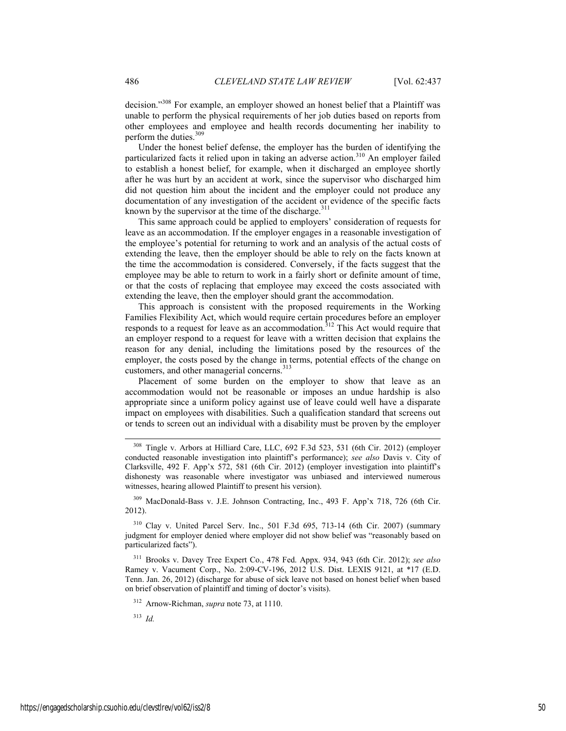decision."<sup>308</sup> For example, an employer showed an honest belief that a Plaintiff was unable to perform the physical requirements of her job duties based on reports from other employees and employee and health records documenting her inability to perform the duties.<sup>309</sup>

Under the honest belief defense, the employer has the burden of identifying the particularized facts it relied upon in taking an adverse action.<sup>310</sup> An employer failed to establish a honest belief, for example, when it discharged an employee shortly after he was hurt by an accident at work, since the supervisor who discharged him did not question him about the incident and the employer could not produce any documentation of any investigation of the accident or evidence of the specific facts known by the supervisor at the time of the discharge. $311$ 

This same approach could be applied to employers' consideration of requests for leave as an accommodation. If the employer engages in a reasonable investigation of the employee's potential for returning to work and an analysis of the actual costs of extending the leave, then the employer should be able to rely on the facts known at the time the accommodation is considered. Conversely, if the facts suggest that the employee may be able to return to work in a fairly short or definite amount of time, or that the costs of replacing that employee may exceed the costs associated with extending the leave, then the employer should grant the accommodation.

This approach is consistent with the proposed requirements in the Working Families Flexibility Act, which would require certain procedures before an employer responds to a request for leave as an accommodation.<sup>312</sup> This Act would require that an employer respond to a request for leave with a written decision that explains the reason for any denial, including the limitations posed by the resources of the employer, the costs posed by the change in terms, potential effects of the change on customers, and other managerial concerns.<sup>313</sup>

Placement of some burden on the employer to show that leave as an accommodation would not be reasonable or imposes an undue hardship is also appropriate since a uniform policy against use of leave could well have a disparate impact on employees with disabilities. Such a qualification standard that screens out or tends to screen out an individual with a disability must be proven by the employer

309 MacDonald-Bass v. J.E. Johnson Contracting, Inc., 493 F. App'x 718, 726 (6th Cir. 2012).

310 Clay v. United Parcel Serv. Inc., 501 F.3d 695, 713-14 (6th Cir. 2007) (summary judgment for employer denied where employer did not show belief was "reasonably based on particularized facts").

311 Brooks v. Davey Tree Expert Co., 478 Fed. Appx. 934, 943 (6th Cir. 2012); *see also*  Ramey v. Vacument Corp., No. 2:09-CV-196, 2012 U.S. Dist. LEXIS 9121, at \*17 (E.D. Tenn. Jan. 26, 2012) (discharge for abuse of sick leave not based on honest belief when based on brief observation of plaintiff and timing of doctor's visits).

312 Arnow-Richman, *supra* note 73, at 1110.

<sup>313</sup> *Id.*

 <sup>308</sup> Tingle v. Arbors at Hilliard Care, LLC, 692 F.3d 523, 531 (6th Cir. 2012) (employer conducted reasonable investigation into plaintiff's performance); *see also* Davis v. City of Clarksville, 492 F. App'x 572, 581 (6th Cir. 2012) (employer investigation into plaintiff's dishonesty was reasonable where investigator was unbiased and interviewed numerous witnesses, hearing allowed Plaintiff to present his version).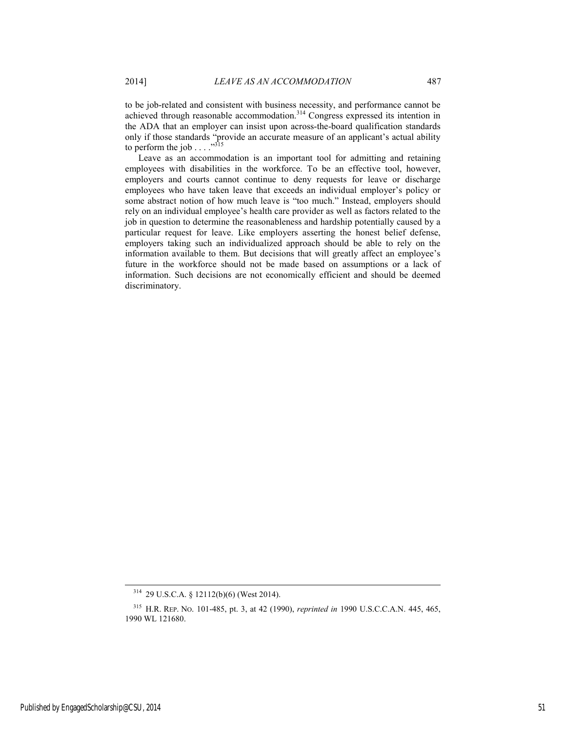to be job-related and consistent with business necessity, and performance cannot be achieved through reasonable accommodation.<sup>314</sup> Congress expressed its intention in the ADA that an employer can insist upon across-the-board qualification standards only if those standards "provide an accurate measure of an applicant's actual ability to perform the job  $\ldots$  .  $\cdot$  <sup>315</sup>

Leave as an accommodation is an important tool for admitting and retaining employees with disabilities in the workforce. To be an effective tool, however, employers and courts cannot continue to deny requests for leave or discharge employees who have taken leave that exceeds an individual employer's policy or some abstract notion of how much leave is "too much." Instead, employers should rely on an individual employee's health care provider as well as factors related to the job in question to determine the reasonableness and hardship potentially caused by a particular request for leave. Like employers asserting the honest belief defense, employers taking such an individualized approach should be able to rely on the information available to them. But decisions that will greatly affect an employee's future in the workforce should not be made based on assumptions or a lack of information. Such decisions are not economically efficient and should be deemed discriminatory.

 <sup>314 29</sup> U.S.C.A. § 12112(b)(6) (West 2014).

<sup>315</sup> H.R. REP. NO. 101-485, pt. 3, at 42 (1990), *reprinted in* 1990 U.S.C.C.A.N. 445, 465, 1990 WL 121680.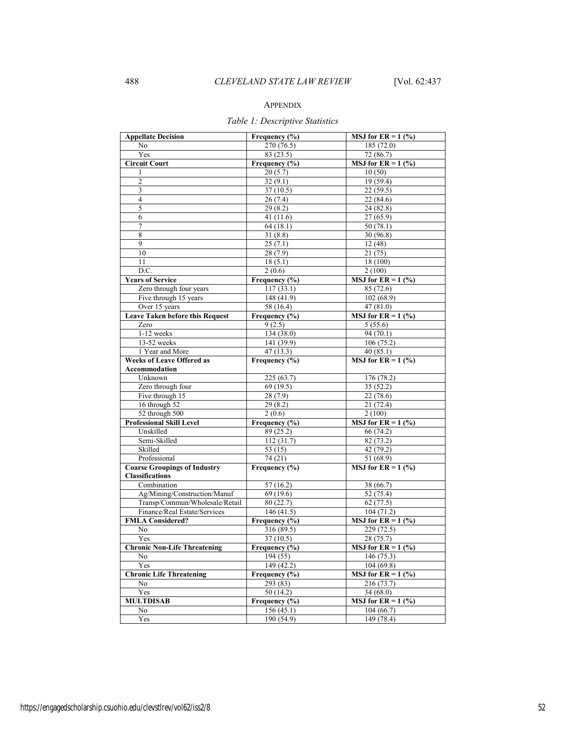# APPENDIX

# *Table 1: Descriptive Statistics*

| <b>Appellate Decision</b>              | Frequency (%)     | <b>MSJ</b> for $ER = 1$ (%) |
|----------------------------------------|-------------------|-----------------------------|
| No                                     | 270 (76.5)        | 185(72.0)                   |
| Yes                                    | 83(23.5)          | 72(86.7)                    |
| <b>Circuit Court</b>                   | Frequency (%)     | MSJ for $ER = 1$ (%)        |
| 1                                      | 20(5.7)           | 10(50)                      |
| 2                                      | 32(9.1)           | 19 (59.4)                   |
| 3                                      | 37(10.5)          | 22(59.5)                    |
| $\overline{4}$                         | 26(7.4)           | 22(84.6)                    |
| 5                                      | 29(8.2)           | 24(82.8)                    |
| 6                                      | 41 $(11.6)$       | 27(65.9)                    |
| 7                                      | 64(18.1)          | 50(78.1)                    |
| 8                                      | 31(8.8)           | 30(96.8)                    |
| 9                                      | 25(7.1)           | 12(48)                      |
| 10                                     | 28(7.9)           | 21(75)                      |
| 11                                     | 18(5.1)           | 18 (100)                    |
| $\overline{D.C.}$                      | 2(0.6)            | 2(100)                      |
| <b>Years of Service</b>                | Frequency (%)     | <b>MSJ</b> for $ER = 1$ (%) |
| Zero through four years                | 117(33.1)         | 85(72.6)                    |
| Five through 15 years                  | 148 (41.9)        | 102(68.9)                   |
| Over 15 years                          | 58 (16.4)         | 47(81.0)                    |
| <b>Leave Taken before this Request</b> | Frequency (%)     | <b>MSJ</b> for $ER = 1$ (%) |
| Zero                                   | 9(2.5)            | 5(55.6)                     |
| 1-12 weeks                             | 134(38.0)         | 94 (70.1)                   |
| 13-52 weeks                            | 141 (39.9)        | 106(75.2)                   |
| 1 Year and More                        | 47(13.3)          | 40(85.1)                    |
| <b>Weeks of Leave Offered as</b>       | Frequency (%)     | <b>MSJ</b> for $ER = 1$ (%) |
| Accommodation                          |                   |                             |
| Unknown                                | 225(63.7)         | 176 (78.2)                  |
| Zero through four                      | 69(19.5)          | 35(52.2)                    |
| Five through 15                        | 28(7.9)           | 22(78.6)                    |
| 16 through 52                          | 29(8.2)           | 21(72.4)                    |
| 52 through 500                         | 2(0.6)            | 2(100)                      |
| <b>Professional Skill Level</b>        | Frequency (%)     | MSJ for $ER = 1$ (%)        |
| Unskilled                              | 89 (25.2)         | 66(74.2)                    |
| Semi-Skilled                           | 112(31.7)         | 82(73.2)                    |
| Skilled                                | 53 (15)           | 42(79.2)                    |
| Professional                           | 74 (21)           | $\overline{51(68.9)}$       |
| <b>Coarse Groupings of Industry</b>    | Frequency (%)     | MSJ for $ER = 1$ (%)        |
| <b>Classifications</b>                 |                   |                             |
| Combination                            | 57(16.2)          | 38 (66.7)                   |
| Ag/Mining/Construction/Manuf           | 69 (19.6)         | 52 (75.4)                   |
| Transp/Commun/Wholesale/Retail         | 80(22.7)          | 62(77.5)                    |
| Finance/Real Estate/Services           | 146(41.5)         | 104(71.2)                   |
| <b>FMLA Considered?</b>                | Frequency (%)     | <b>MSJ</b> for $ER = 1$ (%) |
| No                                     | 316 (89.5)        | 229(72.5)                   |
| Yes                                    | 37 (10.5)         | 28 (75.7)                   |
| <b>Chronic Non-Life Threatening</b>    | Frequency (%)     | <b>MSJ</b> for $ER = 1$ (%) |
| No                                     | 194 (55)          | 146 (75.3)                  |
| Yes                                    | 149 (42.2)        | 104(69.8)                   |
| <b>Chronic Life Threatening</b>        | Frequency $(\% )$ | <b>MSJ</b> for $ER = 1$ (%) |
| No                                     | 293 (83)          | 216 (73.7)                  |
| Yes                                    | 50(14.2)          | 34(68.0)                    |
| <b>MULTDISAB</b>                       | Frequency (%)     | MSJ for $ER = 1$ (%)        |
| No                                     | 156(45.1)         | 104(66.7)                   |
| Yes                                    | 190(54.9)         | 149 (78.4)                  |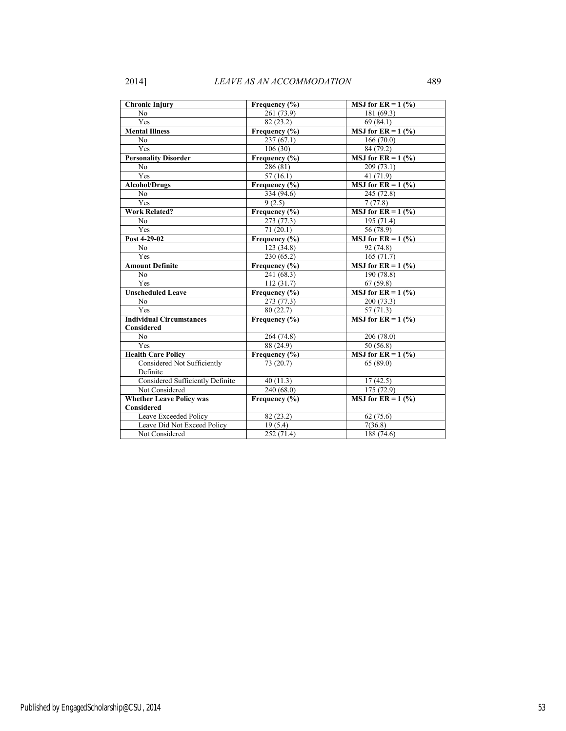| <b>Chronic Injury</b>                         | Frequency (%)              | <b>MSJ</b> for $ER = 1$ (%) |
|-----------------------------------------------|----------------------------|-----------------------------|
| N <sub>0</sub>                                | 261 (73.9)                 | 181 (69.3)                  |
| Yes                                           | 82 (23.2)                  | 69(84.1)                    |
| <b>Mental Illness</b>                         | Frequency (%)              | <b>MSJ</b> for $ER = 1$ (%) |
| N <sub>0</sub>                                | 237(67.1)                  | 166(70.0)                   |
| Yes                                           | 106(30)                    | 84 (79.2)                   |
| <b>Personality Disorder</b>                   | Frequency (%)              | <b>MSJ</b> for $ER = 1$ (%) |
| N <sub>0</sub>                                | 286 (81)                   | 209(73.1)                   |
| Yes                                           | 57(16.1)                   | 41(71.9)                    |
| <b>Alcohol/Drugs</b>                          | Frequency (%)              | <b>MSJ</b> for $ER = 1$ (%) |
| N <sub>0</sub>                                | 334 (94.6)                 | 245 (72.8)                  |
| Yes                                           | 9(2.5)                     | 7(77.8)                     |
| <b>Work Related?</b>                          | Frequency $\overline{(*)}$ | <b>MSJ</b> for $ER = 1$ (%) |
| N <sub>0</sub>                                | 273 (77.3)                 | 195 (71.4)                  |
| Yes                                           | 71(20.1)                   | 56 (78.9)                   |
| Post 4-29-02                                  | Frequency (%)              | <b>MSJ</b> for $ER = 1$ (%) |
| N <sub>0</sub>                                | $\overline{123}$ (34.8)    | 92 (74.8)                   |
| Yes                                           | 230 (65.2)                 | 165(71.7)                   |
| <b>Amount Definite</b>                        | Frequency (%)              | <b>MSJ</b> for $ER = 1$ (%) |
| N <sub>0</sub>                                | 241 (68.3)                 | 190 (78.8)                  |
| Yes                                           | 112(31.7)                  | 67(59.8)                    |
| <b>Unscheduled Leave</b>                      | Frequency (%)              | <b>MSJ</b> for $ER = 1$ (%) |
| N <sub>0</sub>                                | 273 (77.3)                 | 200 (73.3)                  |
| Yes                                           | 80 (22.7)                  | 57(71.3)                    |
| <b>Individual Circumstances</b><br>Considered | Frequency $(\% )$          | <b>MSJ</b> for $ER = 1$ (%) |
| No                                            | 264 (74.8)                 | 206 (78.0)                  |
| Yes                                           | 88 (24.9)                  | 50(56.8)                    |
| <b>Health Care Policy</b>                     | Frequency $(\% )$          | <b>MSJ</b> for $ER = 1$ (%) |
| Considered Not Sufficiently<br>Definite       | 73 (20.7)                  | 65(89.0)                    |
| Considered Sufficiently Definite              | 40(11.3)                   | 17(42.5)                    |
| Not Considered                                | 240 (68.0)                 | 175 (72.9)                  |
| <b>Whether Leave Policy was</b>               | Frequency $(\% )$          | <b>MSJ</b> for $ER = 1$ (%) |
| <b>Considered</b>                             |                            |                             |
| Leave Exceeded Policy                         | 82 (23.2)                  | 62(75.6)                    |
| Leave Did Not Exceed Policy                   | 19(5.4)                    | 7(36.8)                     |
| Not Considered                                | 252(71.4)                  | 188 (74.6)                  |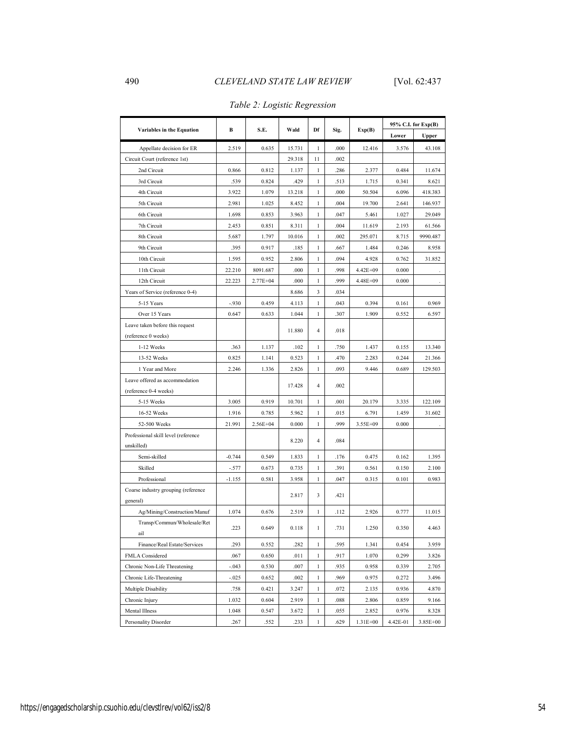|                                     | В        | S.E.         | Wald   | Df             | Sig. | Exp(B)       | 95% C.I. for Exp(B) |          |
|-------------------------------------|----------|--------------|--------|----------------|------|--------------|---------------------|----------|
| Variables in the Equation           |          |              |        |                |      |              | Lower               | Upper    |
| Appellate decision for ER           | 2.519    | 0.635        | 15.731 | 1              | .000 | 12.416       | 3.576               | 43.108   |
| Circuit Court (reference 1st)       |          |              | 29.318 | 11             | .002 |              |                     |          |
| 2nd Circuit                         | 0.866    | 0.812        | 1.137  | 1              | .286 | 2.377        | 0.484               | 11.674   |
| 3rd Circuit                         | .539     | 0.824        | .429   | 1              | .513 | 1.715        | 0.341               | 8.621    |
| 4th Circuit                         | 3.922    | 1.079        | 13.218 | 1              | .000 | 50.504       | 6.096               | 418.383  |
| 5th Circuit                         | 2.981    | 1.025        | 8.452  | 1              | .004 | 19.700       | 2.641               | 146.937  |
| 6th Circuit                         | 1.698    | 0.853        | 3.963  | 1              | .047 | 5.461        | 1.027               | 29.049   |
| 7th Circuit                         | 2.453    | 0.851        | 8.311  | $\mathbf{1}$   | .004 | 11.619       | 2.193               | 61.566   |
| 8th Circuit                         | 5.687    | 1.797        | 10.016 | 1              | .002 | 295.071      | 8.715               | 9990.487 |
| 9th Circuit                         | .395     | 0.917        | .185   | 1              | .667 | 1.484        | 0.246               | 8.958    |
| 10th Circuit                        | 1.595    | 0.952        | 2.806  | 1              | .094 | 4.928        | 0.762               | 31.852   |
| 11th Circuit                        | 22.210   | 8091.687     | .000   | 1              | .998 | 4.42E+09     | 0.000               |          |
| 12th Circuit                        | 22.223   | 2.77E+04     | .000   | 1              | .999 | 4.48E+09     | 0.000               |          |
| Years of Service (reference 0-4)    |          |              | 8.686  | 3              | .034 |              |                     |          |
| 5-15 Years                          | $-.930$  | 0.459        | 4.113  | $\mathbf{1}$   | .043 | 0.394        | 0.161               | 0.969    |
| Over 15 Years                       | 0.647    | 0.633        | 1.044  | $\mathbf{1}$   | .307 | 1.909        | 0.552               | 6.597    |
| Leave taken before this request     |          |              |        |                |      |              |                     |          |
| (reference 0 weeks)                 |          |              | 11.880 | 4              | .018 |              |                     |          |
| 1-12 Weeks                          | .363     | 1.137        | .102   | 1              | .750 | 1.437        | 0.155               | 13.340   |
| 13-52 Weeks                         | 0.825    | 1.141        | 0.523  | 1              | .470 | 2.283        | 0.244               | 21.366   |
| 1 Year and More                     | 2.246    | 1.336        | 2.826  | $\mathbf{1}$   | .093 | 9.446        | 0.689               | 129.503  |
| Leave offered as accommodation      |          |              |        | $\overline{4}$ | .002 |              |                     |          |
| (reference 0-4 weeks)               |          |              | 17.428 |                |      |              |                     |          |
| 5-15 Weeks                          | 3.005    | 0.919        | 10.701 | $\mathbf{1}$   | .001 | 20.179       | 3.335               | 122.109  |
| 16-52 Weeks                         | 1.916    | 0.785        | 5.962  | $\mathbf{1}$   | .015 | 6.791        | 1.459               | 31.602   |
| 52-500 Weeks                        | 21.991   | $2.56E + 04$ | 0.000  | $\mathbf{1}$   | .999 | 3.55E+09     | 0.000               |          |
| Professional skill level (reference |          |              |        | $\overline{4}$ | .084 |              |                     |          |
| unskilled)                          |          |              | 8.220  |                |      |              |                     |          |
| Semi-skilled                        | $-0.744$ | 0.549        | 1.833  | 1              | .176 | 0.475        | 0.162               | 1.395    |
| Skilled                             | $-.577$  | 0.673        | 0.735  | 1              | .391 | 0.561        | 0.150               | 2.100    |
| Professional                        | $-1.155$ | 0.581        | 3.958  | $\mathbf{1}$   | .047 | 0.315        | 0.101               | 0.983    |
| Coarse industry grouping (reference |          |              | 2.817  | 3              | .421 |              |                     |          |
| general)                            |          |              |        |                |      |              |                     |          |
| Ag/Mining/Construction/Manuf        | 1.074    | 0.676        | 2.519  | 1              | .112 | 2.926        | 0.777               | 11.015   |
| Transp/Commun/Wholesale/Ret         | 223      | 0.649        | 0.118  | 1              | .731 | 1.250        | 0.350               | 4.463    |
| ail                                 |          |              |        |                |      |              |                     |          |
| Finance/Real Estate/Services        | .293     | 0.552        | .282   | 1              | .595 | 1.341        | 0.454               | 3.959    |
| FMLA Considered                     | .067     | 0.650        | .011   | 1              | .917 | 1.070        | 0.299               | 3.826    |
| Chronic Non-Life Threatening        | $-.043$  | 0.530        | .007   | 1              | .935 | 0.958        | 0.339               | 2.705    |
| Chronic Life-Threatening            | $-.025$  | 0.652        | .002   | 1              | .969 | 0.975        | 0.272               | 3.496    |
| Multiple Disability                 | .758     | 0.421        | 3.247  | 1              | .072 | 2.135        | 0.936               | 4.870    |
| Chronic Injury                      | 1.032    | 0.604        | 2.919  | 1              | .088 | 2.806        | 0.859               | 9.166    |
| Mental Illness                      | 1.048    | 0.547        | 3.672  | 1              | .055 | 2.852        | 0.976               | 8.328    |
| Personality Disorder                | .267     | .552         | .233   | 1              | .629 | $1.31E + 00$ | 4.42E-01            | 3.85E+00 |

# *Table 2: Logistic Regression*